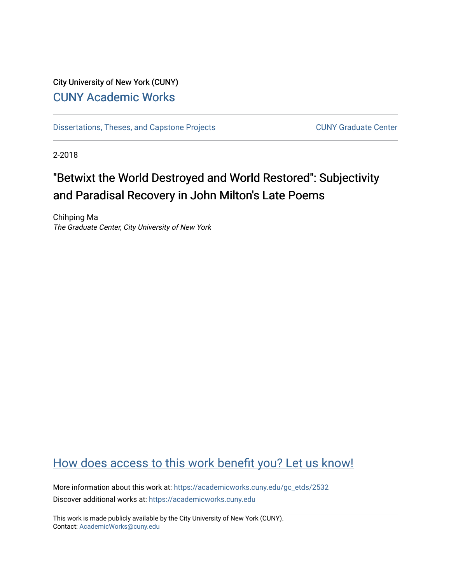# City University of New York (CUNY) [CUNY Academic Works](https://academicworks.cuny.edu/)

[Dissertations, Theses, and Capstone Projects](https://academicworks.cuny.edu/gc_etds) CUNY Graduate Center

2-2018

# "Betwixt the World Destroyed and World Restored": Subjectivity and Paradisal Recovery in John Milton's Late Poems

Chihping Ma The Graduate Center, City University of New York

# [How does access to this work benefit you? Let us know!](http://ols.cuny.edu/academicworks/?ref=https://academicworks.cuny.edu/gc_etds/2532)

More information about this work at: [https://academicworks.cuny.edu/gc\\_etds/2532](https://academicworks.cuny.edu/gc_etds/2532) Discover additional works at: [https://academicworks.cuny.edu](https://academicworks.cuny.edu/?)

This work is made publicly available by the City University of New York (CUNY). Contact: [AcademicWorks@cuny.edu](mailto:AcademicWorks@cuny.edu)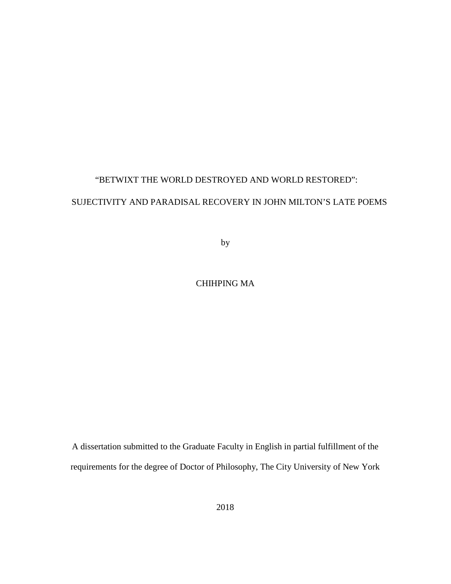### "BETWIXT THE WORLD DESTROYED AND WORLD RESTORED":

### SUJECTIVITY AND PARADISAL RECOVERY IN JOHN MILTON'S LATE POEMS

by

### CHIHPING MA

A dissertation submitted to the Graduate Faculty in English in partial fulfillment of the requirements for the degree of Doctor of Philosophy, The City University of New York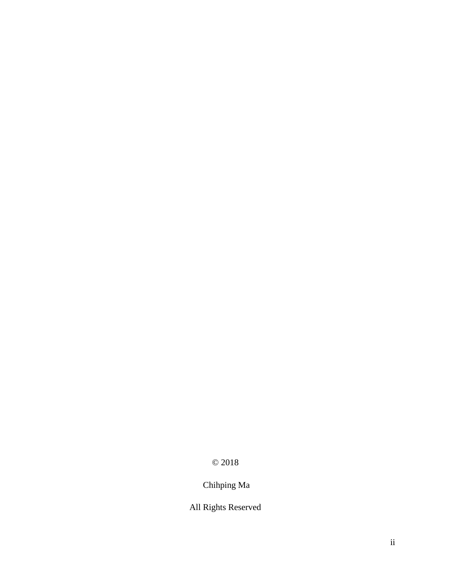# © 2018

# Chihping Ma

## All Rights Reserved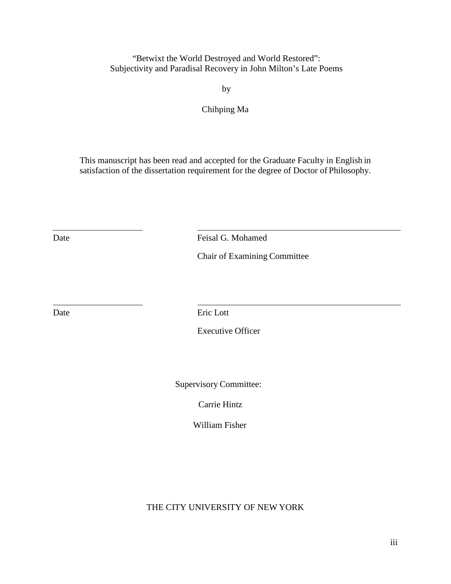"Betwixt the World Destroyed and World Restored": Subjectivity and Paradisal Recovery in John Milton's Late Poems

by

Chihping Ma

This manuscript has been read and accepted for the Graduate Faculty in English in satisfaction of the dissertation requirement for the degree of Doctor of Philosophy.

Date **Feisal G. Mohamed** 

Chair of Examining Committee

Date Eric Lott

Executive Officer

Supervisory Committee:

Carrie Hintz

William Fisher

THE CITY UNIVERSITY OF NEW YORK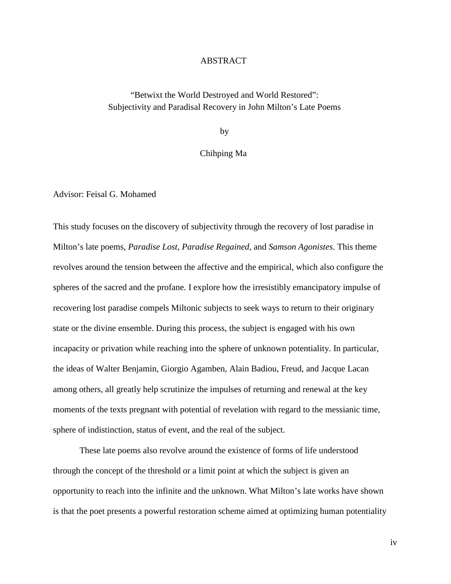#### ABSTRACT

### "Betwixt the World Destroyed and World Restored": Subjectivity and Paradisal Recovery in John Milton's Late Poems

by

#### Chihping Ma

Advisor: Feisal G. Mohamed

This study focuses on the discovery of subjectivity through the recovery of lost paradise in Milton's late poems, *Paradise Lost*, *Paradise Regained*, and *Samson Agonistes*. This theme revolves around the tension between the affective and the empirical, which also configure the spheres of the sacred and the profane. I explore how the irresistibly emancipatory impulse of recovering lost paradise compels Miltonic subjects to seek ways to return to their originary state or the divine ensemble. During this process, the subject is engaged with his own incapacity or privation while reaching into the sphere of unknown potentiality. In particular, the ideas of Walter Benjamin, Giorgio Agamben, Alain Badiou, Freud, and Jacque Lacan among others, all greatly help scrutinize the impulses of returning and renewal at the key moments of the texts pregnant with potential of revelation with regard to the messianic time, sphere of indistinction, status of event, and the real of the subject.

These late poems also revolve around the existence of forms of life understood through the concept of the threshold or a limit point at which the subject is given an opportunity to reach into the infinite and the unknown. What Milton's late works have shown is that the poet presents a powerful restoration scheme aimed at optimizing human potentiality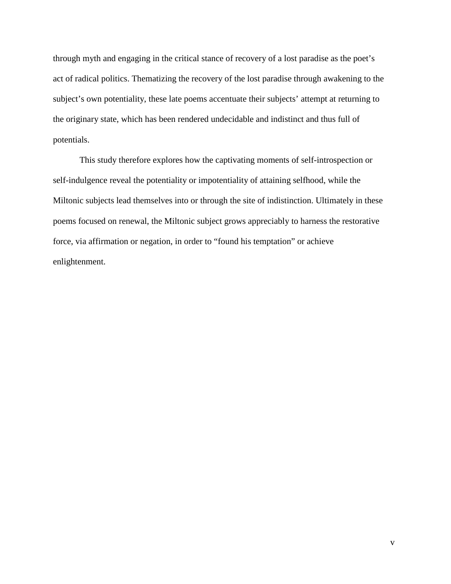through myth and engaging in the critical stance of recovery of a lost paradise as the poet's act of radical politics. Thematizing the recovery of the lost paradise through awakening to the subject's own potentiality, these late poems accentuate their subjects' attempt at returning to the originary state, which has been rendered undecidable and indistinct and thus full of potentials.

This study therefore explores how the captivating moments of self-introspection or self-indulgence reveal the potentiality or impotentiality of attaining selfhood, while the Miltonic subjects lead themselves into or through the site of indistinction. Ultimately in these poems focused on renewal, the Miltonic subject grows appreciably to harness the restorative force, via affirmation or negation, in order to "found his temptation" or achieve enlightenment.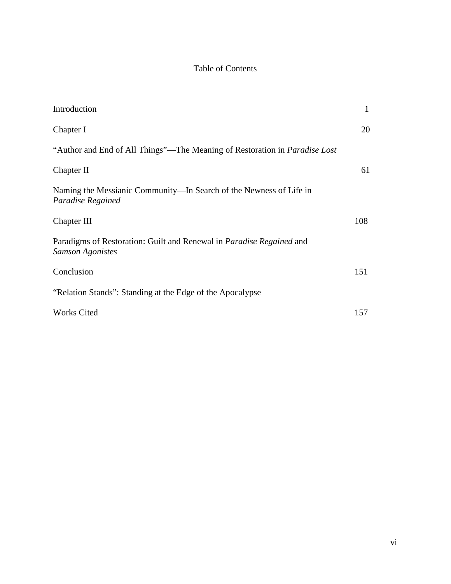### Table of Contents

| Introduction                                                                                           | $\mathbf{1}$ |
|--------------------------------------------------------------------------------------------------------|--------------|
| Chapter I                                                                                              | 20           |
| "Author and End of All Things"—The Meaning of Restoration in <i>Paradise Lost</i>                      |              |
| Chapter II                                                                                             | 61           |
| Naming the Messianic Community—In Search of the Newness of Life in<br>Paradise Regained                |              |
| Chapter III                                                                                            | 108          |
| Paradigms of Restoration: Guilt and Renewal in <i>Paradise Regained</i> and<br><b>Samson Agonistes</b> |              |
| Conclusion                                                                                             | 151          |
| "Relation Stands": Standing at the Edge of the Apocalypse                                              |              |
| <b>Works Cited</b>                                                                                     | 157          |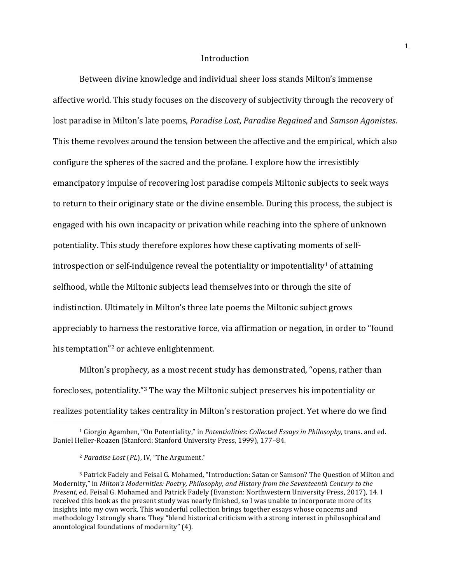#### **Introduction**

Between divine knowledge and individual sheer loss stands Milton's immense affective world. This study focuses on the discovery of subjectivity through the recovery of lost paradise in Milton's late poems, *Paradise Lost*, *Paradise Regained* and *Samson Agonistes*. This theme revolves around the tension between the affective and the empirical, which also configure the spheres of the sacred and the profane. I explore how the irresistibly emancipatory impulse of recovering lost paradise compels Miltonic subjects to seek ways to return to their originary state or the divine ensemble. During this process, the subject is engaged with his own incapacity or privation while reaching into the sphere of unknown potentiality. This study therefore explores how these captivating moments of selfintrospection or self-indulgence reveal the potentiality or impotentiality<sup>1</sup> of attaining selfhood, while the Miltonic subjects lead themselves into or through the site of indistinction. Ultimately in Milton's three late poems the Miltonic subject grows appreciably to harness the restorative force, via affirmation or negation, in order to "found his temptation"<sup>2</sup> or achieve enlightenment.

Milton's prophecy, as a most recent study has demonstrated, "opens, rather than forecloses, potentiality."<sup>3</sup> The way the Miltonic subject preserves his impotentiality or realizes potentiality takes centrality in Milton's restoration project. Yet where do we find 

<sup>&</sup>lt;sup>1</sup> Giorgio Agamben, "On Potentiality," in *Potentialities: Collected Essays in Philosophy*, trans. and ed. Daniel Heller-Roazen (Stanford: Stanford University Press, 1999), 177-84.

<sup>&</sup>lt;sup>2</sup> Paradise Lost (PL), IV, "The Argument."

<sup>&</sup>lt;sup>3</sup> Patrick Fadely and Feisal G. Mohamed, "Introduction: Satan or Samson? The Question of Milton and Modernity," in *Milton's Modernities: Poetry, Philosophy, and History from the Seventeenth Century to the Present*, ed. Feisal G. Mohamed and Patrick Fadely (Evanston: Northwestern University Press, 2017), 14. I received this book as the present study was nearly finished, so I was unable to incorporate more of its insights into my own work. This wonderful collection brings together essays whose concerns and methodology I strongly share. They "blend historical criticism with a strong interest in philosophical and anontological foundations of modernity"  $(4)$ .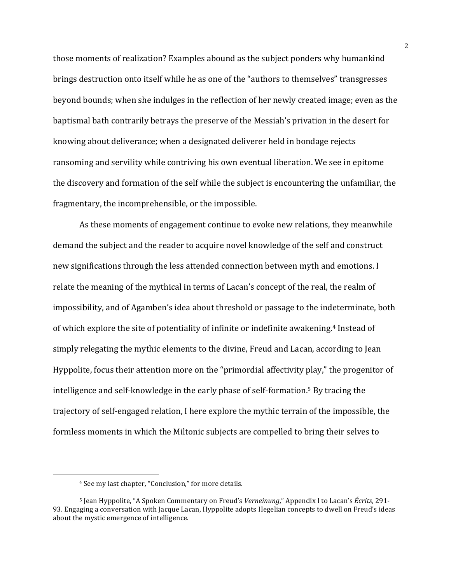those moments of realization? Examples abound as the subject ponders why humankind brings destruction onto itself while he as one of the "authors to themselves" transgresses beyond bounds; when she indulges in the reflection of her newly created image; even as the baptismal bath contrarily betrays the preserve of the Messiah's privation in the desert for knowing about deliverance; when a designated deliverer held in bondage rejects ransoming and servility while contriving his own eventual liberation. We see in epitome the discovery and formation of the self while the subject is encountering the unfamiliar, the fragmentary, the incomprehensible, or the impossible.

As these moments of engagement continue to evoke new relations, they meanwhile demand the subject and the reader to acquire novel knowledge of the self and construct new significations through the less attended connection between myth and emotions. I relate the meaning of the mythical in terms of Lacan's concept of the real, the realm of impossibility, and of Agamben's idea about threshold or passage to the indeterminate, both of which explore the site of potentiality of infinite or indefinite awakening.<sup>4</sup> Instead of simply relegating the mythic elements to the divine, Freud and Lacan, according to Jean Hyppolite, focus their attention more on the "primordial affectivity play," the progenitor of intelligence and self-knowledge in the early phase of self-formation.<sup>5</sup> By tracing the trajectory of self-engaged relation, I here explore the mythic terrain of the impossible, the formless moments in which the Miltonic subjects are compelled to bring their selves to

<sup>&</sup>lt;sup>4</sup> See my last chapter, "Conclusion," for more details.

<sup>5</sup> Jean Hyppolite, "A Spoken Commentary on Freud's *Verneinung*," Appendix I to Lacan's *Écrits*, 291- 93. Engaging a conversation with Jacque Lacan, Hyppolite adopts Hegelian concepts to dwell on Freud's ideas about the mystic emergence of intelligence.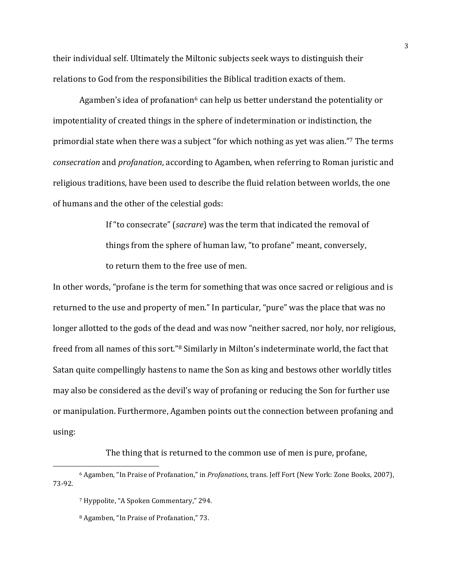their individual self. Ultimately the Miltonic subjects seek ways to distinguish their relations to God from the responsibilities the Biblical tradition exacts of them.

Agamben's idea of profanation $6$  can help us better understand the potentiality or impotentiality of created things in the sphere of indetermination or indistinction, the primordial state when there was a subject "for which nothing as yet was alien."<sup>7</sup> The terms *consecration* and *profanation*, according to Agamben, when referring to Roman juristic and religious traditions, have been used to describe the fluid relation between worlds, the one of humans and the other of the celestial gods:

> If "to consecrate" (*sacrare*) was the term that indicated the removal of things from the sphere of human law, "to profane" meant, conversely, to return them to the free use of men.

In other words, "profane is the term for something that was once sacred or religious and is returned to the use and property of men." In particular, "pure" was the place that was no longer allotted to the gods of the dead and was now "neither sacred, nor holy, nor religious, freed from all names of this sort."<sup>8</sup> Similarly in Milton's indeterminate world, the fact that Satan quite compellingly hastens to name the Son as king and bestows other worldly titles may also be considered as the devil's way of profaning or reducing the Son for further use or manipulation. Furthermore, Agamben points out the connection between profaning and using:

The thing that is returned to the common use of men is pure, profane,

<sup>&</sup>lt;sup>6</sup> Agamben, "In Praise of Profanation," in *Profanations*, trans. Jeff Fort (New York: Zone Books, 2007), 73-92.

<sup>&</sup>lt;sup>7</sup> Hyppolite, "A Spoken Commentary," 294.

<sup>&</sup>lt;sup>8</sup> Agamben, "In Praise of Profanation," 73.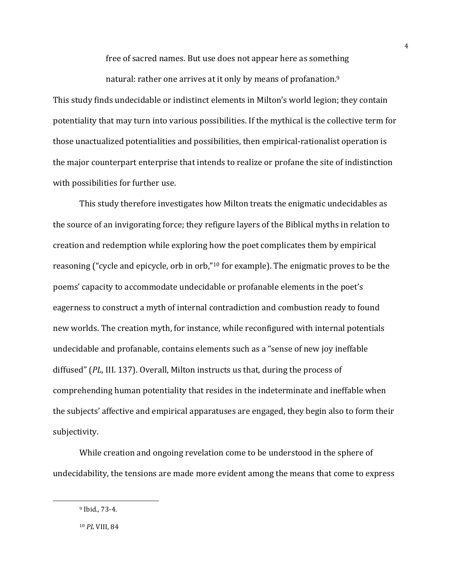free of sacred names. But use does not appear here as something natural: rather one arrives at it only by means of profanation.<sup>9</sup>

This study finds undecidable or indistinct elements in Milton's world legion; they contain potentiality that may turn into various possibilities. If the mythical is the collective term for those unactualized potentialities and possibilities, then empirical-rationalist operation is the major counterpart enterprise that intends to realize or profane the site of indistinction with possibilities for further use.

This study therefore investigates how Milton treats the enigmatic undecidables as the source of an invigorating force; they refigure layers of the Biblical myths in relation to creation and redemption while exploring how the poet complicates them by empirical reasoning ("cycle and epicycle, orb in orb,"<sup>10</sup> for example). The enigmatic proves to be the poems' capacity to accommodate undecidable or profanable elements in the poet's eagerness to construct a myth of internal contradiction and combustion ready to found new worlds. The creation myth, for instance, while reconfigured with internal potentials undecidable and profanable, contains elements such as a "sense of new joy ineffable diffused" *(PL*, III. 137). Overall, Milton instructs us that, during the process of comprehending human potentiality that resides in the indeterminate and ineffable when the subjects' affective and empirical apparatuses are engaged, they begin also to form their subjectivity. 

While creation and ongoing revelation come to be understood in the sphere of undecidability, the tensions are made more evident among the means that come to express

 $9$  Ibid., 73-4.

<sup>10</sup> *PL* VIII, 84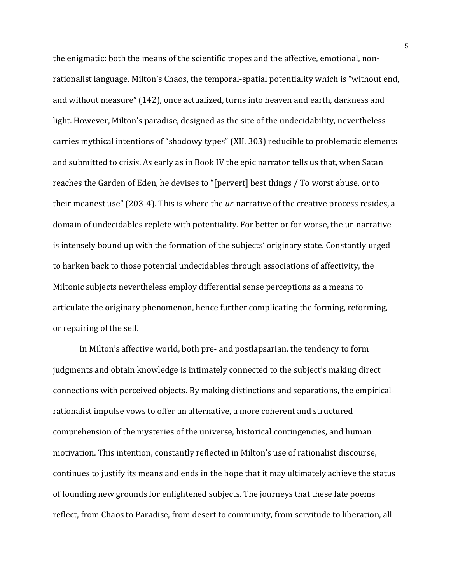the enigmatic: both the means of the scientific tropes and the affective, emotional, nonrationalist language. Milton's Chaos, the temporal-spatial potentiality which is "without end, and without measure" (142), once actualized, turns into heaven and earth, darkness and light. However, Milton's paradise, designed as the site of the undecidability, nevertheless carries mythical intentions of "shadowy types" (XII. 303) reducible to problematic elements and submitted to crisis. As early as in Book IV the epic narrator tells us that, when Satan reaches the Garden of Eden, he devises to "[pervert] best things / To worst abuse, or to their meanest use" (203-4). This is where the *ur*-narrative of the creative process resides, a domain of undecidables replete with potentiality. For better or for worse, the ur-narrative is intensely bound up with the formation of the subjects' originary state. Constantly urged to harken back to those potential undecidables through associations of affectivity, the Miltonic subjects nevertheless employ differential sense perceptions as a means to articulate the originary phenomenon, hence further complicating the forming, reforming, or repairing of the self.

In Milton's affective world, both pre- and postlapsarian, the tendency to form judgments and obtain knowledge is intimately connected to the subject's making direct connections with perceived objects. By making distinctions and separations, the empiricalrationalist impulse vows to offer an alternative, a more coherent and structured comprehension of the mysteries of the universe, historical contingencies, and human motivation. This intention, constantly reflected in Milton's use of rationalist discourse, continues to justify its means and ends in the hope that it may ultimately achieve the status of founding new grounds for enlightened subjects. The journeys that these late poems reflect, from Chaos to Paradise, from desert to community, from servitude to liberation, all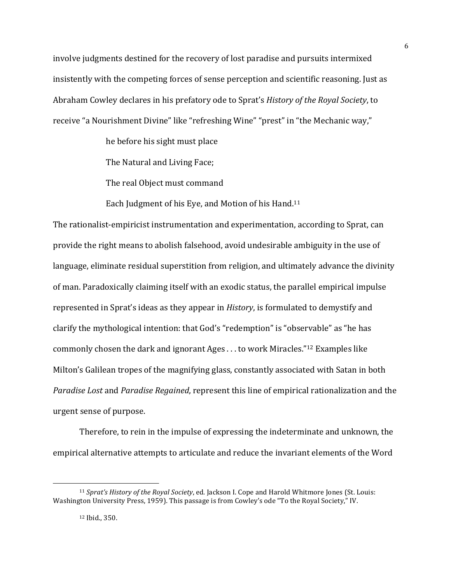involve judgments destined for the recovery of lost paradise and pursuits intermixed insistently with the competing forces of sense perception and scientific reasoning. Just as Abraham Cowley declares in his prefatory ode to Sprat's *History of the Royal Society*, to receive "a Nourishment Divine" like "refreshing Wine" "prest" in "the Mechanic way,"

he before his sight must place

The Natural and Living Face;

The real Object must command

Each Judgment of his Eve, and Motion of his Hand.<sup>11</sup>

The rationalist-empiricist instrumentation and experimentation, according to Sprat, can provide the right means to abolish falsehood, avoid undesirable ambiguity in the use of language, eliminate residual superstition from religion, and ultimately advance the divinity of man. Paradoxically claiming itself with an exodic status, the parallel empirical impulse represented in Sprat's ideas as they appear in *History*, is formulated to demystify and clarify the mythological intention: that God's "redemption" is "observable" as "he has commonly chosen the dark and ignorant Ages  $\dots$  to work Miracles."<sup>12</sup> Examples like Milton's Galilean tropes of the magnifying glass, constantly associated with Satan in both *Paradise Lost* and *Paradise Regained*, represent this line of empirical rationalization and the urgent sense of purpose.

Therefore, to rein in the impulse of expressing the indeterminate and unknown, the empirical alternative attempts to articulate and reduce the invariant elements of the Word

<sup>&</sup>lt;sup>11</sup> *Sprat's History of the Royal Society*, ed. Jackson I. Cope and Harold Whitmore Jones (St. Louis: Washington University Press, 1959). This passage is from Cowley's ode "To the Royal Society," IV.

<sup>12</sup> Ibid., 350.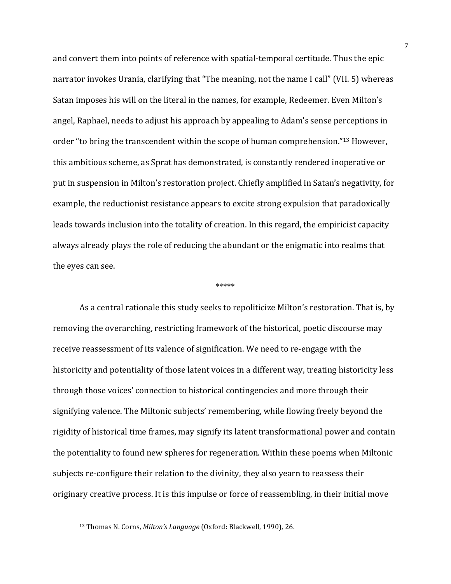and convert them into points of reference with spatial-temporal certitude. Thus the epic narrator invokes Urania, clarifying that "The meaning, not the name I call" (VII. 5) whereas Satan imposes his will on the literal in the names, for example, Redeemer. Even Milton's angel, Raphael, needs to adjust his approach by appealing to Adam's sense perceptions in order "to bring the transcendent within the scope of human comprehension."<sup>13</sup> However, this ambitious scheme, as Sprat has demonstrated, is constantly rendered inoperative or put in suspension in Milton's restoration project. Chiefly amplified in Satan's negativity, for example, the reductionist resistance appears to excite strong expulsion that paradoxically leads towards inclusion into the totality of creation. In this regard, the empiricist capacity always already plays the role of reducing the abundant or the enigmatic into realms that the eyes can see.

#### \*\*\*\*\*

As a central rationale this study seeks to repoliticize Milton's restoration. That is, by removing the overarching, restricting framework of the historical, poetic discourse may receive reassessment of its valence of signification. We need to re-engage with the historicity and potentiality of those latent voices in a different way, treating historicity less through those voices' connection to historical contingencies and more through their signifying valence. The Miltonic subjects' remembering, while flowing freely beyond the rigidity of historical time frames, may signify its latent transformational power and contain the potentiality to found new spheres for regeneration. Within these poems when Miltonic subjects re-configure their relation to the divinity, they also yearn to reassess their originary creative process. It is this impulse or force of reassembling, in their initial move

<sup>&</sup>lt;sup>13</sup> Thomas N. Corns, *Milton's Language* (Oxford: Blackwell, 1990), 26.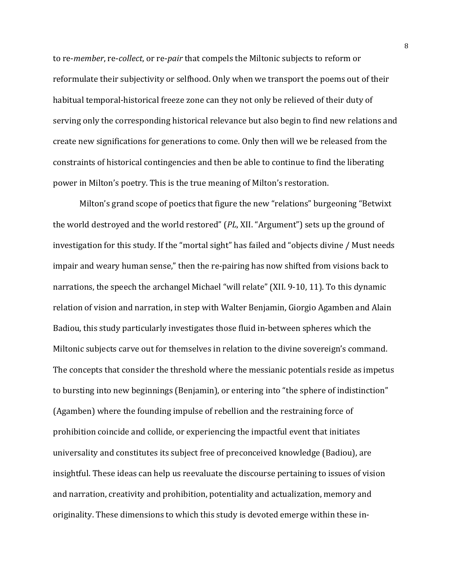to re-*member*, re-*collect*, or re-*pair* that compels the Miltonic subjects to reform or reformulate their subjectivity or selfhood. Only when we transport the poems out of their habitual temporal-historical freeze zone can they not only be relieved of their duty of serving only the corresponding historical relevance but also begin to find new relations and create new significations for generations to come. Only then will we be released from the constraints of historical contingencies and then be able to continue to find the liberating power in Milton's poetry. This is the true meaning of Milton's restoration.

Milton's grand scope of poetics that figure the new "relations" burgeoning "Betwixt the world destroyed and the world restored" (*PL*, XII. "Argument") sets up the ground of investigation for this study. If the "mortal sight" has failed and "objects divine / Must needs impair and weary human sense," then the re-pairing has now shifted from visions back to narrations, the speech the archangel Michael "will relate" (XII. 9-10, 11). To this dynamic relation of vision and narration, in step with Walter Benjamin, Giorgio Agamben and Alain Badiou, this study particularly investigates those fluid in-between spheres which the Miltonic subjects carve out for themselves in relation to the divine sovereign's command. The concepts that consider the threshold where the messianic potentials reside as impetus to bursting into new beginnings (Benjamin), or entering into "the sphere of indistinction" (Agamben) where the founding impulse of rebellion and the restraining force of prohibition coincide and collide, or experiencing the impactful event that initiates universality and constitutes its subject free of preconceived knowledge (Badiou), are insightful. These ideas can help us reevaluate the discourse pertaining to issues of vision and narration, creativity and prohibition, potentiality and actualization, memory and originality. These dimensions to which this study is devoted emerge within these in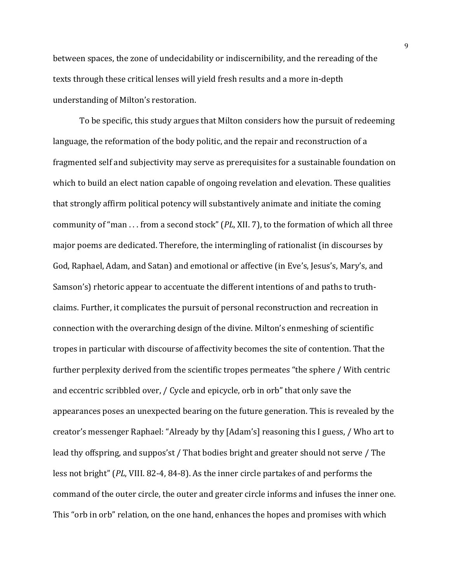between spaces, the zone of undecidability or indiscernibility, and the rereading of the texts through these critical lenses will yield fresh results and a more in-depth understanding of Milton's restoration.

To be specific, this study argues that Milton considers how the pursuit of redeeming language, the reformation of the body politic, and the repair and reconstruction of a fragmented self and subjectivity may serve as prerequisites for a sustainable foundation on which to build an elect nation capable of ongoing revelation and elevation. These qualities that strongly affirm political potency will substantively animate and initiate the coming community of "man . . . from a second stock" (*PL*, XII. 7), to the formation of which all three major poems are dedicated. Therefore, the intermingling of rationalist (in discourses by God, Raphael, Adam, and Satan) and emotional or affective (in Eve's, Jesus's, Mary's, and Samson's) rhetoric appear to accentuate the different intentions of and paths to truthclaims. Further, it complicates the pursuit of personal reconstruction and recreation in connection with the overarching design of the divine. Milton's enmeshing of scientific tropes in particular with discourse of affectivity becomes the site of contention. That the further perplexity derived from the scientific tropes permeates "the sphere / With centric and eccentric scribbled over, / Cycle and epicycle, orb in orb" that only save the appearances poses an unexpected bearing on the future generation. This is revealed by the creator's messenger Raphael: "Already by thy [Adam's] reasoning this I guess, / Who art to lead thy offspring, and suppos'st / That bodies bright and greater should not serve / The less not bright" (*PL*, VIII. 82-4, 84-8). As the inner circle partakes of and performs the command of the outer circle, the outer and greater circle informs and infuses the inner one. This "orb in orb" relation, on the one hand, enhances the hopes and promises with which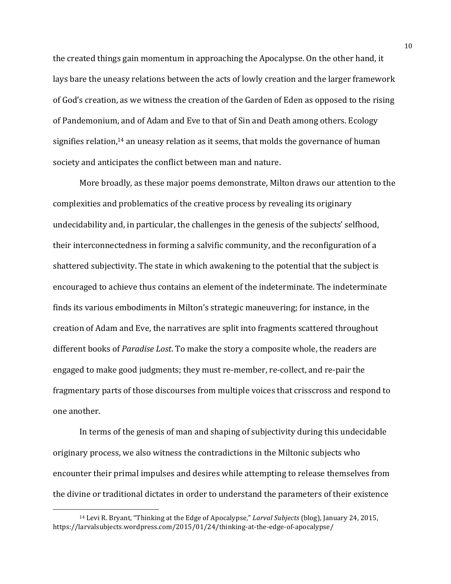the created things gain momentum in approaching the Apocalypse. On the other hand, it lays bare the uneasy relations between the acts of lowly creation and the larger framework of God's creation, as we witness the creation of the Garden of Eden as opposed to the rising of Pandemonium, and of Adam and Eve to that of Sin and Death among others. Ecology signifies relation,<sup>14</sup> an uneasy relation as it seems, that molds the governance of human society and anticipates the conflict between man and nature.

More broadly, as these major poems demonstrate, Milton draws our attention to the complexities and problematics of the creative process by revealing its originary undecidability and, in particular, the challenges in the genesis of the subjects' selfhood, their interconnectedness in forming a salvific community, and the reconfiguration of a shattered subjectivity. The state in which awakening to the potential that the subject is encouraged to achieve thus contains an element of the indeterminate. The indeterminate finds its various embodiments in Milton's strategic maneuvering; for instance, in the creation of Adam and Eve, the narratives are split into fragments scattered throughout different books of *Paradise Lost*. To make the story a composite whole, the readers are engaged to make good judgments; they must re-member, re-collect, and re-pair the fragmentary parts of those discourses from multiple voices that crisscross and respond to one another.

In terms of the genesis of man and shaping of subjectivity during this undecidable originary process, we also witness the contradictions in the Miltonic subjects who encounter their primal impulses and desires while attempting to release themselves from the divine or traditional dictates in order to understand the parameters of their existence

<sup>&</sup>lt;sup>14</sup> Levi R. Bryant, "Thinking at the Edge of Apocalypse," *Larval Subjects* (blog), January 24, 2015, https://larvalsubjects.wordpress.com/2015/01/24/thinking-at-the-edge-of-apocalypse/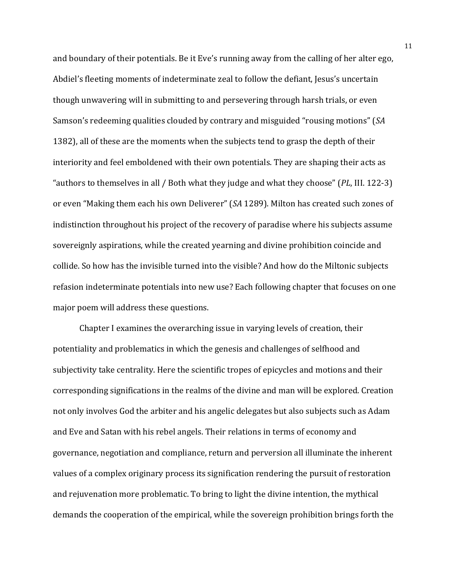and boundary of their potentials. Be it Eve's running away from the calling of her alter ego, Abdiel's fleeting moments of indeterminate zeal to follow the defiant, Jesus's uncertain though unwavering will in submitting to and persevering through harsh trials, or even Samson's redeeming qualities clouded by contrary and misguided "rousing motions" (*SA* 1382), all of these are the moments when the subjects tend to grasp the depth of their interiority and feel emboldened with their own potentials. They are shaping their acts as "authors to themselves in all / Both what they judge and what they choose" (*PL*, III. 122-3) or even "Making them each his own Deliverer" (*SA* 1289). Milton has created such zones of indistinction throughout his project of the recovery of paradise where his subjects assume sovereignly aspirations, while the created yearning and divine prohibition coincide and collide. So how has the invisible turned into the visible? And how do the Miltonic subjects refasion indeterminate potentials into new use? Each following chapter that focuses on one major poem will address these questions.

Chapter I examines the overarching issue in varying levels of creation, their potentiality and problematics in which the genesis and challenges of selfhood and subjectivity take centrality. Here the scientific tropes of epicycles and motions and their corresponding significations in the realms of the divine and man will be explored. Creation not only involves God the arbiter and his angelic delegates but also subjects such as Adam and Eve and Satan with his rebel angels. Their relations in terms of economy and governance, negotiation and compliance, return and perversion all illuminate the inherent values of a complex originary process its signification rendering the pursuit of restoration and rejuvenation more problematic. To bring to light the divine intention, the mythical demands the cooperation of the empirical, while the sovereign prohibition brings forth the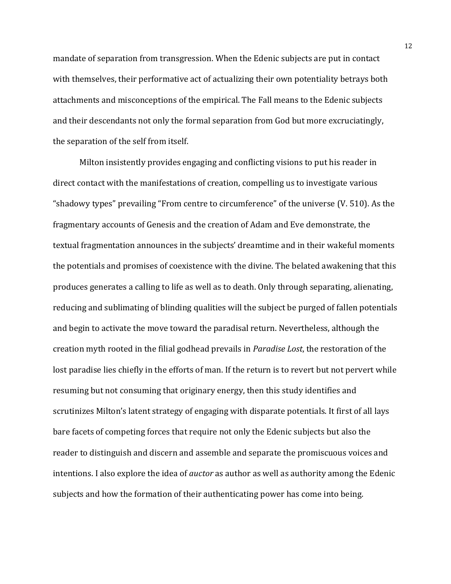mandate of separation from transgression. When the Edenic subjects are put in contact with themselves, their performative act of actualizing their own potentiality betrays both attachments and misconceptions of the empirical. The Fall means to the Edenic subjects and their descendants not only the formal separation from God but more excruciatingly, the separation of the self from itself.

Milton insistently provides engaging and conflicting visions to put his reader in direct contact with the manifestations of creation, compelling us to investigate various "shadowy types" prevailing "From centre to circumference" of the universe  $(V. 510)$ . As the fragmentary accounts of Genesis and the creation of Adam and Eve demonstrate, the textual fragmentation announces in the subjects' dreamtime and in their wakeful moments the potentials and promises of coexistence with the divine. The belated awakening that this produces generates a calling to life as well as to death. Only through separating, alienating, reducing and sublimating of blinding qualities will the subject be purged of fallen potentials and begin to activate the move toward the paradisal return. Nevertheless, although the creation myth rooted in the filial godhead prevails in *Paradise Lost*, the restoration of the lost paradise lies chiefly in the efforts of man. If the return is to revert but not pervert while resuming but not consuming that originary energy, then this study identifies and scrutinizes Milton's latent strategy of engaging with disparate potentials. It first of all lays bare facets of competing forces that require not only the Edenic subjects but also the reader to distinguish and discern and assemble and separate the promiscuous voices and intentions. I also explore the idea of *auctor* as author as well as authority among the Edenic subjects and how the formation of their authenticating power has come into being.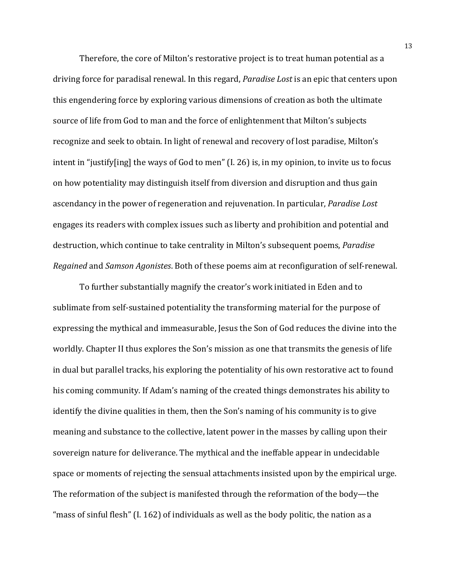Therefore, the core of Milton's restorative project is to treat human potential as a driving force for paradisal renewal. In this regard, *Paradise Lost* is an epic that centers upon this engendering force by exploring various dimensions of creation as both the ultimate source of life from God to man and the force of enlightenment that Milton's subjects recognize and seek to obtain. In light of renewal and recovery of lost paradise, Milton's intent in "justify[ing] the ways of God to men"  $(I. 26)$  is, in my opinion, to invite us to focus on how potentiality may distinguish itself from diversion and disruption and thus gain ascendancy in the power of regeneration and rejuvenation. In particular, *Paradise Lost* engages its readers with complex issues such as liberty and prohibition and potential and destruction, which continue to take centrality in Milton's subsequent poems, *Paradise Regained* and *Samson Agonistes*. Both of these poems aim at reconfiguration of self-renewal.

To further substantially magnify the creator's work initiated in Eden and to sublimate from self-sustained potentiality the transforming material for the purpose of expressing the mythical and immeasurable, Jesus the Son of God reduces the divine into the worldly. Chapter II thus explores the Son's mission as one that transmits the genesis of life in dual but parallel tracks, his exploring the potentiality of his own restorative act to found his coming community. If Adam's naming of the created things demonstrates his ability to identify the divine qualities in them, then the Son's naming of his community is to give meaning and substance to the collective, latent power in the masses by calling upon their sovereign nature for deliverance. The mythical and the ineffable appear in undecidable space or moments of rejecting the sensual attachments insisted upon by the empirical urge. The reformation of the subject is manifested through the reformation of the body—the "mass of sinful flesh" (I. 162) of individuals as well as the body politic, the nation as a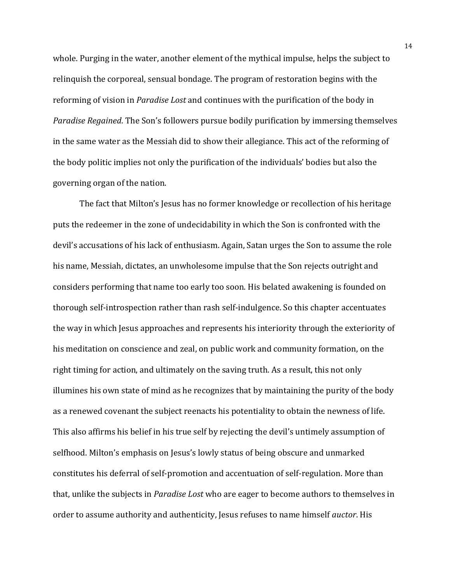whole. Purging in the water, another element of the mythical impulse, helps the subject to relinquish the corporeal, sensual bondage. The program of restoration begins with the reforming of vision in *Paradise Lost* and continues with the purification of the body in *Paradise Regained*. The Son's followers pursue bodily purification by immersing themselves in the same water as the Messiah did to show their allegiance. This act of the reforming of the body politic implies not only the purification of the individuals' bodies but also the governing organ of the nation.

The fact that Milton's Jesus has no former knowledge or recollection of his heritage puts the redeemer in the zone of undecidability in which the Son is confronted with the devil's accusations of his lack of enthusiasm. Again, Satan urges the Son to assume the role his name, Messiah, dictates, an unwholesome impulse that the Son rejects outright and considers performing that name too early too soon. His belated awakening is founded on thorough self-introspection rather than rash self-indulgence. So this chapter accentuates the way in which Jesus approaches and represents his interiority through the exteriority of his meditation on conscience and zeal, on public work and community formation, on the right timing for action, and ultimately on the saving truth. As a result, this not only illumines his own state of mind as he recognizes that by maintaining the purity of the body as a renewed covenant the subject reenacts his potentiality to obtain the newness of life. This also affirms his belief in his true self by rejecting the devil's untimely assumption of selfhood. Milton's emphasis on Jesus's lowly status of being obscure and unmarked constitutes his deferral of self-promotion and accentuation of self-regulation. More than that, unlike the subjects in *Paradise Lost* who are eager to become authors to themselves in order to assume authority and authenticity, Jesus refuses to name himself *auctor*. His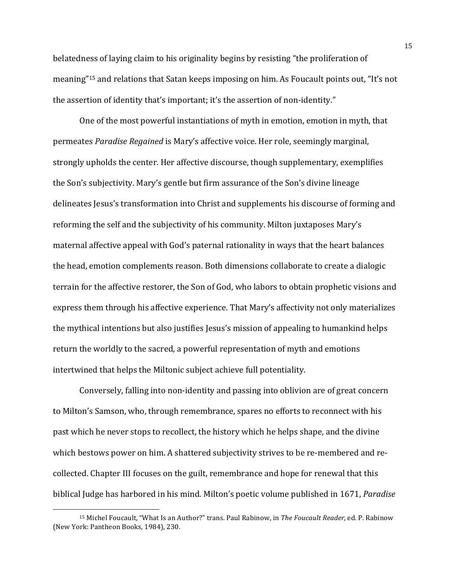belatedness of laying claim to his originality begins by resisting "the proliferation of meaning"<sup>15</sup> and relations that Satan keeps imposing on him. As Foucault points out, "It's not the assertion of identity that's important; it's the assertion of non-identity."

One of the most powerful instantiations of myth in emotion, emotion in myth, that permeates *Paradise Regained* is Mary's affective voice. Her role, seemingly marginal, strongly upholds the center. Her affective discourse, though supplementary, exemplifies the Son's subjectivity. Mary's gentle but firm assurance of the Son's divine lineage delineates Jesus's transformation into Christ and supplements his discourse of forming and reforming the self and the subjectivity of his community. Milton juxtaposes Mary's maternal affective appeal with God's paternal rationality in ways that the heart balances the head, emotion complements reason. Both dimensions collaborate to create a dialogic terrain for the affective restorer, the Son of God, who labors to obtain prophetic visions and express them through his affective experience. That Mary's affectivity not only materializes the mythical intentions but also justifies Jesus's mission of appealing to humankind helps return the worldly to the sacred, a powerful representation of myth and emotions intertwined that helps the Miltonic subject achieve full potentiality.

Conversely, falling into non-identity and passing into oblivion are of great concern to Milton's Samson, who, through remembrance, spares no efforts to reconnect with his past which he never stops to recollect, the history which he helps shape, and the divine which bestows power on him. A shattered subjectivity strives to be re-membered and recollected. Chapter III focuses on the guilt, remembrance and hope for renewal that this biblical Judge has harbored in his mind. Milton's poetic volume published in 1671, *Paradise* 

<sup>&</sup>lt;sup>15</sup> Michel Foucault, "What Is an Author?" trans. Paul Rabinow, in *The Foucault Reader*, ed. P. Rabinow (New York: Pantheon Books, 1984), 230.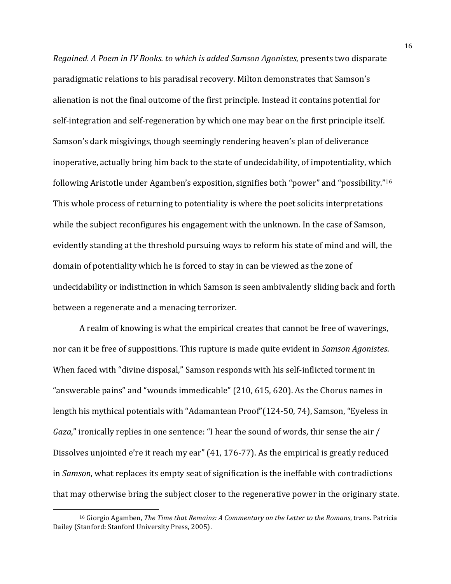*Regained. A Poem in IV Books. to which is added Samson Agonistes, presents two disparate* paradigmatic relations to his paradisal recovery. Milton demonstrates that Samson's alienation is not the final outcome of the first principle. Instead it contains potential for self-integration and self-regeneration by which one may bear on the first principle itself. Samson's dark misgivings, though seemingly rendering heaven's plan of deliverance inoperative, actually bring him back to the state of undecidability, of impotentiality, which following Aristotle under Agamben's exposition, signifies both "power" and "possibility."<sup>16</sup> This whole process of returning to potentiality is where the poet solicits interpretations while the subject reconfigures his engagement with the unknown. In the case of Samson, evidently standing at the threshold pursuing ways to reform his state of mind and will, the domain of potentiality which he is forced to stay in can be viewed as the zone of undecidability or indistinction in which Samson is seen ambivalently sliding back and forth between a regenerate and a menacing terrorizer.

A realm of knowing is what the empirical creates that cannot be free of waverings, nor can it be free of suppositions. This rupture is made quite evident in *Samson Agonistes*. When faced with "divine disposal," Samson responds with his self-inflicted torment in "answerable pains" and "wounds immedicable"  $(210, 615, 620)$ . As the Chorus names in length his mythical potentials with "Adamantean Proof"(124-50, 74), Samson, "Eyeless in *Gaza*," ironically replies in one sentence: "I hear the sound of words, thir sense the air / Dissolves unjointed e're it reach my ear" (41, 176-77). As the empirical is greatly reduced in *Samson*, what replaces its empty seat of signification is the ineffable with contradictions that may otherwise bring the subject closer to the regenerative power in the originary state.

<sup>&</sup>lt;sup>16</sup> Giorgio Agamben, *The Time that Remains: A Commentary on the Letter to the Romans*, trans. Patricia Dailey (Stanford: Stanford University Press, 2005).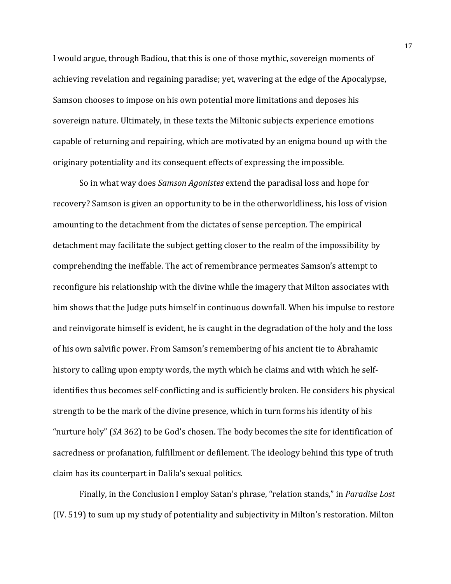I would argue, through Badiou, that this is one of those mythic, sovereign moments of achieving revelation and regaining paradise; yet, wavering at the edge of the Apocalypse, Samson chooses to impose on his own potential more limitations and deposes his sovereign nature. Ultimately, in these texts the Miltonic subjects experience emotions capable of returning and repairing, which are motivated by an enigma bound up with the originary potentiality and its consequent effects of expressing the impossible.

So in what way does *Samson Agonistes* extend the paradisal loss and hope for recovery? Samson is given an opportunity to be in the otherworldliness, his loss of vision amounting to the detachment from the dictates of sense perception. The empirical detachment may facilitate the subject getting closer to the realm of the impossibility by comprehending the ineffable. The act of remembrance permeates Samson's attempt to reconfigure his relationship with the divine while the imagery that Milton associates with him shows that the Judge puts himself in continuous downfall. When his impulse to restore and reinvigorate himself is evident, he is caught in the degradation of the holy and the loss of his own salvific power. From Samson's remembering of his ancient tie to Abrahamic history to calling upon empty words, the myth which he claims and with which he selfidentifies thus becomes self-conflicting and is sufficiently broken. He considers his physical strength to be the mark of the divine presence, which in turn forms his identity of his "nurture holy" (SA 362) to be God's chosen. The body becomes the site for identification of sacredness or profanation, fulfillment or defilement. The ideology behind this type of truth claim has its counterpart in Dalila's sexual politics.

Finally, in the Conclusion I employ Satan's phrase, "relation stands," in *Paradise Lost* (IV. 519) to sum up my study of potentiality and subjectivity in Milton's restoration. Milton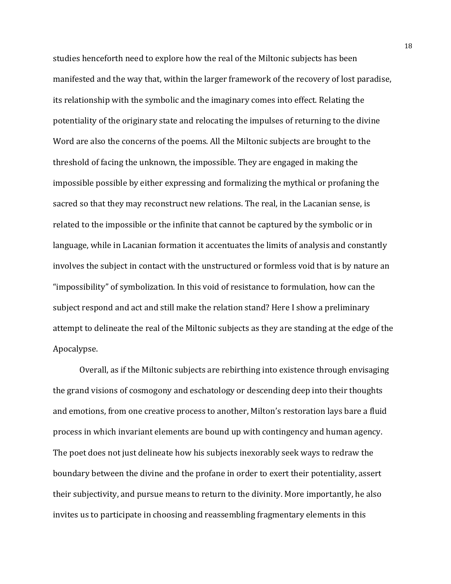studies henceforth need to explore how the real of the Miltonic subjects has been manifested and the way that, within the larger framework of the recovery of lost paradise, its relationship with the symbolic and the imaginary comes into effect. Relating the potentiality of the originary state and relocating the impulses of returning to the divine Word are also the concerns of the poems. All the Miltonic subjects are brought to the threshold of facing the unknown, the impossible. They are engaged in making the impossible possible by either expressing and formalizing the mythical or profaning the sacred so that they may reconstruct new relations. The real, in the Lacanian sense, is related to the impossible or the infinite that cannot be captured by the symbolic or in language, while in Lacanian formation it accentuates the limits of analysis and constantly involves the subject in contact with the unstructured or formless void that is by nature an "impossibility" of symbolization. In this void of resistance to formulation, how can the subject respond and act and still make the relation stand? Here I show a preliminary attempt to delineate the real of the Miltonic subjects as they are standing at the edge of the Apocalypse. 

Overall, as if the Miltonic subjects are rebirthing into existence through envisaging the grand visions of cosmogony and eschatology or descending deep into their thoughts and emotions, from one creative process to another, Milton's restoration lays bare a fluid process in which invariant elements are bound up with contingency and human agency. The poet does not just delineate how his subjects inexorably seek ways to redraw the boundary between the divine and the profane in order to exert their potentiality, assert their subjectivity, and pursue means to return to the divinity. More importantly, he also invites us to participate in choosing and reassembling fragmentary elements in this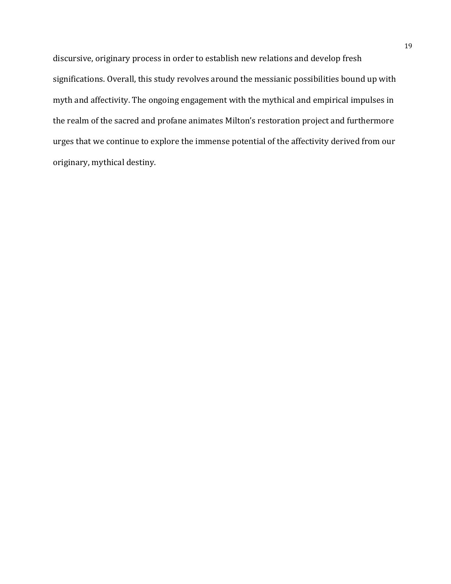discursive, originary process in order to establish new relations and develop fresh significations. Overall, this study revolves around the messianic possibilities bound up with myth and affectivity. The ongoing engagement with the mythical and empirical impulses in the realm of the sacred and profane animates Milton's restoration project and furthermore urges that we continue to explore the immense potential of the affectivity derived from our originary, mythical destiny.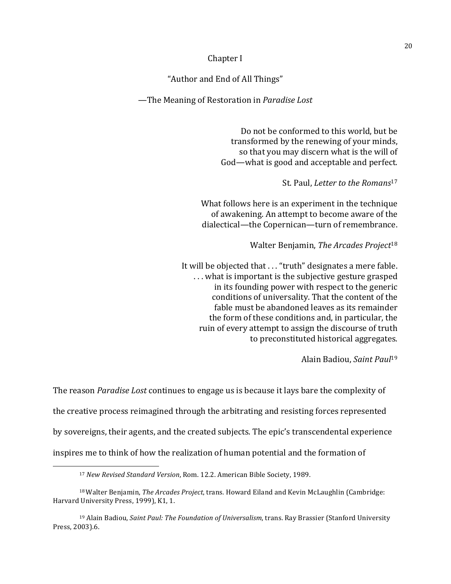#### Chapter I

"Author and End of All Things"

—The Meaning of Restoration in *Paradise Lost*

Do not be conformed to this world, but be transformed by the renewing of your minds, so that you may discern what is the will of God—what is good and acceptable and perfect.

St. Paul, *Letter to the Romans*<sup>17</sup>

What follows here is an experiment in the technique of awakening. An attempt to become aware of the dialectical—the Copernican—turn of remembrance.

Walter Benjamin, *The Arcades Project*<sup>18</sup>

It will be objected that ... "truth" designates a mere fable. ... what is important is the subjective gesture grasped in its founding power with respect to the generic conditions of universality. That the content of the fable must be abandoned leaves as its remainder the form of these conditions and, in particular, the ruin of every attempt to assign the discourse of truth to preconstituted historical aggregates.

Alain Badiou, *Saint Paul*<sup>19</sup>

The reason *Paradise Lost* continues to engage us is because it lays bare the complexity of the creative process reimagined through the arbitrating and resisting forces represented by sovereigns, their agents, and the created subjects. The epic's transcendental experience inspires me to think of how the realization of human potential and the formation of

<sup>&</sup>lt;sup>17</sup> New Revised Standard Version, Rom. 12.2. American Bible Society, 1989.

<sup>&</sup>lt;sup>18</sup> Walter Benjamin, *The Arcades Project*, trans. Howard Eiland and Kevin McLaughlin (Cambridge: Harvard University Press, 1999), K1, 1.

<sup>&</sup>lt;sup>19</sup> Alain Badiou, *Saint Paul: The Foundation of Universalism*, trans. Ray Brassier (Stanford University Press, 2003).6.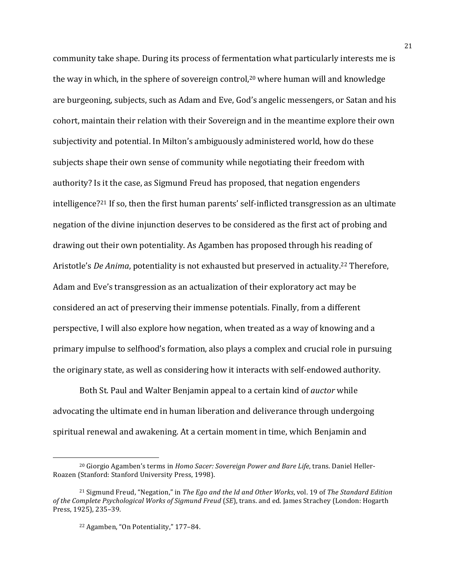community take shape. During its process of fermentation what particularly interests me is the way in which, in the sphere of sovereign control,<sup>20</sup> where human will and knowledge are burgeoning, subjects, such as Adam and Eve, God's angelic messengers, or Satan and his cohort, maintain their relation with their Sovereign and in the meantime explore their own subjectivity and potential. In Milton's ambiguously administered world, how do these subjects shape their own sense of community while negotiating their freedom with authority? Is it the case, as Sigmund Freud has proposed, that negation engenders intelligence?<sup>21</sup> If so, then the first human parents' self-inflicted transgression as an ultimate negation of the divine injunction deserves to be considered as the first act of probing and drawing out their own potentiality. As Agamben has proposed through his reading of Aristotle's *De Anima*, potentiality is not exhausted but preserved in actuality.<sup>22</sup> Therefore, Adam and Eve's transgression as an actualization of their exploratory act may be considered an act of preserving their immense potentials. Finally, from a different perspective, I will also explore how negation, when treated as a way of knowing and a primary impulse to selfhood's formation, also plays a complex and crucial role in pursuing the originary state, as well as considering how it interacts with self-endowed authority.

Both St. Paul and Walter Benjamin appeal to a certain kind of *auctor* while advocating the ultimate end in human liberation and deliverance through undergoing spiritual renewal and awakening. At a certain moment in time, which Benjamin and

<sup>&</sup>lt;sup>20</sup> Giorgio Agamben's terms in *Homo Sacer: Sovereign Power and Bare Life*, trans. Daniel Heller-Roazen (Stanford: Stanford University Press, 1998).

<sup>&</sup>lt;sup>21</sup> Sigmund Freud, "Negation," in *The Ego and the Id and Other Works*, vol. 19 of *The Standard Edition of the Complete Psychological Works of Sigmund Freud (SE)*, trans. and ed. James Strachey (London: Hogarth Press, 1925), 235-39.

<sup>&</sup>lt;sup>22</sup> Agamben, "On Potentiality," 177-84.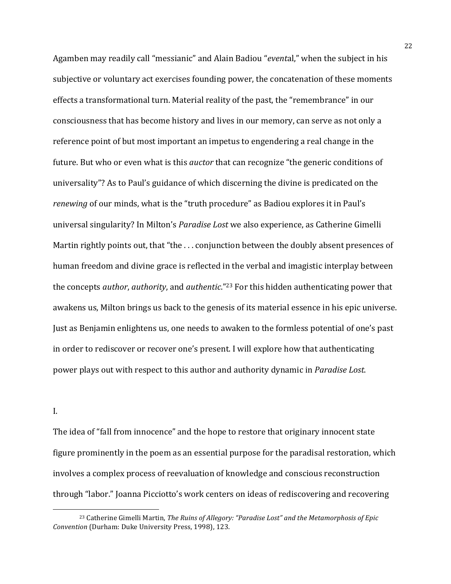Agamben may readily call "messianic" and Alain Badiou "*evental*," when the subject in his subjective or voluntary act exercises founding power, the concatenation of these moments effects a transformational turn. Material reality of the past, the "remembrance" in our consciousness that has become history and lives in our memory, can serve as not only a reference point of but most important an impetus to engendering a real change in the future. But who or even what is this *auctor* that can recognize "the generic conditions of universality"? As to Paul's guidance of which discerning the divine is predicated on the *renewing* of our minds, what is the "truth procedure" as Badiou explores it in Paul's universal singularity? In Milton's *Paradise Lost* we also experience, as Catherine Gimelli Martin rightly points out, that "the  $\dots$  conjunction between the doubly absent presences of human freedom and divine grace is reflected in the verbal and imagistic interplay between the concepts *author*, *authority*, and *authentic*."<sup>23</sup> For this hidden authenticating power that awakens us, Milton brings us back to the genesis of its material essence in his epic universe. Just as Benjamin enlightens us, one needs to awaken to the formless potential of one's past in order to rediscover or recover one's present. I will explore how that authenticating power plays out with respect to this author and authority dynamic in *Paradise Lost*.

#### I.

 

The idea of "fall from innocence" and the hope to restore that originary innocent state figure prominently in the poem as an essential purpose for the paradisal restoration, which involves a complex process of reevaluation of knowledge and conscious reconstruction through "labor." Joanna Picciotto's work centers on ideas of rediscovering and recovering

<sup>&</sup>lt;sup>23</sup> Catherine Gimelli Martin, *The Ruins of Allegory: "Paradise Lost"* and the Metamorphosis of *Epic Convention* (Durham: Duke University Press, 1998), 123.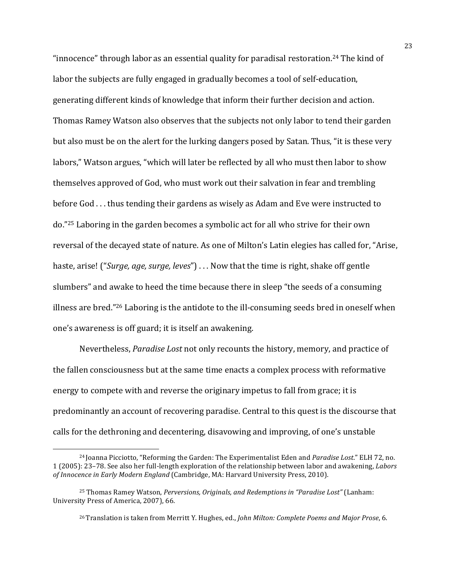"innocence" through labor as an essential quality for paradisal restoration.<sup>24</sup> The kind of labor the subjects are fully engaged in gradually becomes a tool of self-education, generating different kinds of knowledge that inform their further decision and action. Thomas Ramey Watson also observes that the subjects not only labor to tend their garden but also must be on the alert for the lurking dangers posed by Satan. Thus, "it is these very labors," Watson argues, "which will later be reflected by all who must then labor to show themselves approved of God, who must work out their salvation in fear and trembling before God ... thus tending their gardens as wisely as Adam and Eve were instructed to do."<sup>25</sup> Laboring in the garden becomes a symbolic act for all who strive for their own reversal of the decayed state of nature. As one of Milton's Latin elegies has called for, "Arise, haste, arise! ("Surge, age, surge, leves") . . . Now that the time is right, shake off gentle slumbers" and awake to heed the time because there in sleep "the seeds of a consuming illness are bred."<sup>26</sup> Laboring is the antidote to the ill-consuming seeds bred in oneself when one's awareness is off guard; it is itself an awakening.

Nevertheless, *Paradise Lost* not only recounts the history, memory, and practice of the fallen consciousness but at the same time enacts a complex process with reformative energy to compete with and reverse the originary impetus to fall from grace; it is predominantly an account of recovering paradise. Central to this quest is the discourse that calls for the dethroning and decentering, disavowing and improving, of one's unstable

<sup>&</sup>lt;sup>24</sup> Joanna Picciotto, "Reforming the Garden: The Experimentalist Eden and *Paradise Lost*." ELH 72, no. 1 (2005): 23–78. See also her full-length exploration of the relationship between labor and awakening, *Labors of Innocence in Early Modern England* (Cambridge, MA: Harvard University Press, 2010).

<sup>&</sup>lt;sup>25</sup> Thomas Ramey Watson, *Perversions, Originals, and Redemptions in "Paradise Lost"* (Lanham: University Press of America, 2007), 66.

<sup>&</sup>lt;sup>26</sup> Translation is taken from Merritt Y. Hughes, ed., *John Milton: Complete Poems and Major Prose*, 6.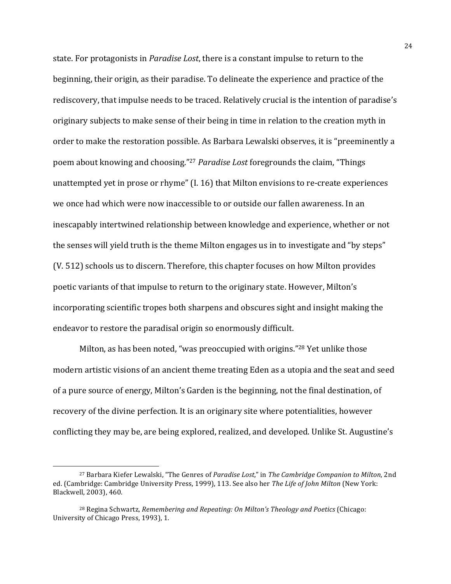state. For protagonists in *Paradise Lost*, there is a constant impulse to return to the beginning, their origin, as their paradise. To delineate the experience and practice of the rediscovery, that impulse needs to be traced. Relatively crucial is the intention of paradise's originary subjects to make sense of their being in time in relation to the creation myth in order to make the restoration possible. As Barbara Lewalski observes, it is "preeminently a poem about knowing and choosing."<sup>27</sup> *Paradise Lost* foregrounds the claim, "Things unattempted yet in prose or rhyme"  $(I. 16)$  that Milton envisions to re-create experiences we once had which were now inaccessible to or outside our fallen awareness. In an inescapably intertwined relationship between knowledge and experience, whether or not the senses will yield truth is the theme Milton engages us in to investigate and "by steps" (V. 512) schools us to discern. Therefore, this chapter focuses on how Milton provides poetic variants of that impulse to return to the originary state. However, Milton's incorporating scientific tropes both sharpens and obscures sight and insight making the endeavor to restore the paradisal origin so enormously difficult.

Milton, as has been noted, "was preoccupied with origins."<sup>28</sup> Yet unlike those modern artistic visions of an ancient theme treating Eden as a utopia and the seat and seed of a pure source of energy, Milton's Garden is the beginning, not the final destination, of recovery of the divine perfection. It is an originary site where potentialities, however conflicting they may be, are being explored, realized, and developed. Unlike St. Augustine's

<sup>&</sup>lt;sup>27</sup> Barbara Kiefer Lewalski, "The Genres of *Paradise Lost*," in *The Cambridge Companion to Milton*, 2nd ed. (Cambridge: Cambridge University Press, 1999), 113. See also her The Life of John Milton (New York: Blackwell, 2003), 460.

<sup>&</sup>lt;sup>28</sup> Regina Schwartz, *Remembering and Repeating: On Milton's Theology and Poetics* (Chicago: University of Chicago Press, 1993), 1.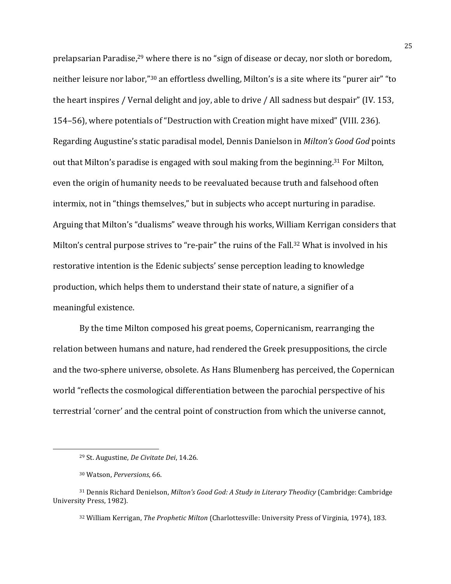prelapsarian Paradise,<sup>29</sup> where there is no "sign of disease or decay, nor sloth or boredom, neither leisure nor labor,"<sup>30</sup> an effortless dwelling, Milton's is a site where its "purer air" "to the heart inspires / Vernal delight and joy, able to drive / All sadness but despair" (IV. 153, 154–56), where potentials of "Destruction with Creation might have mixed" (VIII. 236). Regarding Augustine's static paradisal model, Dennis Danielson in *Milton's Good God* points out that Milton's paradise is engaged with soul making from the beginning.<sup>31</sup> For Milton, even the origin of humanity needs to be reevaluated because truth and falsehood often intermix, not in "things themselves," but in subjects who accept nurturing in paradise. Arguing that Milton's "dualisms" weave through his works, William Kerrigan considers that Milton's central purpose strives to "re-pair" the ruins of the Fall.<sup>32</sup> What is involved in his restorative intention is the Edenic subjects' sense perception leading to knowledge production, which helps them to understand their state of nature, a signifier of a meaningful existence.

By the time Milton composed his great poems, Copernicanism, rearranging the relation between humans and nature, had rendered the Greek presuppositions, the circle and the two-sphere universe, obsolete. As Hans Blumenberg has perceived, the Copernican world "reflects the cosmological differentiation between the parochial perspective of his terrestrial 'corner' and the central point of construction from which the universe cannot,

<sup>&</sup>lt;sup>29</sup> St. Augustine, *De Civitate Dei*, 14.26.

<sup>30</sup> Watson, *Perversions*, 66.

<sup>&</sup>lt;sup>31</sup> Dennis Richard Denielson, *Milton's Good God: A Study in Literary Theodicy* (Cambridge: Cambridge University Press, 1982).

<sup>&</sup>lt;sup>32</sup> William Kerrigan, *The Prophetic Milton* (Charlottesville: University Press of Virginia, 1974), 183.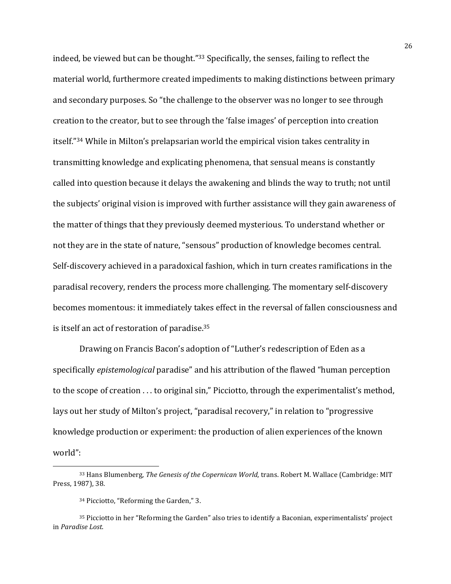indeed, be viewed but can be thought."33 Specifically, the senses, failing to reflect the material world, furthermore created impediments to making distinctions between primary and secondary purposes. So "the challenge to the observer was no longer to see through creation to the creator, but to see through the 'false images' of perception into creation itself."<sup>34</sup> While in Milton's prelapsarian world the empirical vision takes centrality in transmitting knowledge and explicating phenomena, that sensual means is constantly called into question because it delays the awakening and blinds the way to truth; not until the subjects' original vision is improved with further assistance will they gain awareness of the matter of things that they previously deemed mysterious. To understand whether or not they are in the state of nature, "sensous" production of knowledge becomes central. Self-discovery achieved in a paradoxical fashion, which in turn creates ramifications in the paradisal recovery, renders the process more challenging. The momentary self-discovery becomes momentous: it immediately takes effect in the reversal of fallen consciousness and is itself an act of restoration of paradise.<sup>35</sup>

Drawing on Francis Bacon's adoption of "Luther's redescription of Eden as a specifically *epistemological* paradise" and his attribution of the flawed "human perception" to the scope of creation  $\dots$  to original sin," Picciotto, through the experimentalist's method, lays out her study of Milton's project, "paradisal recovery," in relation to "progressive knowledge production or experiment: the production of alien experiences of the known world":

<sup>&</sup>lt;sup>33</sup> Hans Blumenberg, *The Genesis of the Copernican World*, trans. Robert M. Wallace (Cambridge: MIT Press, 1987), 38.

<sup>&</sup>lt;sup>34</sup> Picciotto, "Reforming the Garden," 3.

<sup>&</sup>lt;sup>35</sup> Picciotto in her "Reforming the Garden" also tries to identify a Baconian, experimentalists' project in *Paradise Lost*.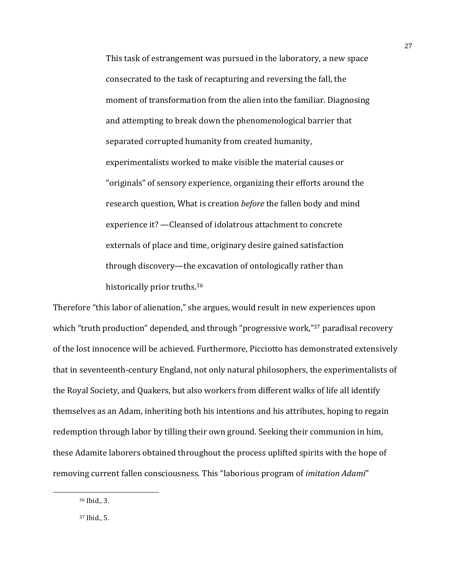This task of estrangement was pursued in the laboratory, a new space consecrated to the task of recapturing and reversing the fall, the moment of transformation from the alien into the familiar. Diagnosing and attempting to break down the phenomenological barrier that separated corrupted humanity from created humanity, experimentalists worked to make visible the material causes or "originals" of sensory experience, organizing their efforts around the research question, What is creation *before* the fallen body and mind experience it? —Cleansed of idolatrous attachment to concrete externals of place and time, originary desire gained satisfaction through discovery—the excavation of ontologically rather than historically prior truths.<sup>36</sup>

Therefore "this labor of alienation," she argues, would result in new experiences upon which "truth production" depended, and through "progressive work,"<sup>37</sup> paradisal recovery of the lost innocence will be achieved. Furthermore, Picciotto has demonstrated extensively that in seventeenth-century England, not only natural philosophers, the experimentalists of the Royal Society, and Quakers, but also workers from different walks of life all identify themselves as an Adam, inheriting both his intentions and his attributes, hoping to regain redemption through labor by tilling their own ground. Seeking their communion in him, these Adamite laborers obtained throughout the process uplifted spirits with the hope of removing current fallen consciousness. This "laborious program of *imitation Adami*"

<sup>36</sup> Ibid., 3.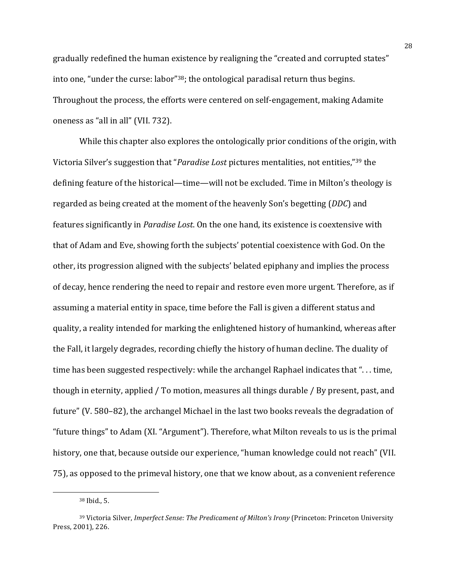gradually redefined the human existence by realigning the "created and corrupted states" into one, "under the curse: labor"<sup>38</sup>; the ontological paradisal return thus begins. Throughout the process, the efforts were centered on self-engagement, making Adamite oneness as "all in all" (VII. 732).

While this chapter also explores the ontologically prior conditions of the origin, with Victoria Silver's suggestion that "*Paradise Lost* pictures mentalities, not entities,"<sup>39</sup> the defining feature of the historical—time—will not be excluded. Time in Milton's theology is regarded as being created at the moment of the heavenly Son's begetting (*DDC*) and features significantly in *Paradise Lost*. On the one hand, its existence is coextensive with that of Adam and Eve, showing forth the subjects' potential coexistence with God. On the other, its progression aligned with the subjects' belated epiphany and implies the process of decay, hence rendering the need to repair and restore even more urgent. Therefore, as if assuming a material entity in space, time before the Fall is given a different status and quality, a reality intended for marking the enlightened history of humankind, whereas after the Fall, it largely degrades, recording chiefly the history of human decline. The duality of time has been suggested respectively: while the archangel Raphael indicates that "... time, though in eternity, applied / To motion, measures all things durable / By present, past, and future" (V. 580–82), the archangel Michael in the last two books reveals the degradation of "future things" to Adam (XI. "Argument"). Therefore, what Milton reveals to us is the primal history, one that, because outside our experience, "human knowledge could not reach" (VII. 75), as opposed to the primeval history, one that we know about, as a convenient reference

 $38$  Ibid., 5.

<sup>&</sup>lt;sup>39</sup> Victoria Silver, *Imperfect Sense: The Predicament of Milton's Irony* (Princeton: Princeton University Press, 2001), 226.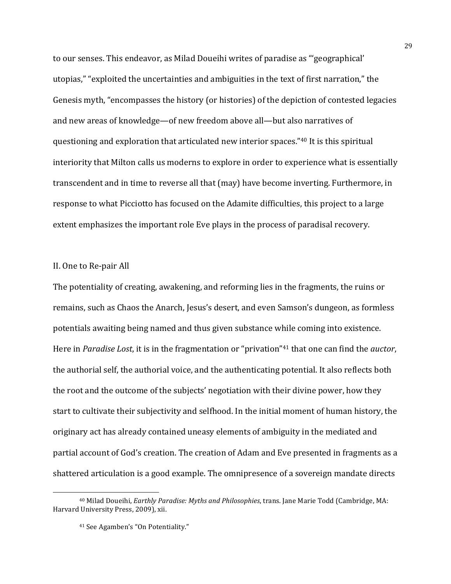to our senses. This endeavor, as Milad Doueihi writes of paradise as "'geographical' utopias," "exploited the uncertainties and ambiguities in the text of first narration," the Genesis myth, "encompasses the history (or histories) of the depiction of contested legacies and new areas of knowledge—of new freedom above all—but also narratives of questioning and exploration that articulated new interior spaces."<sup>40</sup> It is this spiritual interiority that Milton calls us moderns to explore in order to experience what is essentially transcendent and in time to reverse all that (may) have become inverting. Furthermore, in response to what Picciotto has focused on the Adamite difficulties, this project to a large extent emphasizes the important role Eve plays in the process of paradisal recovery.

#### II. One to Re-pair All

The potentiality of creating, awakening, and reforming lies in the fragments, the ruins or remains, such as Chaos the Anarch, Jesus's desert, and even Samson's dungeon, as formless potentials awaiting being named and thus given substance while coming into existence. Here in *Paradise Lost*, it is in the fragmentation or "privation"<sup>41</sup> that one can find the *auctor*, the authorial self, the authorial voice, and the authenticating potential. It also reflects both the root and the outcome of the subjects' negotiation with their divine power, how they start to cultivate their subjectivity and selfhood. In the initial moment of human history, the originary act has already contained uneasy elements of ambiguity in the mediated and partial account of God's creation. The creation of Adam and Eve presented in fragments as a shattered articulation is a good example. The omnipresence of a sovereign mandate directs

<sup>&</sup>lt;sup>40</sup> Milad Doueihi, *Earthly Paradise: Myths and Philosophies*, trans. Jane Marie Todd (Cambridge, MA: Harvard University Press, 2009), xii.

<sup>&</sup>lt;sup>41</sup> See Agamben's "On Potentiality."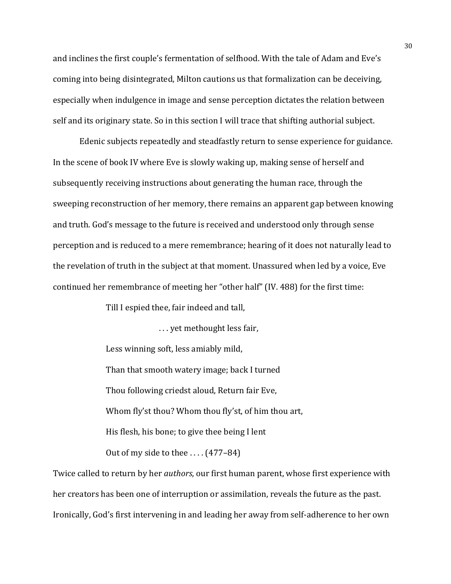and inclines the first couple's fermentation of selfhood. With the tale of Adam and Eve's coming into being disintegrated, Milton cautions us that formalization can be deceiving, especially when indulgence in image and sense perception dictates the relation between self and its originary state. So in this section I will trace that shifting authorial subject.

Edenic subjects repeatedly and steadfastly return to sense experience for guidance. In the scene of book IV where Eve is slowly waking up, making sense of herself and subsequently receiving instructions about generating the human race, through the sweeping reconstruction of her memory, there remains an apparent gap between knowing and truth. God's message to the future is received and understood only through sense perception and is reduced to a mere remembrance; hearing of it does not naturally lead to the revelation of truth in the subject at that moment. Unassured when led by a voice, Eve continued her remembrance of meeting her "other half" (IV. 488) for the first time:

Till I espied thee, fair indeed and tall,

... yet methought less fair, Less winning soft, less amiably mild, Than that smooth watery image; back I turned Thou following criedst aloud, Return fair Eve, Whom fly'st thou? Whom thou fly'st, of him thou art, His flesh, his bone; to give thee being I lent

Out of my side to thee  $\ldots$  (477–84)

Twice called to return by her *authors*, our first human parent, whose first experience with her creators has been one of interruption or assimilation, reveals the future as the past. Ironically, God's first intervening in and leading her away from self-adherence to her own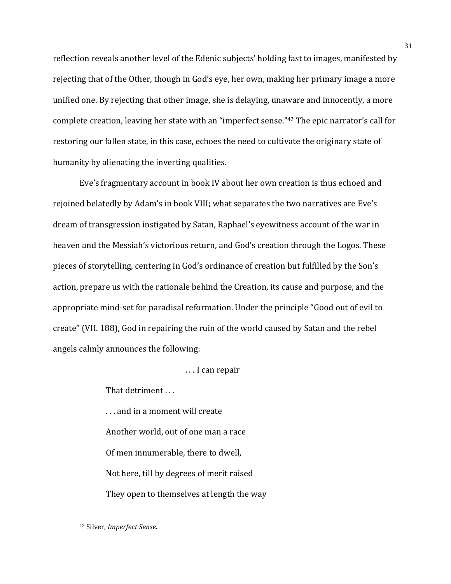reflection reveals another level of the Edenic subjects' holding fast to images, manifested by rejecting that of the Other, though in God's eye, her own, making her primary image a more unified one. By rejecting that other image, she is delaying, unaware and innocently, a more complete creation, leaving her state with an "imperfect sense."<sup>42</sup> The epic narrator's call for restoring our fallen state, in this case, echoes the need to cultivate the originary state of humanity by alienating the inverting qualities.

Eve's fragmentary account in book IV about her own creation is thus echoed and rejoined belatedly by Adam's in book VIII; what separates the two narratives are Eve's dream of transgression instigated by Satan, Raphael's eyewitness account of the war in heaven and the Messiah's victorious return, and God's creation through the Logos. These pieces of storytelling, centering in God's ordinance of creation but fulfilled by the Son's action, prepare us with the rationale behind the Creation, its cause and purpose, and the appropriate mind-set for paradisal reformation. Under the principle "Good out of evil to create" (VII. 188), God in repairing the ruin of the world caused by Satan and the rebel angels calmly announces the following:

... I can repair

That detriment ...

... and in a moment will create Another world, out of one man a race Of men innumerable, there to dwell, Not here, till by degrees of merit raised They open to themselves at length the way

<u> 1989 - Johann Stein, marwolaethau a bhann an t-Amhain Aonaich an t-Amhain Aonaich an t-Amhain Aonaich an t-A</u>

<sup>42</sup> Silver, *Imperfect Sense*.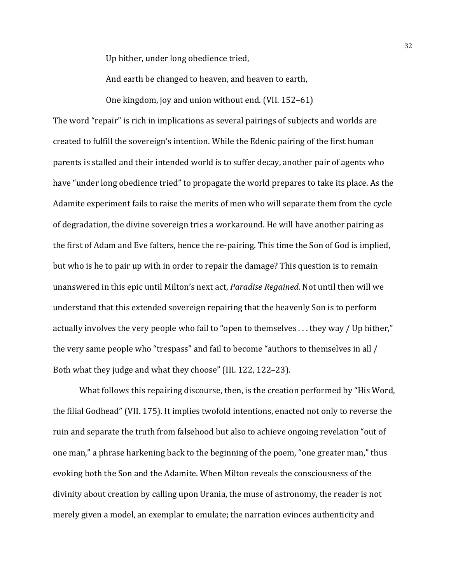Up hither, under long obedience tried,

And earth be changed to heaven, and heaven to earth,

One kingdom, joy and union without end. (VII.  $152-61$ )

The word "repair" is rich in implications as several pairings of subjects and worlds are created to fulfill the sovereign's intention. While the Edenic pairing of the first human parents is stalled and their intended world is to suffer decay, another pair of agents who have "under long obedience tried" to propagate the world prepares to take its place. As the Adamite experiment fails to raise the merits of men who will separate them from the cycle of degradation, the divine sovereign tries a workaround. He will have another pairing as the first of Adam and Eve falters, hence the re-pairing. This time the Son of God is implied, but who is he to pair up with in order to repair the damage? This question is to remain unanswered in this epic until Milton's next act, *Paradise Regained*. Not until then will we understand that this extended sovereign repairing that the heavenly Son is to perform actually involves the very people who fail to "open to themselves  $\dots$  they way / Up hither," the very same people who "trespass" and fail to become "authors to themselves in all / Both what they judge and what they choose" (III. 122, 122–23).

What follows this repairing discourse, then, is the creation performed by "His Word, the filial Godhead" (VII. 175). It implies twofold intentions, enacted not only to reverse the ruin and separate the truth from falsehood but also to achieve ongoing revelation "out of one man," a phrase harkening back to the beginning of the poem, "one greater man," thus evoking both the Son and the Adamite. When Milton reveals the consciousness of the divinity about creation by calling upon Urania, the muse of astronomy, the reader is not merely given a model, an exemplar to emulate; the narration evinces authenticity and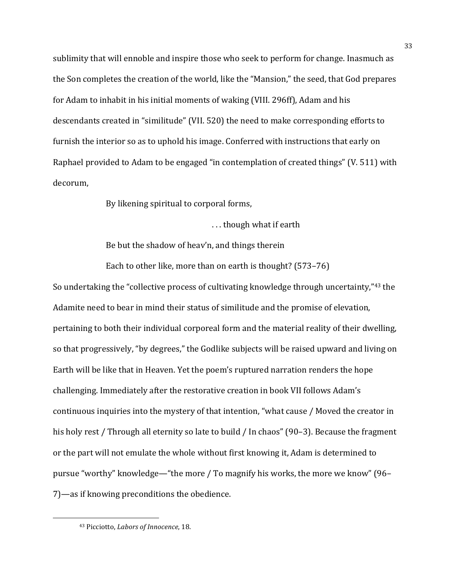sublimity that will ennoble and inspire those who seek to perform for change. Inasmuch as the Son completes the creation of the world, like the "Mansion," the seed, that God prepares for Adam to inhabit in his initial moments of waking (VIII. 296ff), Adam and his descendants created in "similitude" (VII. 520) the need to make corresponding efforts to furnish the interior so as to uphold his image. Conferred with instructions that early on Raphael provided to Adam to be engaged "in contemplation of created things" (V. 511) with decorum, 

By likening spiritual to corporal forms,

... though what if earth

Be but the shadow of heav'n, and things therein

Each to other like, more than on earth is thought?  $(573-76)$ 

So undertaking the "collective process of cultivating knowledge through uncertainty,"<sup>43</sup> the Adamite need to bear in mind their status of similitude and the promise of elevation, pertaining to both their individual corporeal form and the material reality of their dwelling, so that progressively, "by degrees," the Godlike subjects will be raised upward and living on Earth will be like that in Heaven. Yet the poem's ruptured narration renders the hope challenging. Immediately after the restorative creation in book VII follows Adam's continuous inquiries into the mystery of that intention, "what cause / Moved the creator in his holy rest / Through all eternity so late to build / In chaos" (90–3). Because the fragment or the part will not emulate the whole without first knowing it, Adam is determined to pursue "worthy" knowledge—"the more / To magnify his works, the more we know" (96– 7)—as if knowing preconditions the obedience.

<u> 1989 - Johann Stein, marwolaethau a bhann an t-Amhain Aonaich an t-Amhain Aonaich an t-Amhain Aonaich an t-A</u>

<sup>&</sup>lt;sup>43</sup> Picciotto, *Labors* of *Innocence*, 18.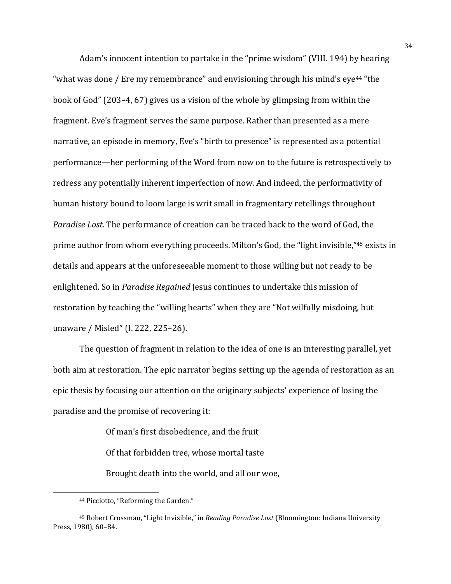Adam's innocent intention to partake in the "prime wisdom" (VIII. 194) by hearing "what was done / Ere my remembrance" and envisioning through his mind's  $eye^{44}$  "the book of God" (203–4, 67) gives us a vision of the whole by glimpsing from within the fragment. Eve's fragment serves the same purpose. Rather than presented as a mere narrative, an episode in memory, Eve's "birth to presence" is represented as a potential performance—her performing of the Word from now on to the future is retrospectively to redress any potentially inherent imperfection of now. And indeed, the performativity of human history bound to loom large is writ small in fragmentary retellings throughout *Paradise Lost*. The performance of creation can be traced back to the word of God, the prime author from whom everything proceeds. Milton's God, the "light invisible,"<sup>45</sup> exists in details and appears at the unforeseeable moment to those willing but not ready to be enlightened. So in *Paradise Regained* Jesus continues to undertake this mission of restoration by teaching the "willing hearts" when they are "Not wilfully misdoing, but unaware / Misled" (I. 222, 225-26).

The question of fragment in relation to the idea of one is an interesting parallel, yet both aim at restoration. The epic narrator begins setting up the agenda of restoration as an epic thesis by focusing our attention on the originary subjects' experience of losing the paradise and the promise of recovering it:

Of man's first disobedience, and the fruit

Of that forbidden tree, whose mortal taste

Brought death into the world, and all our woe,

<u> 1989 - Johann Stein, marwolaethau a bhann an t-Amhain Aonaich an t-Amhain Aonaich an t-Amhain Aonaich an t-A</u>

<sup>&</sup>lt;sup>44</sup> Picciotto, "Reforming the Garden."

<sup>&</sup>lt;sup>45</sup> Robert Crossman, "Light Invisible," in *Reading Paradise Lost* (Bloomington: Indiana University Press, 1980), 60-84.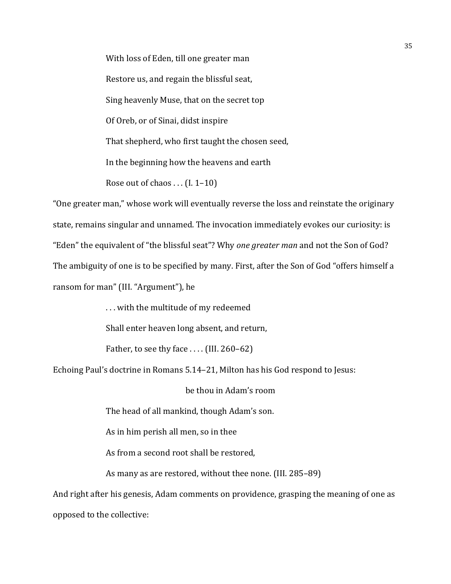With loss of Eden, till one greater man Restore us, and regain the blissful seat, Sing heavenly Muse, that on the secret top Of Oreb, or of Sinai, didst inspire That shepherd, who first taught the chosen seed, In the beginning how the heavens and earth Rose out of chaos  $\dots$  (I. 1–10)

"One greater man," whose work will eventually reverse the loss and reinstate the originary state, remains singular and unnamed. The invocation immediately evokes our curiosity: is "Eden" the equivalent of "the blissful seat"? Why *one greater man* and not the Son of God? The ambiguity of one is to be specified by many. First, after the Son of God "offers himself a ransom for man" (III. "Argument"), he

... with the multitude of my redeemed

Shall enter heaven long absent, and return,

Father, to see thy face  $\dots$  (III. 260–62)

Echoing Paul's doctrine in Romans 5.14–21, Milton has his God respond to Jesus:

be thou in Adam's room

The head of all mankind, though Adam's son.

As in him perish all men, so in thee

As from a second root shall be restored,

As many as are restored, without thee none. (III. 285–89)

And right after his genesis, Adam comments on providence, grasping the meaning of one as opposed to the collective: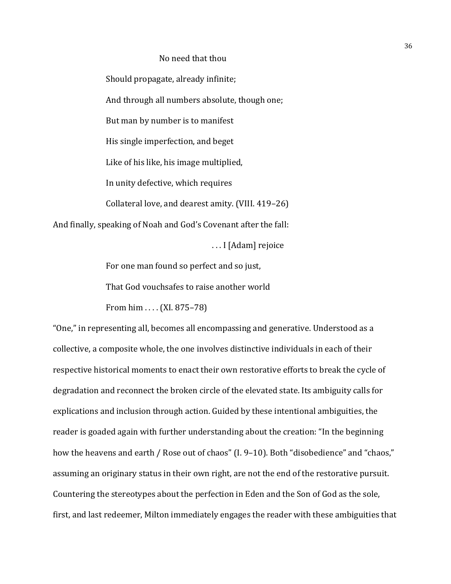# No need that thou

Should propagate, already infinite; And through all numbers absolute, though one; But man by number is to manifest His single imperfection, and beget Like of his like, his image multiplied, In unity defective, which requires Collateral love, and dearest amity. (VIII. 419–26)

And finally, speaking of Noah and God's Covenant after the fall:

... I [Adam] rejoice

For one man found so perfect and so just,

That God vouchsafes to raise another world

From  $\lim$ .... (XI. 875–78)

"One," in representing all, becomes all encompassing and generative. Understood as a collective, a composite whole, the one involves distinctive individuals in each of their respective historical moments to enact their own restorative efforts to break the cycle of degradation and reconnect the broken circle of the elevated state. Its ambiguity calls for explications and inclusion through action. Guided by these intentional ambiguities, the reader is goaded again with further understanding about the creation: "In the beginning how the heavens and earth / Rose out of chaos" (I. 9–10). Both "disobedience" and "chaos," assuming an originary status in their own right, are not the end of the restorative pursuit. Countering the stereotypes about the perfection in Eden and the Son of God as the sole, first, and last redeemer, Milton immediately engages the reader with these ambiguities that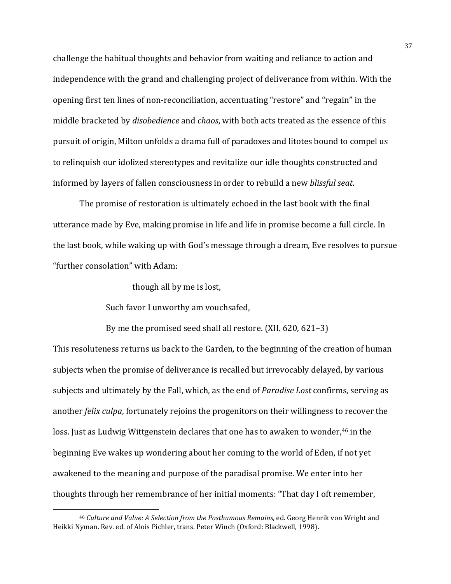challenge the habitual thoughts and behavior from waiting and reliance to action and independence with the grand and challenging project of deliverance from within. With the opening first ten lines of non-reconciliation, accentuating "restore" and "regain" in the middle bracketed by *disobedience* and *chaos*, with both acts treated as the essence of this pursuit of origin, Milton unfolds a drama full of paradoxes and litotes bound to compel us to relinquish our idolized stereotypes and revitalize our idle thoughts constructed and informed by layers of fallen consciousness in order to rebuild a new *blissful seat*.

The promise of restoration is ultimately echoed in the last book with the final utterance made by Eve, making promise in life and life in promise become a full circle. In the last book, while waking up with God's message through a dream, Eve resolves to pursue "further consolation" with Adam:

though all by me is lost,

Such favor I unworthy am vouchsafed,

 

By me the promised seed shall all restore.  $(XII. 620, 621-3)$ 

This resoluteness returns us back to the Garden, to the beginning of the creation of human subjects when the promise of deliverance is recalled but irrevocably delayed, by various subjects and ultimately by the Fall, which, as the end of *Paradise Lost* confirms, serving as another *felix culpa*, fortunately rejoins the progenitors on their willingness to recover the loss. Just as Ludwig Wittgenstein declares that one has to awaken to wonder,<sup>46</sup> in the beginning Eve wakes up wondering about her coming to the world of Eden, if not yet awakened to the meaning and purpose of the paradisal promise. We enter into her thoughts through her remembrance of her initial moments: "That day I oft remember,

<sup>&</sup>lt;sup>46</sup> Culture and Value: A Selection from the Posthumous Remains, ed. Georg Henrik von Wright and Heikki Nyman. Rev. ed. of Alois Pichler, trans. Peter Winch (Oxford: Blackwell, 1998).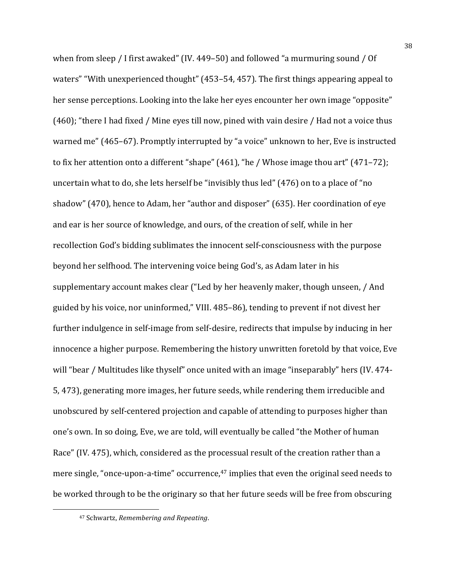when from sleep / I first awaked" (IV. 449–50) and followed "a murmuring sound / Of waters" "With unexperienced thought" (453–54, 457). The first things appearing appeal to her sense perceptions. Looking into the lake her eyes encounter her own image "opposite"  $(460)$ ; "there I had fixed / Mine eyes till now, pined with vain desire / Had not a voice thus warned me" (465–67). Promptly interrupted by "a voice" unknown to her, Eve is instructed to fix her attention onto a different "shape"  $(461)$ , "he / Whose image thou art"  $(471-72)$ ; uncertain what to do, she lets herself be "invisibly thus led"  $(476)$  on to a place of "no shadow" (470), hence to Adam, her "author and disposer" (635). Her coordination of eye and ear is her source of knowledge, and ours, of the creation of self, while in her recollection God's bidding sublimates the innocent self-consciousness with the purpose beyond her selfhood. The intervening voice being God's, as Adam later in his supplementary account makes clear ("Led by her heavenly maker, though unseen, / And guided by his voice, nor uninformed," VIII. 485-86), tending to prevent if not divest her further indulgence in self-image from self-desire, redirects that impulse by inducing in her innocence a higher purpose. Remembering the history unwritten foretold by that voice, Eve will "bear / Multitudes like thyself" once united with an image "inseparably" hers (IV. 474-5, 473), generating more images, her future seeds, while rendering them irreducible and unobscured by self-centered projection and capable of attending to purposes higher than one's own. In so doing, Eve, we are told, will eventually be called "the Mother of human Race" (IV. 475), which, considered as the processual result of the creation rather than a mere single, "once-upon-a-time" occurrence, $47$  implies that even the original seed needs to be worked through to be the originary so that her future seeds will be free from obscuring

<sup>47</sup> Schwartz, *Remembering and Repeating*.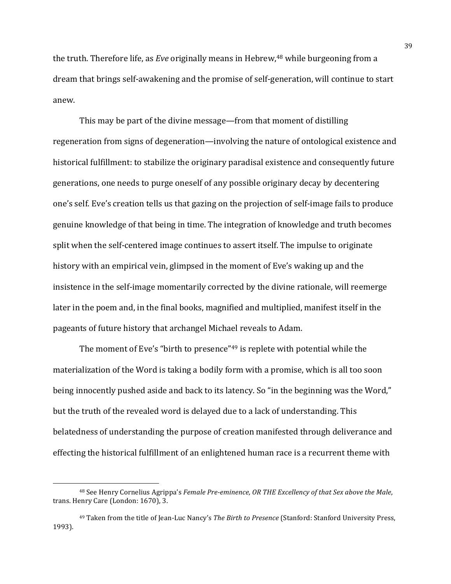the truth. Therefore life, as *Eve* originally means in Hebrew,<sup>48</sup> while burgeoning from a dream that brings self-awakening and the promise of self-generation, will continue to start anew. 

This may be part of the divine message—from that moment of distilling regeneration from signs of degeneration—involving the nature of ontological existence and historical fulfillment: to stabilize the originary paradisal existence and consequently future generations, one needs to purge oneself of any possible originary decay by decentering one's self. Eve's creation tells us that gazing on the projection of self-image fails to produce genuine knowledge of that being in time. The integration of knowledge and truth becomes split when the self-centered image continues to assert itself. The impulse to originate history with an empirical vein, glimpsed in the moment of Eve's waking up and the insistence in the self-image momentarily corrected by the divine rationale, will reemerge later in the poem and, in the final books, magnified and multiplied, manifest itself in the pageants of future history that archangel Michael reveals to Adam.

The moment of Eve's "birth to presence" $49$  is replete with potential while the materialization of the Word is taking a bodily form with a promise, which is all too soon being innocently pushed aside and back to its latency. So "in the beginning was the Word," but the truth of the revealed word is delayed due to a lack of understanding. This belatedness of understanding the purpose of creation manifested through deliverance and effecting the historical fulfillment of an enlightened human race is a recurrent theme with

<sup>&</sup>lt;sup>48</sup> See Henry Cornelius Agrippa's *Female Pre-eminence, OR THE Excellency of that Sex above the Male*, trans. Henry Care (London: 1670), 3.

<sup>&</sup>lt;sup>49</sup> Taken from the title of Jean-Luc Nancy's *The Birth to Presence* (Stanford: Stanford University Press, 1993).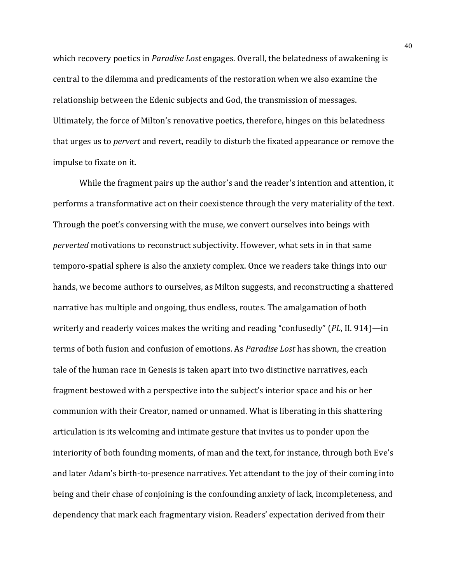which recovery poetics in *Paradise Lost* engages. Overall, the belatedness of awakening is central to the dilemma and predicaments of the restoration when we also examine the relationship between the Edenic subjects and God, the transmission of messages. Ultimately, the force of Milton's renovative poetics, therefore, hinges on this belatedness that urges us to *pervert* and revert, readily to disturb the fixated appearance or remove the impulse to fixate on it.

While the fragment pairs up the author's and the reader's intention and attention, it performs a transformative act on their coexistence through the very materiality of the text. Through the poet's conversing with the muse, we convert ourselves into beings with *perverted* motivations to reconstruct subjectivity. However, what sets in in that same temporo-spatial sphere is also the anxiety complex. Once we readers take things into our hands, we become authors to ourselves, as Milton suggests, and reconstructing a shattered narrative has multiple and ongoing, thus endless, routes. The amalgamation of both writerly and readerly voices makes the writing and reading "confusedly" (*PL*, II. 914)—in terms of both fusion and confusion of emotions. As *Paradise Lost* has shown, the creation tale of the human race in Genesis is taken apart into two distinctive narratives, each fragment bestowed with a perspective into the subject's interior space and his or her communion with their Creator, named or unnamed. What is liberating in this shattering articulation is its welcoming and intimate gesture that invites us to ponder upon the interiority of both founding moments, of man and the text, for instance, through both Eve's and later Adam's birth-to-presence narratives. Yet attendant to the joy of their coming into being and their chase of conjoining is the confounding anxiety of lack, incompleteness, and dependency that mark each fragmentary vision. Readers' expectation derived from their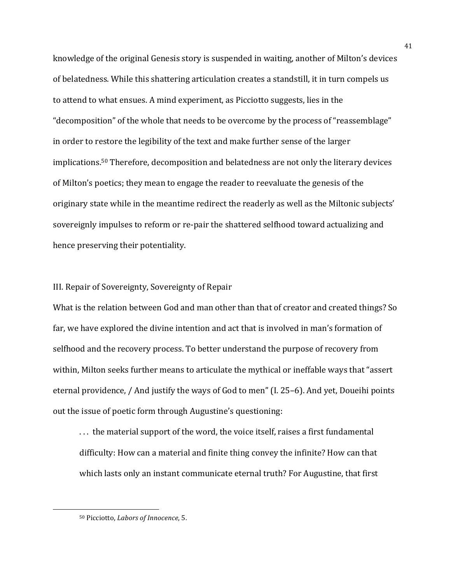knowledge of the original Genesis story is suspended in waiting, another of Milton's devices of belatedness. While this shattering articulation creates a standstill, it in turn compels us to attend to what ensues. A mind experiment, as Picciotto suggests, lies in the "decomposition" of the whole that needs to be overcome by the process of "reassemblage" in order to restore the legibility of the text and make further sense of the larger implications.<sup>50</sup> Therefore, decomposition and belatedness are not only the literary devices of Milton's poetics; they mean to engage the reader to reevaluate the genesis of the originary state while in the meantime redirect the readerly as well as the Miltonic subjects' sovereignly impulses to reform or re-pair the shattered selfhood toward actualizing and hence preserving their potentiality.

# III. Repair of Sovereignty, Sovereignty of Repair

What is the relation between God and man other than that of creator and created things? So far, we have explored the divine intention and act that is involved in man's formation of selfhood and the recovery process. To better understand the purpose of recovery from within, Milton seeks further means to articulate the mythical or ineffable ways that "assert eternal providence, / And justify the ways of God to men" (I. 25-6). And yet, Doueihi points out the issue of poetic form through Augustine's questioning:

... the material support of the word, the voice itself, raises a first fundamental difficulty: How can a material and finite thing convey the infinite? How can that which lasts only an instant communicate eternal truth? For Augustine, that first

<sup>50</sup> Picciotto, *Labors* of *Innocence*, 5.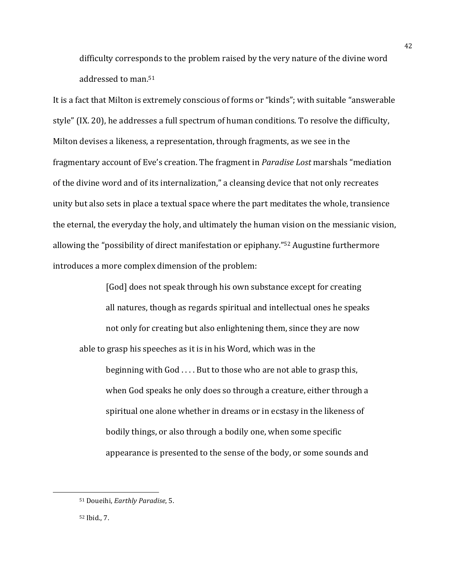difficulty corresponds to the problem raised by the very nature of the divine word addressed to man.<sup>51</sup>

It is a fact that Milton is extremely conscious of forms or "kinds"; with suitable "answerable style" (IX. 20), he addresses a full spectrum of human conditions. To resolve the difficulty, Milton devises a likeness, a representation, through fragments, as we see in the fragmentary account of Eve's creation. The fragment in *Paradise Lost* marshals "mediation of the divine word and of its internalization," a cleansing device that not only recreates unity but also sets in place a textual space where the part meditates the whole, transience the eternal, the everyday the holy, and ultimately the human vision on the messianic vision, allowing the "possibility of direct manifestation or epiphany."<sup>52</sup> Augustine furthermore introduces a more complex dimension of the problem:

[God] does not speak through his own substance except for creating all natures, though as regards spiritual and intellectual ones he speaks not only for creating but also enlightening them, since they are now able to grasp his speeches as it is in his Word, which was in the beginning with  $God \ldots$ . But to those who are not able to grasp this, when God speaks he only does so through a creature, either through a spiritual one alone whether in dreams or in ecstasy in the likeness of bodily things, or also through a bodily one, when some specific appearance is presented to the sense of the body, or some sounds and

<sup>52</sup> Ibid., 7.

<sup>51</sup> Doueihi, *Earthly Paradise*, 5.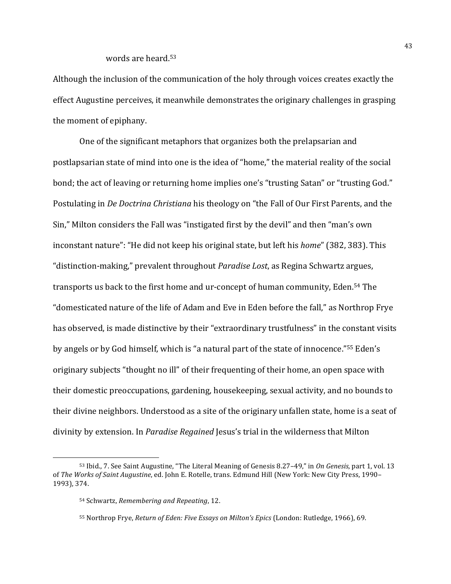# words are heard.<sup>53</sup>

Although the inclusion of the communication of the holy through voices creates exactly the effect Augustine perceives, it meanwhile demonstrates the originary challenges in grasping the moment of epiphany.

One of the significant metaphors that organizes both the prelapsarian and postlapsarian state of mind into one is the idea of "home," the material reality of the social bond; the act of leaving or returning home implies one's "trusting Satan" or "trusting God." Postulating in *De Doctring Christiang* his theology on "the Fall of Our First Parents, and the Sin," Milton considers the Fall was "instigated first by the devil" and then "man's own inconstant nature": "He did not keep his original state, but left his *home*" (382, 383). This "distinction-making," prevalent throughout *Paradise Lost*, as Regina Schwartz argues, transports us back to the first home and ur-concept of human community, Eden.<sup>54</sup> The "domesticated nature of the life of Adam and Eve in Eden before the fall," as Northrop Frye has observed, is made distinctive by their "extraordinary trustfulness" in the constant visits by angels or by God himself, which is "a natural part of the state of innocence."<sup>55</sup> Eden's originary subjects "thought no ill" of their frequenting of their home, an open space with their domestic preoccupations, gardening, housekeeping, sexual activity, and no bounds to their divine neighbors. Understood as a site of the originary unfallen state, home is a seat of divinity by extension. In *Paradise Regained* Jesus's trial in the wilderness that Milton

<u> 1989 - Johann Stein, mars et al. 1989 - Anna ann an t-Anna ann an t-Anna ann an t-Anna ann an t-Anna ann an t-</u>

<sup>53</sup> Ibid., 7. See Saint Augustine, "The Literal Meaning of Genesis 8.27–49," in On Genesis, part 1, vol. 13 of *The Works of Saint Augustine*, ed. John E. Rotelle, trans. Edmund Hill (New York: New City Press, 1990– 1993), 374.

<sup>54</sup> Schwartz, *Remembering and Repeating*, 12.

<sup>55</sup> Northrop Frye, *Return of Eden: Five Essays on Milton's Epics* (London: Rutledge, 1966), 69.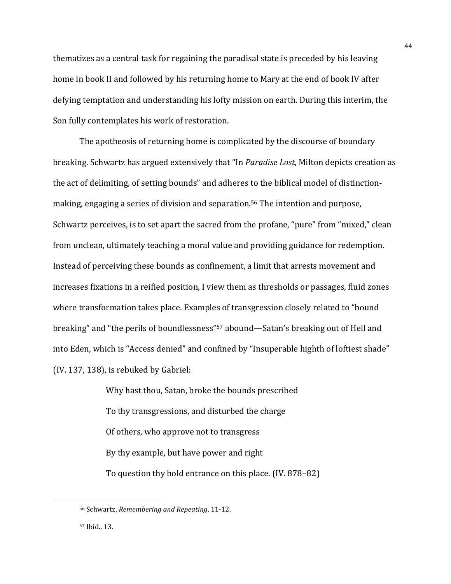thematizes as a central task for regaining the paradisal state is preceded by his leaving home in book II and followed by his returning home to Mary at the end of book IV after defying temptation and understanding his lofty mission on earth. During this interim, the Son fully contemplates his work of restoration.

The apotheosis of returning home is complicated by the discourse of boundary breaking. Schwartz has argued extensively that "In *Paradise Lost*, Milton depicts creation as the act of delimiting, of setting bounds" and adheres to the biblical model of distinctionmaking, engaging a series of division and separation.<sup>56</sup> The intention and purpose, Schwartz perceives, is to set apart the sacred from the profane, "pure" from "mixed," clean from unclean, ultimately teaching a moral value and providing guidance for redemption. Instead of perceiving these bounds as confinement, a limit that arrests movement and increases fixations in a reified position, I view them as thresholds or passages, fluid zones where transformation takes place. Examples of transgression closely related to "bound" breaking" and "the perils of boundlessness"<sup>57</sup> abound—Satan's breaking out of Hell and into Eden, which is "Access denied" and confined by "Insuperable highth of loftiest shade"  $(IV. 137, 138)$ , is rebuked by Gabriel:

> Why hast thou, Satan, broke the bounds prescribed To thy transgressions, and disturbed the charge Of others, who approve not to transgress By thy example, but have power and right To question thy bold entrance on this place. (IV. 878–82)

44

<sup>56</sup> Schwartz, *Remembering and Repeating*, 11-12.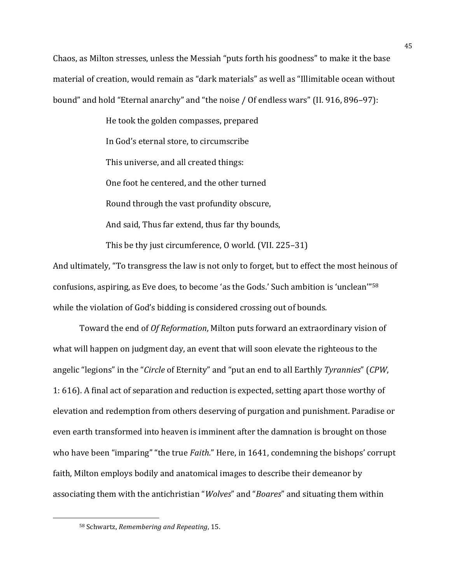Chaos, as Milton stresses, unless the Messiah "puts forth his goodness" to make it the base material of creation, would remain as "dark materials" as well as "Illimitable ocean without bound" and hold "Eternal anarchy" and "the noise / Of endless wars" (II. 916, 896–97):

> He took the golden compasses, prepared In God's eternal store, to circumscribe This universe, and all created things: One foot he centered, and the other turned Round through the vast profundity obscure, And said, Thus far extend, thus far thy bounds, This be thy just circumference,  $0$  world. (VII. 225–31)

And ultimately, "To transgress the law is not only to forget, but to effect the most heinous of confusions, aspiring, as Eve does, to become 'as the Gods.' Such ambition is 'unclean'"<sup>58</sup> while the violation of God's bidding is considered crossing out of bounds.

Toward the end of *Of Reformation*, Milton puts forward an extraordinary vision of what will happen on judgment day, an event that will soon elevate the righteous to the angelic "legions" in the "*Circle* of Eternity" and "put an end to all Earthly *Tyrannies*" (*CPW*, 1: 616). A final act of separation and reduction is expected, setting apart those worthy of elevation and redemption from others deserving of purgation and punishment. Paradise or even earth transformed into heaven is imminent after the damnation is brought on those who have been "imparing" "the true *Faith.*" Here, in 1641, condemning the bishops' corrupt faith, Milton employs bodily and anatomical images to describe their demeanor by associating them with the antichristian "*Wolves*" and "*Boares*" and situating them within

<sup>58</sup> Schwartz, *Remembering and Repeating*, 15.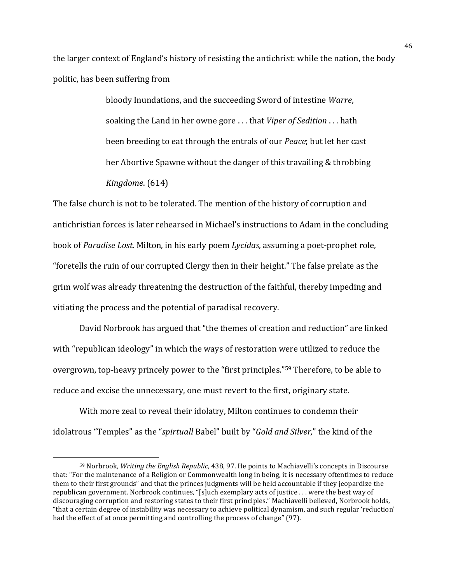the larger context of England's history of resisting the antichrist: while the nation, the body politic, has been suffering from

> bloody Inundations, and the succeeding Sword of intestine *Warre*, soaking the Land in her owne gore ... that *Viper of Sedition* ... hath been breeding to eat through the entrals of our *Peace*; but let her cast her Abortive Spawne without the danger of this travailing & throbbing *Kingdome.* (614)

The false church is not to be tolerated. The mention of the history of corruption and antichristian forces is later rehearsed in Michael's instructions to Adam in the concluding book of *Paradise Lost*. Milton, in his early poem *Lycidas*, assuming a poet-prophet role, "foretells the ruin of our corrupted Clergy then in their height." The false prelate as the grim wolf was already threatening the destruction of the faithful, thereby impeding and vitiating the process and the potential of paradisal recovery.

David Norbrook has argued that "the themes of creation and reduction" are linked with "republican ideology" in which the ways of restoration were utilized to reduce the overgrown, top-heavy princely power to the "first principles."<sup>59</sup> Therefore, to be able to reduce and excise the unnecessary, one must revert to the first, originary state.

With more zeal to reveal their idolatry, Milton continues to condemn their idolatrous "Temples" as the "*spirtuall* Babel" built by "*Gold and Silver*," the kind of the

<sup>59</sup> Norbrook, *Writing the English Republic*, 438, 97. He points to Machiavelli's concepts in Discourse that: "For the maintenance of a Religion or Commonwealth long in being, it is necessary oftentimes to reduce them to their first grounds" and that the princes judgments will be held accountable if they jeopardize the republican government. Norbrook continues, "[s]uch exemplary acts of justice . . . were the best way of discouraging corruption and restoring states to their first principles." Machiavelli believed, Norbrook holds, "that a certain degree of instability was necessary to achieve political dynamism, and such regular 'reduction' had the effect of at once permitting and controlling the process of change" (97).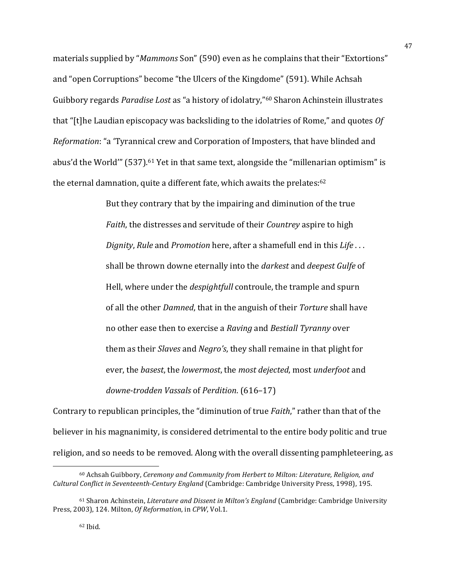materials supplied by "*Mammons* Son" (590) even as he complains that their "Extortions" and "open Corruptions" become "the Ulcers of the Kingdome" (591). While Achsah Guibbory regards *Paradise Lost* as "a history of idolatry,"<sup>60</sup> Sharon Achinstein illustrates that "[t]he Laudian episcopacy was backsliding to the idolatries of Rome," and quotes *Of Reformation*: "a 'Tyrannical crew and Corporation of Imposters, that have blinded and abus'd the World'"  $(537)$ .<sup>61</sup> Yet in that same text, alongside the "millenarian optimism" is the eternal damnation, quite a different fate, which awaits the prelates: $62$ 

> But they contrary that by the impairing and diminution of the true *Faith*, the distresses and servitude of their *Countrey* aspire to high *Dignity*, *Rule* and *Promotion* here, after a shamefull end in this *Life* ... shall be thrown downe eternally into the *darkest* and *deepest Gulfe* of Hell, where under the *despightfull* controule, the trample and spurn of all the other *Damned*, that in the anguish of their *Torture* shall have no other ease then to exercise a *Raving* and *Bestiall Tyranny* over them as their *Slaves* and *Negro's*, they shall remaine in that plight for ever, the *basest*, the *lowermost*, the *most dejected*, most *underfoot* and *downe-trodden Vassals* of *Perdition*. (616–17)

Contrary to republican principles, the "diminution of true *Faith*," rather than that of the believer in his magnanimity, is considered detrimental to the entire body politic and true religion, and so needs to be removed. Along with the overall dissenting pamphleteering, as

<sup>&</sup>lt;sup>60</sup> Achsah Guibbory, *Ceremony and Community from Herbert to Milton: Literature, Religion, and Cultural Conflict in Seventeenth-Century England* (Cambridge: Cambridge University Press, 1998), 195.

<sup>61</sup> Sharon Achinstein, *Literature and Dissent in Milton's England* (Cambridge: Cambridge University Press, 2003), 124. Milton, Of Reformation, in CPW, Vol.1.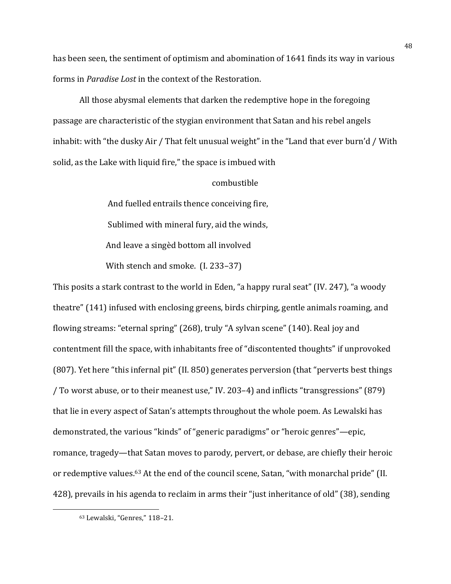has been seen, the sentiment of optimism and abomination of 1641 finds its way in various forms in *Paradise Lost* in the context of the Restoration.

All those abysmal elements that darken the redemptive hope in the foregoing passage are characteristic of the stygian environment that Satan and his rebel angels inhabit: with "the dusky Air / That felt unusual weight" in the "Land that ever burn'd / With solid, as the Lake with liquid fire," the space is imbued with

# combustible

And fuelled entrails thence conceiving fire, Sublimed with mineral fury, aid the winds, And leave a singèd bottom all involved With stench and smoke. (I. 233–37)

This posits a stark contrast to the world in Eden, "a happy rural seat" (IV. 247), "a woody theatre" (141) infused with enclosing greens, birds chirping, gentle animals roaming, and flowing streams: "eternal spring" (268), truly "A sylvan scene" (140). Real joy and contentment fill the space, with inhabitants free of "discontented thoughts" if unprovoked (807). Yet here "this infernal pit" (II. 850) generates perversion (that "perverts best things / To worst abuse, or to their meanest use," IV. 203–4) and inflicts "transgressions" (879) that lie in every aspect of Satan's attempts throughout the whole poem. As Lewalski has demonstrated, the various "kinds" of "generic paradigms" or "heroic genres"—epic, romance, tragedy—that Satan moves to parody, pervert, or debase, are chiefly their heroic or redemptive values.<sup>63</sup> At the end of the council scene, Satan, "with monarchal pride" (II. 428), prevails in his agenda to reclaim in arms their "just inheritance of old" (38), sending

<sup>63</sup> Lewalski, "Genres," 118-21.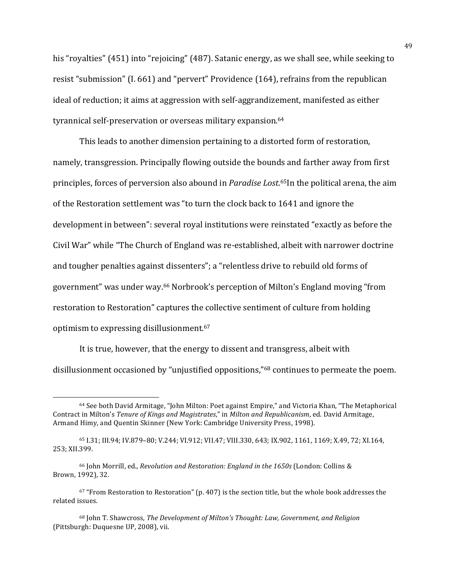his "royalties" (451) into "rejoicing" (487). Satanic energy, as we shall see, while seeking to resist "submission" (I. 661) and "pervert" Providence (164), refrains from the republican ideal of reduction; it aims at aggression with self-aggrandizement, manifested as either tyrannical self-preservation or overseas military expansion.<sup>64</sup>

This leads to another dimension pertaining to a distorted form of restoration, namely, transgression. Principally flowing outside the bounds and farther away from first principles, forces of perversion also abound in *Paradise Lost*.<sup>65</sup>In the political arena, the aim of the Restoration settlement was "to turn the clock back to 1641 and ignore the development in between": several royal institutions were reinstated "exactly as before the Civil War" while "The Church of England was re-established, albeit with narrower doctrine and tougher penalties against dissenters"; a "relentless drive to rebuild old forms of government" was under way.<sup>66</sup> Norbrook's perception of Milton's England moving "from restoration to Restoration" captures the collective sentiment of culture from holding optimism to expressing disillusionment.<sup>67</sup>

It is true, however, that the energy to dissent and transgress, albeit with disillusionment occasioned by "unjustified oppositions,"<sup>68</sup> continues to permeate the poem.

<sup>66</sup> John Morrill, ed., *Revolution and Restoration: England in the 1650s* (London: Collins & Brown, 1992), 32.

<sup>&</sup>lt;sup>64</sup> See both David Armitage, "John Milton: Poet against Empire," and Victoria Khan, "The Metaphorical Contract in Milton's *Tenure of Kings and Magistrates*," in *Milton and Republicanism*, ed. David Armitage, Armand Himy, and Quentin Skinner (New York: Cambridge University Press, 1998).

<sup>65</sup> I.31; III.94; IV.879-80; V.244; VI.912; VII.47; VIII.330, 643; IX.902, 1161, 1169; X.49, 72; XI.164, 253; XII.399.

 $67$  "From Restoration to Restoration" (p. 407) is the section title, but the whole book addresses the related issues.

<sup>&</sup>lt;sup>68</sup> John T. Shawcross, *The Development of Milton's Thought: Law, Government, and Religion* (Pittsburgh: Duquesne UP, 2008), vii.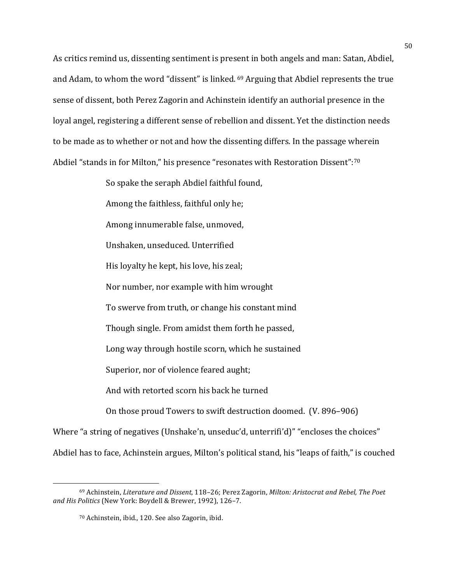As critics remind us, dissenting sentiment is present in both angels and man: Satan, Abdiel, and Adam, to whom the word "dissent" is linked.  $69$  Arguing that Abdiel represents the true sense of dissent, both Perez Zagorin and Achinstein identify an authorial presence in the loyal angel, registering a different sense of rebellion and dissent. Yet the distinction needs to be made as to whether or not and how the dissenting differs. In the passage wherein Abdiel "stands in for Milton," his presence "resonates with Restoration Dissent":<sup>70</sup>

> So spake the seraph Abdiel faithful found, Among the faithless, faithful only he: Among innumerable false, unmoved, Unshaken, unseduced. Unterrified His loyalty he kept, his love, his zeal; Nor number, nor example with him wrought To swerve from truth, or change his constant mind Though single. From amidst them forth he passed, Long way through hostile scorn, which he sustained Superior, nor of violence feared aught; And with retorted scorn his back he turned On those proud Towers to swift destruction doomed. (V. 896–906)

Where "a string of negatives (Unshake'n, unseduc'd, unterrifi'd)" "encloses the choices" Abdiel has to face, Achinstein argues, Milton's political stand, his "leaps of faith," is couched

<sup>&</sup>lt;sup>69</sup> Achinstein, *Literature and Dissent*, 118–26; Perez Zagorin, *Milton: Aristocrat and Rebel, The Poet* and His Politics (New York: Boydell & Brewer, 1992), 126-7.

<sup>70</sup> Achinstein, ibid., 120. See also Zagorin, ibid.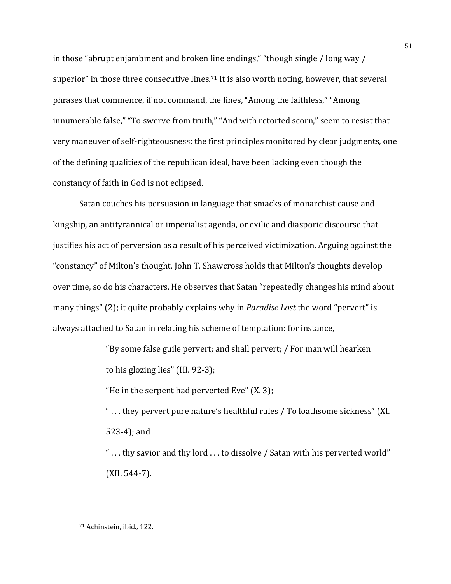in those "abrupt enjambment and broken line endings," "though single / long way / superior" in those three consecutive lines.<sup>71</sup> It is also worth noting, however, that several phrases that commence, if not command, the lines, "Among the faithless," "Among innumerable false," "To swerve from truth," "And with retorted scorn," seem to resist that very maneuver of self-righteousness: the first principles monitored by clear judgments, one of the defining qualities of the republican ideal, have been lacking even though the constancy of faith in God is not eclipsed.

Satan couches his persuasion in language that smacks of monarchist cause and kingship, an antityrannical or imperialist agenda, or exilic and diasporic discourse that justifies his act of perversion as a result of his perceived victimization. Arguing against the "constancy" of Milton's thought, John T. Shawcross holds that Milton's thoughts develop over time, so do his characters. He observes that Satan "repeatedly changes his mind about many things" (2); it quite probably explains why in *Paradise Lost* the word "pervert" is always attached to Satan in relating his scheme of temptation: for instance,

> "By some false guile pervert; and shall pervert; / For man will hearken to his glozing lies"  $(III. 92-3);$

"He in the serpent had perverted  $Eve''(X, 3)$ ;

"... they pervert pure nature's healthful rules / To loathsome sickness" (XI.  $523-4$ ); and

"...thy savior and thy lord ...to dissolve / Satan with his perverted world"  $(XII. 544-7)$ .

<sup>71</sup> Achinstein, ibid., 122.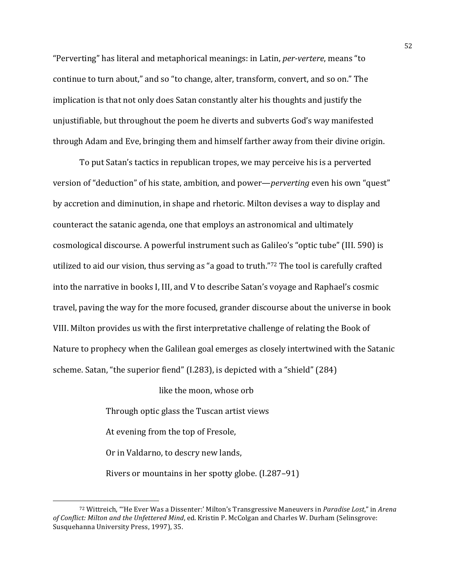"Perverting" has literal and metaphorical meanings: in Latin, *per-vertere*, means "to continue to turn about," and so "to change, alter, transform, convert, and so on." The implication is that not only does Satan constantly alter his thoughts and justify the unjustifiable, but throughout the poem he diverts and subverts God's way manifested through Adam and Eve, bringing them and himself farther away from their divine origin.

To put Satan's tactics in republican tropes, we may perceive his is a perverted version of "deduction" of his state, ambition, and power—*perverting* even his own "quest" by accretion and diminution, in shape and rhetoric. Milton devises a way to display and counteract the satanic agenda, one that employs an astronomical and ultimately cosmological discourse. A powerful instrument such as Galileo's "optic tube" (III. 590) is utilized to aid our vision, thus serving as "a goad to truth."72 The tool is carefully crafted into the narrative in books I, III, and V to describe Satan's voyage and Raphael's cosmic travel, paving the way for the more focused, grander discourse about the universe in book VIII. Milton provides us with the first interpretative challenge of relating the Book of Nature to prophecy when the Galilean goal emerges as closely intertwined with the Satanic scheme. Satan, "the superior fiend" (I.283), is depicted with a "shield" (284)

like the moon, whose orb

Through optic glass the Tuscan artist views

At evening from the top of Fresole,

Or in Valdarno, to descry new lands,

<u> 1989 - Johann Stein, mars et al. 1989 - Anna ann an t-Anna ann an t-Anna ann an t-Anna ann an t-Anna ann an t-</u>

Rivers or mountains in her spotty globe.  $(1.287-91)$ 

<sup>72</sup> Wittreich, "'He Ever Was a Dissenter:' Milton's Transgressive Maneuvers in *Paradise Lost*," in *Arena of Conflict: Milton and the Unfettered Mind, ed. Kristin P. McColgan and Charles W. Durham (Selinsgrove:* Susquehanna University Press, 1997), 35.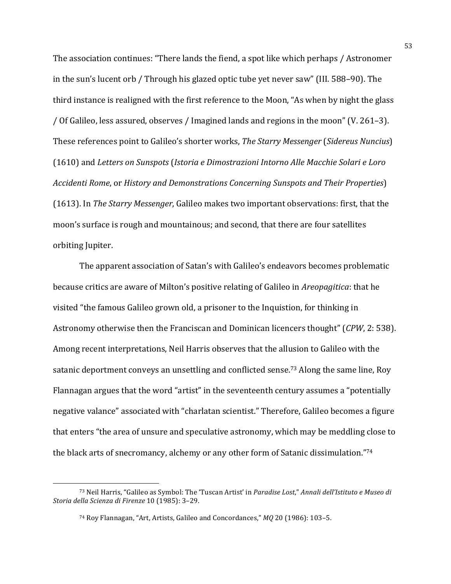The association continues: "There lands the fiend, a spot like which perhaps / Astronomer in the sun's lucent orb / Through his glazed optic tube yet never saw" (III. 588–90). The third instance is realigned with the first reference to the Moon, "As when by night the glass / Of Galileo, less assured, observes / Imagined lands and regions in the moon" (V. 261–3). These references point to Galileo's shorter works, *The Starry Messenger* (*Sidereus Nuncius*) (1610) and *Letters on Sunspots* (*Istoria e Dimostrazioni Intorno Alle Macchie Solari e Loro Accidenti Rome,* or *History and Demonstrations Concerning Sunspots and Their Properties*) (1613). In *The Starry Messenger*, Galileo makes two important observations: first, that the moon's surface is rough and mountainous; and second, that there are four satellites orbiting Jupiter.

The apparent association of Satan's with Galileo's endeavors becomes problematic because critics are aware of Milton's positive relating of Galileo in *Areopagitica*: that he visited "the famous Galileo grown old, a prisoner to the Inquistion, for thinking in Astronomy otherwise then the Franciscan and Dominican licencers thought" (*CPW*, 2: 538). Among recent interpretations, Neil Harris observes that the allusion to Galileo with the satanic deportment conveys an unsettling and conflicted sense.<sup>73</sup> Along the same line, Roy Flannagan argues that the word "artist" in the seventeenth century assumes a "potentially negative valance" associated with "charlatan scientist." Therefore, Galileo becomes a figure that enters "the area of unsure and speculative astronomy, which may be meddling close to the black arts of snecromancy, alchemy or any other form of Satanic dissimulation."74

<sup>73</sup> Neil Harris, "Galileo as Symbol: The 'Tuscan Artist' in *Paradise Lost*," *Annali dell'Istituto e Museo di Storia della Scienza di Firenze* 10 (1985): 3–29.

<sup>&</sup>lt;sup>74</sup> Roy Flannagan, "Art, Artists, Galileo and Concordances," *MQ* 20 (1986): 103-5.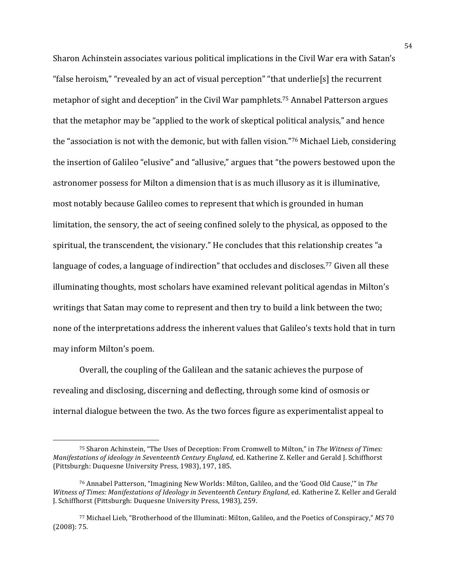Sharon Achinstein associates various political implications in the Civil War era with Satan's "false heroism," "revealed by an act of visual perception" "that underlie<sup>[s]</sup> the recurrent metaphor of sight and deception" in the Civil War pamphlets.<sup>75</sup> Annabel Patterson argues that the metaphor may be "applied to the work of skeptical political analysis," and hence the "association is not with the demonic, but with fallen vision."76 Michael Lieb, considering the insertion of Galileo "elusive" and "allusive," argues that "the powers bestowed upon the astronomer possess for Milton a dimension that is as much illusory as it is illuminative, most notably because Galileo comes to represent that which is grounded in human limitation, the sensory, the act of seeing confined solely to the physical, as opposed to the spiritual, the transcendent, the visionary." He concludes that this relationship creates "a language of codes, a language of indirection" that occludes and discloses.<sup>77</sup> Given all these illuminating thoughts, most scholars have examined relevant political agendas in Milton's writings that Satan may come to represent and then try to build a link between the two; none of the interpretations address the inherent values that Galileo's texts hold that in turn may inform Milton's poem.

Overall, the coupling of the Galilean and the satanic achieves the purpose of revealing and disclosing, discerning and deflecting, through some kind of osmosis or internal dialogue between the two. As the two forces figure as experimentalist appeal to

<sup>&</sup>lt;sup>75</sup> Sharon Achinstein, "The Uses of Deception: From Cromwell to Milton," in *The Witness of Times: Manifestations of ideology in Seventeenth Century England*, ed. Katherine Z. Keller and Gerald J. Schiffhorst (Pittsburgh: Duquesne University Press, 1983), 197, 185.

<sup>76</sup> Annabel Patterson, "Imagining New Worlds: Milton, Galileo, and the 'Good Old Cause," in The *Witness of Times: Manifestations of Ideology in Seventeenth Century England, ed. Katherine Z. Keller and Gerald* J. Schiffhorst (Pittsburgh: Duquesne University Press, 1983), 259.

<sup>77</sup> Michael Lieb, "Brotherhood of the Illuminati: Milton, Galileo, and the Poetics of Conspiracy," *MS* 70  $(2008): 75.$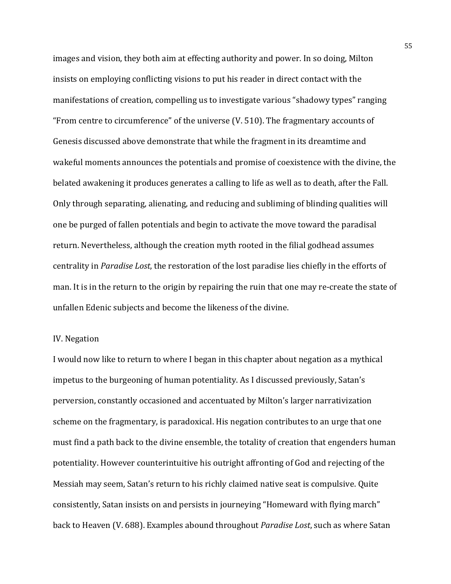images and vision, they both aim at effecting authority and power. In so doing, Milton insists on employing conflicting visions to put his reader in direct contact with the manifestations of creation, compelling us to investigate various "shadowy types" ranging "From centre to circumference" of the universe  $(V. 510)$ . The fragmentary accounts of Genesis discussed above demonstrate that while the fragment in its dreamtime and wakeful moments announces the potentials and promise of coexistence with the divine, the belated awakening it produces generates a calling to life as well as to death, after the Fall. Only through separating, alienating, and reducing and subliming of blinding qualities will one be purged of fallen potentials and begin to activate the move toward the paradisal return. Nevertheless, although the creation myth rooted in the filial godhead assumes centrality in *Paradise Lost*, the restoration of the lost paradise lies chiefly in the efforts of man. It is in the return to the origin by repairing the ruin that one may re-create the state of unfallen Edenic subjects and become the likeness of the divine.

# IV. Negation

I would now like to return to where I began in this chapter about negation as a mythical impetus to the burgeoning of human potentiality. As I discussed previously, Satan's perversion, constantly occasioned and accentuated by Milton's larger narrativization scheme on the fragmentary, is paradoxical. His negation contributes to an urge that one must find a path back to the divine ensemble, the totality of creation that engenders human potentiality. However counterintuitive his outright affronting of God and rejecting of the Messiah may seem, Satan's return to his richly claimed native seat is compulsive. Quite consistently, Satan insists on and persists in journeying "Homeward with flying march" back to Heaven (V. 688). Examples abound throughout *Paradise Lost*, such as where Satan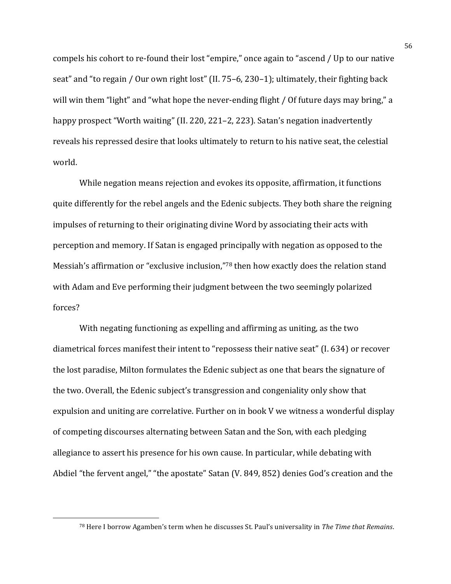compels his cohort to re-found their lost "empire," once again to "ascend / Up to our native seat" and "to regain / Our own right lost" (II. 75–6, 230–1); ultimately, their fighting back will win them "light" and "what hope the never-ending flight / Of future days may bring," a happy prospect "Worth waiting" (II. 220, 221–2, 223). Satan's negation inadvertently reveals his repressed desire that looks ultimately to return to his native seat, the celestial world. 

While negation means rejection and evokes its opposite, affirmation, it functions quite differently for the rebel angels and the Edenic subjects. They both share the reigning impulses of returning to their originating divine Word by associating their acts with perception and memory. If Satan is engaged principally with negation as opposed to the Messiah's affirmation or "exclusive inclusion,"78 then how exactly does the relation stand with Adam and Eve performing their judgment between the two seemingly polarized forces? 

With negating functioning as expelling and affirming as uniting, as the two diametrical forces manifest their intent to "repossess their native seat" (I. 634) or recover the lost paradise, Milton formulates the Edenic subject as one that bears the signature of the two. Overall, the Edenic subject's transgression and congeniality only show that expulsion and uniting are correlative. Further on in book  $V$  we witness a wonderful display of competing discourses alternating between Satan and the Son, with each pledging allegiance to assert his presence for his own cause. In particular, while debating with Abdiel "the fervent angel," "the apostate" Satan (V. 849, 852) denies God's creation and the

<sup>78</sup> Here I borrow Agamben's term when he discusses St. Paul's universality in *The Time that Remains*.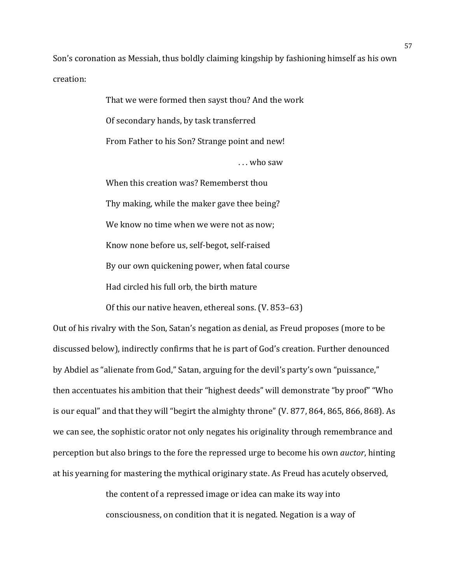Son's coronation as Messiah, thus boldly claiming kingship by fashioning himself as his own creation:

> That we were formed then sayst thou? And the work Of secondary hands, by task transferred From Father to his Son? Strange point and new! ... who saw When this creation was? Rememberst thou Thy making, while the maker gave thee being? We know no time when we were not as now; Know none before us, self-begot, self-raised By our own quickening power, when fatal course Had circled his full orb, the birth mature

> Of this our native heaven, ethereal sons.  $(V. 853-63)$

Out of his rivalry with the Son, Satan's negation as denial, as Freud proposes (more to be discussed below), indirectly confirms that he is part of God's creation. Further denounced by Abdiel as "alienate from God," Satan, arguing for the devil's party's own "puissance," then accentuates his ambition that their "highest deeds" will demonstrate "by proof" "Who is our equal" and that they will "begirt the almighty throne"  $(V. 877, 864, 865, 866, 868)$ . As we can see, the sophistic orator not only negates his originality through remembrance and perception but also brings to the fore the repressed urge to become his own *auctor*, hinting at his yearning for mastering the mythical originary state. As Freud has acutely observed,

> the content of a repressed image or idea can make its way into consciousness, on condition that it is negated. Negation is a way of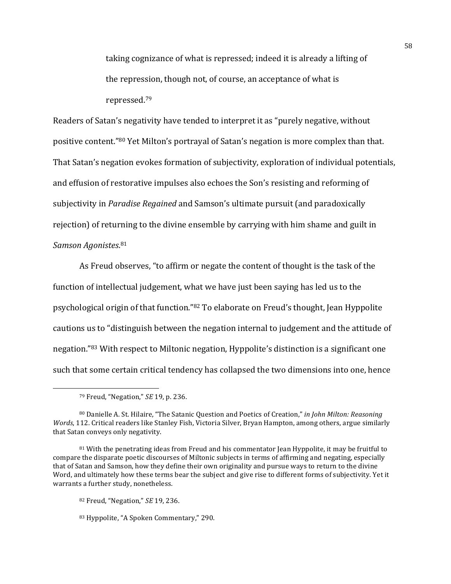taking cognizance of what is repressed; indeed it is already a lifting of the repression, though not, of course, an acceptance of what is repressed.79

Readers of Satan's negativity have tended to interpret it as "purely negative, without positive content."80 Yet Milton's portrayal of Satan's negation is more complex than that. That Satan's negation evokes formation of subjectivity, exploration of individual potentials, and effusion of restorative impulses also echoes the Son's resisting and reforming of subjectivity in *Paradise Regained* and Samson's ultimate pursuit (and paradoxically rejection) of returning to the divine ensemble by carrying with him shame and guilt in *Samson Agonistes*. 81

As Freud observes, "to affirm or negate the content of thought is the task of the function of intellectual judgement, what we have just been saying has led us to the psychological origin of that function."<sup>82</sup> To elaborate on Freud's thought, Jean Hyppolite cautions us to "distinguish between the negation internal to judgement and the attitude of negation."83 With respect to Miltonic negation, Hyppolite's distinction is a significant one such that some certain critical tendency has collapsed the two dimensions into one, hence

<sup>79</sup> Freud, "Negation," *SE* 19, p. 236.

<sup>80</sup> Danielle A. St. Hilaire, "The Satanic Question and Poetics of Creation," in John Milton: Reasoning *Words*, 112. Critical readers like Stanley Fish, Victoria Silver, Bryan Hampton, among others, argue similarly that Satan conveys only negativity.

 $81$  With the penetrating ideas from Freud and his commentator Jean Hyppolite, it may be fruitful to compare the disparate poetic discourses of Miltonic subjects in terms of affirming and negating, especially that of Satan and Samson, how they define their own originality and pursue ways to return to the divine Word, and ultimately how these terms bear the subject and give rise to different forms of subjectivity. Yet it warrants a further study, nonetheless.

<sup>82</sup> Freud, "Negation," *SE* 19, 236.

<sup>83</sup> Hyppolite, "A Spoken Commentary," 290.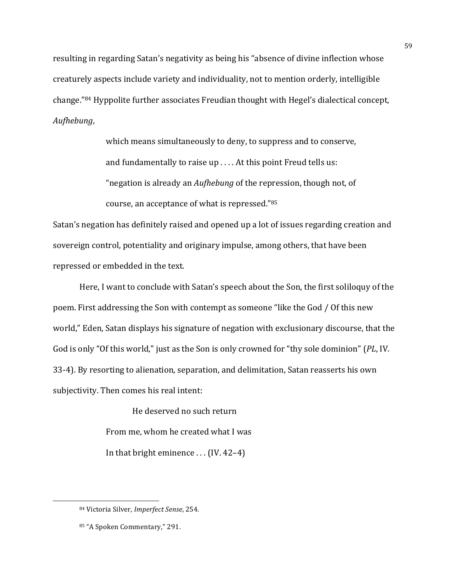resulting in regarding Satan's negativity as being his "absence of divine inflection whose creaturely aspects include variety and individuality, not to mention orderly, intelligible change."<sup>84</sup> Hyppolite further associates Freudian thought with Hegel's dialectical concept, *Aufhebung*, 

> which means simultaneously to deny, to suppress and to conserve, and fundamentally to raise  $up \ldots$  At this point Freud tells us: "negation is already an *Aufhebung* of the repression, though not, of course, an acceptance of what is repressed."85

Satan's negation has definitely raised and opened up a lot of issues regarding creation and sovereign control, potentiality and originary impulse, among others, that have been repressed or embedded in the text.

Here, I want to conclude with Satan's speech about the Son, the first soliloquy of the poem. First addressing the Son with contempt as someone "like the God / Of this new world," Eden, Satan displays his signature of negation with exclusionary discourse, that the God is only "Of this world," just as the Son is only crowned for "thy sole dominion" (PL, IV. 33-4). By resorting to alienation, separation, and delimitation, Satan reasserts his own subjectivity. Then comes his real intent:

> He deserved no such return From me, whom he created what I was In that bright eminence  $\ldots$  (IV. 42–4)

<sup>84</sup> Victoria Silver, *Imperfect Sense*, 254.

<sup>85 &</sup>quot;A Spoken Commentary," 291.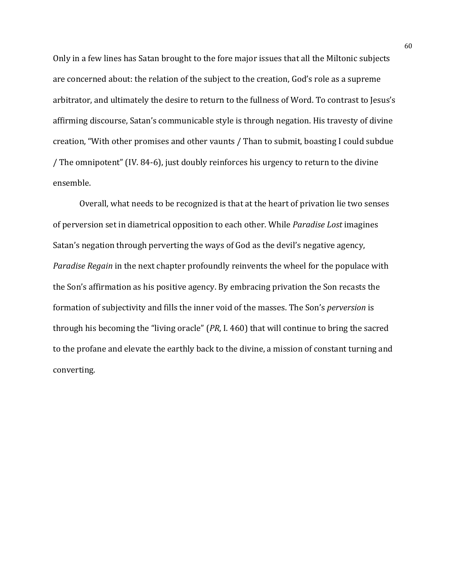Only in a few lines has Satan brought to the fore major issues that all the Miltonic subjects are concerned about: the relation of the subject to the creation, God's role as a supreme arbitrator, and ultimately the desire to return to the fullness of Word. To contrast to Jesus's affirming discourse, Satan's communicable style is through negation. His travesty of divine creation, "With other promises and other vaunts / Than to submit, boasting I could subdue / The omnipotent" (IV. 84-6), just doubly reinforces his urgency to return to the divine ensemble. 

Overall, what needs to be recognized is that at the heart of privation lie two senses of perversion set in diametrical opposition to each other. While *Paradise Lost* imagines Satan's negation through perverting the ways of God as the devil's negative agency, *Paradise Regain* in the next chapter profoundly reinvents the wheel for the populace with the Son's affirmation as his positive agency. By embracing privation the Son recasts the formation of subjectivity and fills the inner void of the masses. The Son's *perversion* is through his becoming the "living oracle" (*PR*, I. 460) that will continue to bring the sacred to the profane and elevate the earthly back to the divine, a mission of constant turning and converting.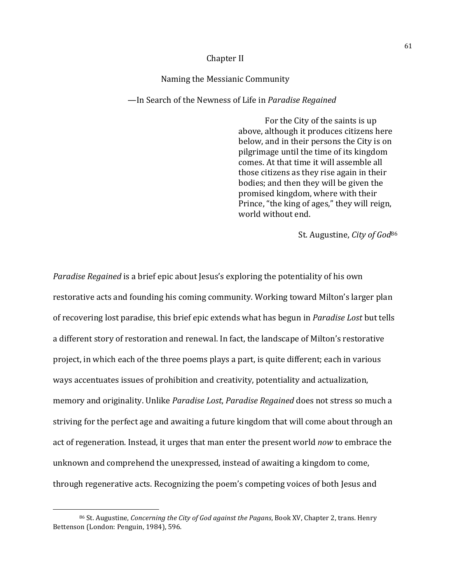### Chapter II

### Naming the Messianic Community

### —In Search of the Newness of Life in *Paradise Regained*

For the City of the saints is up above, although it produces citizens here below, and in their persons the City is on pilgrimage until the time of its kingdom comes. At that time it will assemble all those citizens as they rise again in their bodies; and then they will be given the promised kingdom, where with their Prince, "the king of ages," they will reign, world without end.

St. Augustine, *City of God*<sup>86</sup>

*Paradise Regained* is a brief epic about Jesus's exploring the potentiality of his own restorative acts and founding his coming community. Working toward Milton's larger plan of recovering lost paradise, this brief epic extends what has begun in *Paradise Lost* but tells a different story of restoration and renewal. In fact, the landscape of Milton's restorative project, in which each of the three poems plays a part, is quite different; each in various ways accentuates issues of prohibition and creativity, potentiality and actualization, memory and originality. Unlike *Paradise Lost*, *Paradise Regained* does not stress so much a striving for the perfect age and awaiting a future kingdom that will come about through an act of regeneration. Instead, it urges that man enter the present world *now* to embrace the unknown and comprehend the unexpressed, instead of awaiting a kingdom to come, through regenerative acts. Recognizing the poem's competing voices of both Jesus and

<sup>86</sup> St. Augustine, *Concerning the City of God against the Pagans*, Book XV, Chapter 2, trans. Henry Bettenson (London: Penguin, 1984), 596.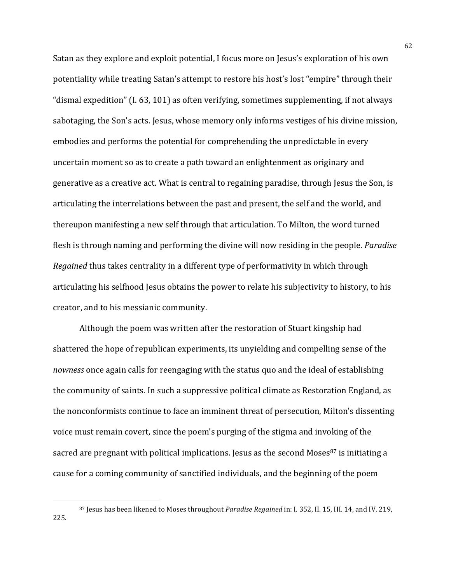Satan as they explore and exploit potential, I focus more on Jesus's exploration of his own potentiality while treating Satan's attempt to restore his host's lost "empire" through their "dismal expedition" (I. 63, 101) as often verifying, sometimes supplementing, if not always sabotaging, the Son's acts. Jesus, whose memory only informs vestiges of his divine mission, embodies and performs the potential for comprehending the unpredictable in every uncertain moment so as to create a path toward an enlightenment as originary and generative as a creative act. What is central to regaining paradise, through Jesus the Son, is articulating the interrelations between the past and present, the self and the world, and thereupon manifesting a new self through that articulation. To Milton, the word turned flesh is through naming and performing the divine will now residing in the people. *Paradise Regained* thus takes centrality in a different type of performativity in which through articulating his selfhood Jesus obtains the power to relate his subjectivity to history, to his creator, and to his messianic community.

Although the poem was written after the restoration of Stuart kingship had shattered the hope of republican experiments, its unyielding and compelling sense of the *nowness* once again calls for reengaging with the status quo and the ideal of establishing the community of saints. In such a suppressive political climate as Restoration England, as the nonconformists continue to face an imminent threat of persecution, Milton's dissenting voice must remain covert, since the poem's purging of the stigma and invoking of the sacred are pregnant with political implications. Jesus as the second Moses<sup>87</sup> is initiating a cause for a coming community of sanctified individuals, and the beginning of the poem

<sup>87</sup> Jesus has been likened to Moses throughout *Paradise Regained* in: I. 352, II. 15, III. 14, and IV. 219, 225.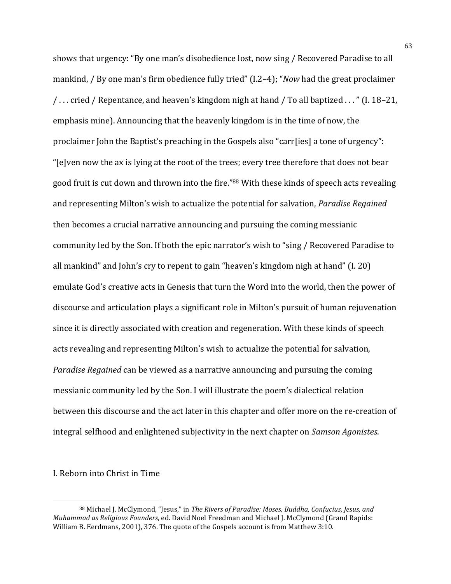shows that urgency: "By one man's disobedience lost, now sing / Recovered Paradise to all mankind, / By one man's firm obedience fully tried" (I.2–4); "*Now* had the great proclaimer / . . . cried / Repentance, and heaven's kingdom nigh at hand / To all baptized . . . " (I. 18–21, emphasis mine). Announcing that the heavenly kingdom is in the time of now, the proclaimer John the Baptist's preaching in the Gospels also "carr[ies] a tone of urgency": "[e]ven now the ax is lying at the root of the trees; every tree therefore that does not bear good fruit is cut down and thrown into the fire."88 With these kinds of speech acts revealing and representing Milton's wish to actualize the potential for salvation, *Paradise Regained* then becomes a crucial narrative announcing and pursuing the coming messianic community led by the Son. If both the epic narrator's wish to "sing / Recovered Paradise to all mankind" and John's cry to repent to gain "heaven's kingdom nigh at hand"  $(1. 20)$ emulate God's creative acts in Genesis that turn the Word into the world, then the power of discourse and articulation plays a significant role in Milton's pursuit of human rejuvenation since it is directly associated with creation and regeneration. With these kinds of speech acts revealing and representing Milton's wish to actualize the potential for salvation, *Paradise Regained* can be viewed as a narrative announcing and pursuing the coming messianic community led by the Son. I will illustrate the poem's dialectical relation between this discourse and the act later in this chapter and offer more on the re-creation of integral selfhood and enlightened subjectivity in the next chapter on *Samson Agonistes*.

#### I. Reborn into Christ in Time

<sup>88</sup> Michael J. McClymond, "Jesus," in *The Rivers of Paradise: Moses, Buddha, Confucius, Jesus, and Muhammad as Religious Founders*, ed. David Noel Freedman and Michael J. McClymond (Grand Rapids: William B. Eerdmans, 2001), 376. The quote of the Gospels account is from Matthew 3:10.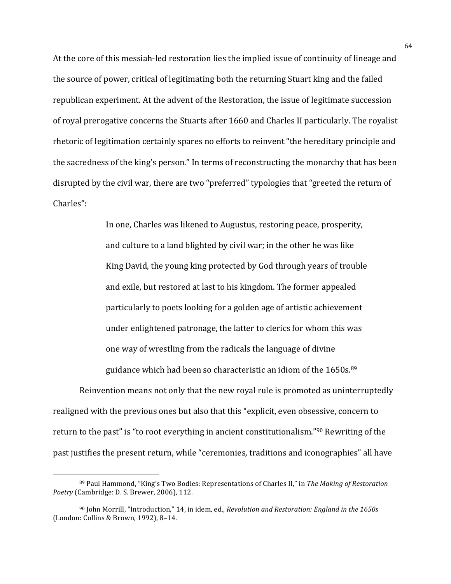At the core of this messiah-led restoration lies the implied issue of continuity of lineage and the source of power, critical of legitimating both the returning Stuart king and the failed republican experiment. At the advent of the Restoration, the issue of legitimate succession of royal prerogative concerns the Stuarts after 1660 and Charles II particularly. The royalist rhetoric of legitimation certainly spares no efforts to reinvent "the hereditary principle and the sacredness of the king's person." In terms of reconstructing the monarchy that has been disrupted by the civil war, there are two "preferred" typologies that "greeted the return of Charles":

> In one, Charles was likened to Augustus, restoring peace, prosperity, and culture to a land blighted by civil war; in the other he was like King David, the young king protected by God through years of trouble and exile, but restored at last to his kingdom. The former appealed particularly to poets looking for a golden age of artistic achievement under enlightened patronage, the latter to clerics for whom this was one way of wrestling from the radicals the language of divine guidance which had been so characteristic an idiom of the  $1650s^{89}$

Reinvention means not only that the new royal rule is promoted as uninterruptedly realigned with the previous ones but also that this "explicit, even obsessive, concern to return to the past" is "to root everything in ancient constitutionalism."<sup>90</sup> Rewriting of the past justifies the present return, while "ceremonies, traditions and iconographies" all have

<sup>89</sup> Paul Hammond, "King's Two Bodies: Representations of Charles II," in *The Making of Restoration Poetry* (Cambridge: D. S. Brewer, 2006), 112.

<sup>&</sup>lt;sup>90</sup> John Morrill, "Introduction," 14, in idem, ed., *Revolution and Restoration: England in the 1650s* (London: Collins & Brown, 1992), 8-14.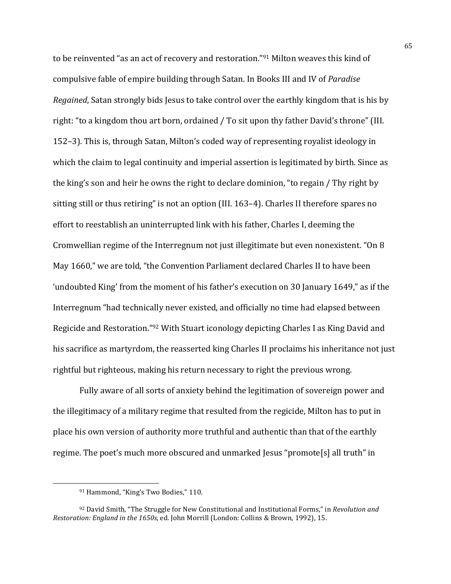to be reinvented "as an act of recovery and restoration."<sup>91</sup> Milton weaves this kind of compulsive fable of empire building through Satan. In Books III and IV of *Paradise Regained*, Satan strongly bids Jesus to take control over the earthly kingdom that is his by right: "to a kingdom thou art born, ordained / To sit upon thy father David's throne" (III. 152–3). This is, through Satan, Milton's coded way of representing royalist ideology in which the claim to legal continuity and imperial assertion is legitimated by birth. Since as the king's son and heir he owns the right to declare dominion, "to regain / Thy right by sitting still or thus retiring" is not an option (III. 163–4). Charles II therefore spares no effort to reestablish an uninterrupted link with his father, Charles I, deeming the Cromwellian regime of the Interregnum not just illegitimate but even nonexistent. "On 8 May 1660," we are told, "the Convention Parliament declared Charles II to have been 'undoubted King' from the moment of his father's execution on 30 January 1649," as if the Interregnum "had technically never existed, and officially no time had elapsed between Regicide and Restoration."92 With Stuart iconology depicting Charles I as King David and his sacrifice as martyrdom, the reasserted king Charles II proclaims his inheritance not just rightful but righteous, making his return necessary to right the previous wrong.

Fully aware of all sorts of anxiety behind the legitimation of sovereign power and the illegitimacy of a military regime that resulted from the regicide, Milton has to put in place his own version of authority more truthful and authentic than that of the earthly regime. The poet's much more obscured and unmarked Jesus "promote[s] all truth" in

<sup>91</sup> Hammond, "King's Two Bodies," 110.

<sup>&</sup>lt;sup>92</sup> David Smith, "The Struggle for New Constitutional and Institutional Forms," in *Revolution and Restoration: England in the 1650s*, ed. John Morrill (London: Collins & Brown, 1992), 15.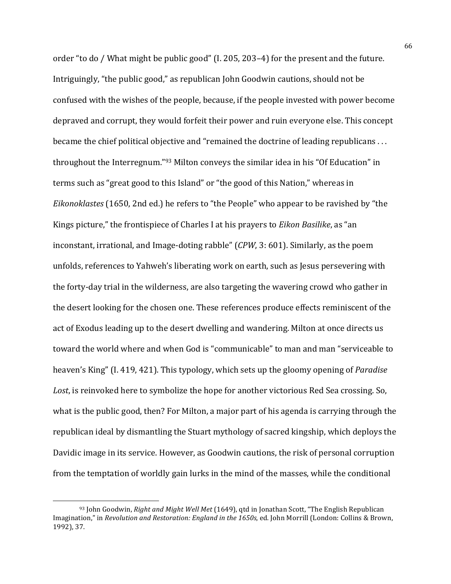order "to do / What might be public good" (I. 205, 203–4) for the present and the future. Intriguingly, "the public good," as republican John Goodwin cautions, should not be confused with the wishes of the people, because, if the people invested with power become depraved and corrupt, they would forfeit their power and ruin everyone else. This concept became the chief political objective and "remained the doctrine of leading republicans ... throughout the Interregnum." $93$  Milton conveys the similar idea in his "Of Education" in terms such as "great good to this Island" or "the good of this Nation," whereas in *Eikonoklastes* (1650, 2nd ed.) he refers to "the People" who appear to be ravished by "the Kings picture," the frontispiece of Charles I at his prayers to *Eikon Basilike*, as "an inconstant, irrational, and Image-doting rabble" (*CPW*, 3: 601). Similarly, as the poem unfolds, references to Yahweh's liberating work on earth, such as Jesus persevering with the forty-day trial in the wilderness, are also targeting the wavering crowd who gather in the desert looking for the chosen one. These references produce effects reminiscent of the act of Exodus leading up to the desert dwelling and wandering. Milton at once directs us toward the world where and when God is "communicable" to man and man "serviceable to heaven's King" (I. 419, 421). This typology, which sets up the gloomy opening of *Paradise* Lost, is reinvoked here to symbolize the hope for another victorious Red Sea crossing. So, what is the public good, then? For Milton, a major part of his agenda is carrying through the republican ideal by dismantling the Stuart mythology of sacred kingship, which deploys the Davidic image in its service. However, as Goodwin cautions, the risk of personal corruption from the temptation of worldly gain lurks in the mind of the masses, while the conditional

<sup>93</sup> John Goodwin, *Right and Might Well Met* (1649), gtd in Jonathan Scott, "The English Republican Imagination," in *Revolution and Restoration: England in the 1650s*, ed. John Morrill (London: Collins & Brown, 1992), 37.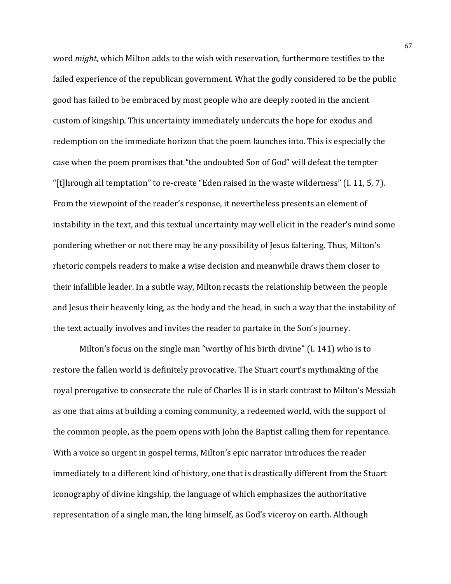word *might*, which Milton adds to the wish with reservation, furthermore testifies to the failed experience of the republican government. What the godly considered to be the public good has failed to be embraced by most people who are deeply rooted in the ancient custom of kingship. This uncertainty immediately undercuts the hope for exodus and redemption on the immediate horizon that the poem launches into. This is especially the case when the poem promises that "the undoubted Son of God" will defeat the tempter "[t]hrough all temptation" to re-create "Eden raised in the waste wilderness" (I. 11, 5, 7). From the viewpoint of the reader's response, it nevertheless presents an element of instability in the text, and this textual uncertainty may well elicit in the reader's mind some pondering whether or not there may be any possibility of Jesus faltering. Thus, Milton's rhetoric compels readers to make a wise decision and meanwhile draws them closer to their infallible leader. In a subtle way, Milton recasts the relationship between the people and Jesus their heavenly king, as the body and the head, in such a way that the instability of the text actually involves and invites the reader to partake in the Son's journey.

Milton's focus on the single man "worthy of his birth divine"  $(I. 141)$  who is to restore the fallen world is definitely provocative. The Stuart court's mythmaking of the royal prerogative to consecrate the rule of Charles II is in stark contrast to Milton's Messiah as one that aims at building a coming community, a redeemed world, with the support of the common people, as the poem opens with John the Baptist calling them for repentance. With a voice so urgent in gospel terms, Milton's epic narrator introduces the reader immediately to a different kind of history, one that is drastically different from the Stuart iconography of divine kingship, the language of which emphasizes the authoritative representation of a single man, the king himself, as God's viceroy on earth. Although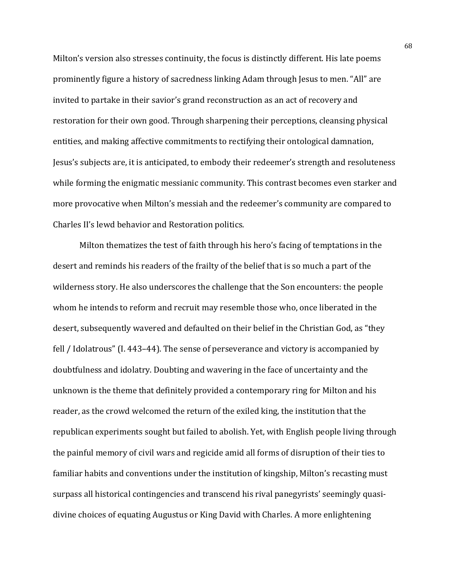Milton's version also stresses continuity, the focus is distinctly different. His late poems prominently figure a history of sacredness linking Adam through Jesus to men. "All" are invited to partake in their savior's grand reconstruction as an act of recovery and restoration for their own good. Through sharpening their perceptions, cleansing physical entities, and making affective commitments to rectifying their ontological damnation, Jesus's subjects are, it is anticipated, to embody their redeemer's strength and resoluteness while forming the enigmatic messianic community. This contrast becomes even starker and more provocative when Milton's messiah and the redeemer's community are compared to Charles II's lewd behavior and Restoration politics.

Milton thematizes the test of faith through his hero's facing of temptations in the desert and reminds his readers of the frailty of the belief that is so much a part of the wilderness story. He also underscores the challenge that the Son encounters: the people whom he intends to reform and recruit may resemble those who, once liberated in the desert, subsequently wavered and defaulted on their belief in the Christian God, as "they fell / Idolatrous" (I. 443–44). The sense of perseverance and victory is accompanied by doubtfulness and idolatry. Doubting and wavering in the face of uncertainty and the unknown is the theme that definitely provided a contemporary ring for Milton and his reader, as the crowd welcomed the return of the exiled king, the institution that the republican experiments sought but failed to abolish. Yet, with English people living through the painful memory of civil wars and regicide amid all forms of disruption of their ties to familiar habits and conventions under the institution of kingship, Milton's recasting must surpass all historical contingencies and transcend his rival panegyrists' seemingly quasidivine choices of equating Augustus or King David with Charles. A more enlightening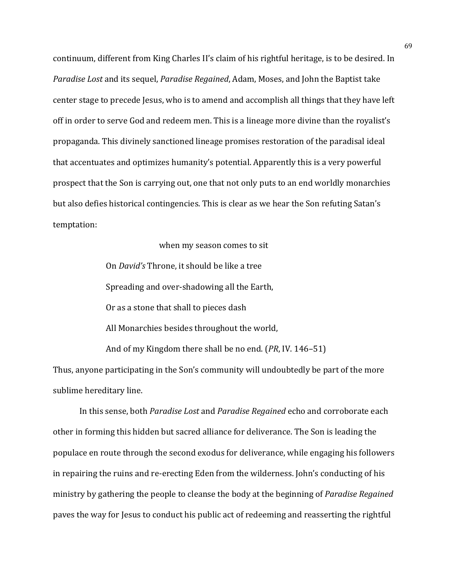continuum, different from King Charles II's claim of his rightful heritage, is to be desired. In *Paradise Lost* and its sequel, *Paradise Regained*, Adam, Moses, and John the Baptist take center stage to precede Jesus, who is to amend and accomplish all things that they have left off in order to serve God and redeem men. This is a lineage more divine than the royalist's propaganda. This divinely sanctioned lineage promises restoration of the paradisal ideal that accentuates and optimizes humanity's potential. Apparently this is a very powerful prospect that the Son is carrying out, one that not only puts to an end worldly monarchies but also defies historical contingencies. This is clear as we hear the Son refuting Satan's temptation:

## when my season comes to sit

On *David's* Throne, it should be like a tree Spreading and over-shadowing all the Earth, Or as a stone that shall to pieces dash All Monarchies besides throughout the world, And of my Kingdom there shall be no end. (*PR*, IV. 146–51)

Thus, anyone participating in the Son's community will undoubtedly be part of the more sublime hereditary line.

In this sense, both *Paradise Lost* and *Paradise Regained* echo and corroborate each other in forming this hidden but sacred alliance for deliverance. The Son is leading the populace en route through the second exodus for deliverance, while engaging his followers in repairing the ruins and re-erecting Eden from the wilderness. John's conducting of his ministry by gathering the people to cleanse the body at the beginning of *Paradise Regained* paves the way for Jesus to conduct his public act of redeeming and reasserting the rightful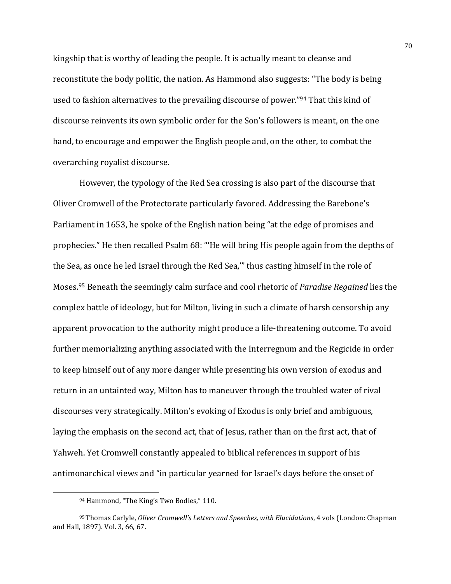kingship that is worthy of leading the people. It is actually meant to cleanse and reconstitute the body politic, the nation. As Hammond also suggests: "The body is being used to fashion alternatives to the prevailing discourse of power."<sup>94</sup> That this kind of discourse reinvents its own symbolic order for the Son's followers is meant, on the one hand, to encourage and empower the English people and, on the other, to combat the overarching royalist discourse.

However, the typology of the Red Sea crossing is also part of the discourse that Oliver Cromwell of the Protectorate particularly favored. Addressing the Barebone's Parliament in 1653, he spoke of the English nation being "at the edge of promises and prophecies." He then recalled Psalm 68: "'He will bring His people again from the depths of the Sea, as once he led Israel through the Red Sea," thus casting himself in the role of Moses.<sup>95</sup> Beneath the seemingly calm surface and cool rhetoric of *Paradise Regained* lies the complex battle of ideology, but for Milton, living in such a climate of harsh censorship any apparent provocation to the authority might produce a life-threatening outcome. To avoid further memorializing anything associated with the Interregnum and the Regicide in order to keep himself out of any more danger while presenting his own version of exodus and return in an untainted way, Milton has to maneuver through the troubled water of rival discourses very strategically. Milton's evoking of Exodus is only brief and ambiguous, laying the emphasis on the second act, that of Jesus, rather than on the first act, that of Yahweh. Yet Cromwell constantly appealed to biblical references in support of his antimonarchical views and "in particular yearned for Israel's days before the onset of

<sup>94</sup> Hammond, "The King's Two Bodies," 110.

<sup>&</sup>lt;sup>95</sup> Thomas Carlyle, *Oliver Cromwell's Letters and Speeches, with Elucidations*, 4 vols (London: Chapman and Hall, 1897). Vol. 3, 66, 67.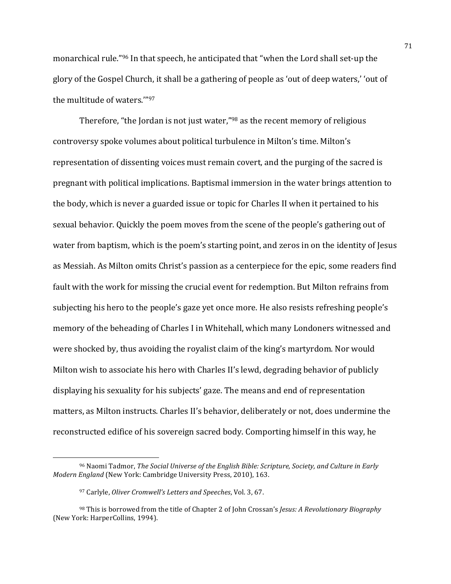monarchical rule."<sup>96</sup> In that speech, he anticipated that "when the Lord shall set-up the glory of the Gospel Church, it shall be a gathering of people as 'out of deep waters,' 'out of the multitude of waters.""97

Therefore, "the Jordan is not just water," $98$  as the recent memory of religious controversy spoke volumes about political turbulence in Milton's time. Milton's representation of dissenting voices must remain covert, and the purging of the sacred is pregnant with political implications. Baptismal immersion in the water brings attention to the body, which is never a guarded issue or topic for Charles II when it pertained to his sexual behavior. Quickly the poem moves from the scene of the people's gathering out of water from baptism, which is the poem's starting point, and zeros in on the identity of Jesus as Messiah. As Milton omits Christ's passion as a centerpiece for the epic, some readers find fault with the work for missing the crucial event for redemption. But Milton refrains from subjecting his hero to the people's gaze yet once more. He also resists refreshing people's memory of the beheading of Charles I in Whitehall, which many Londoners witnessed and were shocked by, thus avoiding the royalist claim of the king's martyrdom. Nor would Milton wish to associate his hero with Charles II's lewd, degrading behavior of publicly displaying his sexuality for his subjects' gaze. The means and end of representation matters, as Milton instructs. Charles II's behavior, deliberately or not, does undermine the reconstructed edifice of his sovereign sacred body. Comporting himself in this way, he

<sup>&</sup>lt;sup>96</sup> Naomi Tadmor, *The Social Universe of the English Bible: Scripture, Society, and Culture in Early Modern England* (New York: Cambridge University Press, 2010), 163.

<sup>97</sup> Carlyle, *Oliver Cromwell's Letters and Speeches*, Vol. 3, 67.

<sup>&</sup>lt;sup>98</sup> This is borrowed from the title of Chapter 2 of John Crossan's *Jesus: A Revolutionary Biography* (New York: HarperCollins, 1994).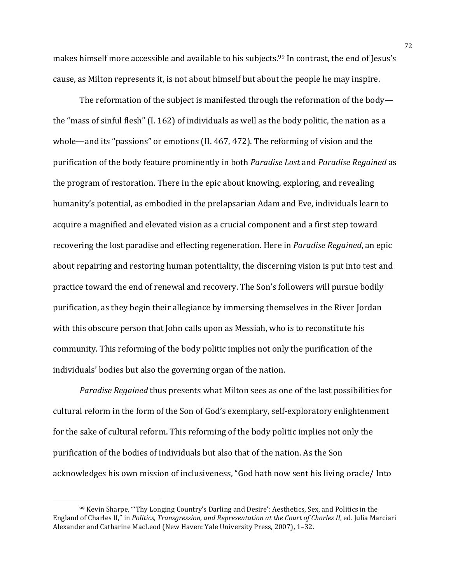makes himself more accessible and available to his subjects.<sup>99</sup> In contrast, the end of Jesus's cause, as Milton represents it, is not about himself but about the people he may inspire.

The reformation of the subject is manifested through the reformation of the body the "mass of sinful flesh" (I. 162) of individuals as well as the body politic, the nation as a whole—and its "passions" or emotions  $(II. 467, 472)$ . The reforming of vision and the purification of the body feature prominently in both *Paradise Lost* and *Paradise Regained* as the program of restoration. There in the epic about knowing, exploring, and revealing humanity's potential, as embodied in the prelapsarian Adam and Eve, individuals learn to acquire a magnified and elevated vision as a crucial component and a first step toward recovering the lost paradise and effecting regeneration. Here in *Paradise Regained*, an epic about repairing and restoring human potentiality, the discerning vision is put into test and practice toward the end of renewal and recovery. The Son's followers will pursue bodily purification, as they begin their allegiance by immersing themselves in the River Jordan with this obscure person that John calls upon as Messiah, who is to reconstitute his community. This reforming of the body politic implies not only the purification of the individuals' bodies but also the governing organ of the nation.

*Paradise Regained* thus presents what Milton sees as one of the last possibilities for cultural reform in the form of the Son of God's exemplary, self-exploratory enlightenment for the sake of cultural reform. This reforming of the body politic implies not only the purification of the bodies of individuals but also that of the nation. As the Son acknowledges his own mission of inclusiveness, "God hath now sent his living oracle/ Into

 $99$  Kevin Sharpe, "Thy Longing Country's Darling and Desire': Aesthetics, Sex, and Politics in the England of Charles II," in *Politics, Transgression, and Representation at the Court of Charles II*, ed. Julia Marciari Alexander and Catharine MacLeod (New Haven: Yale University Press, 2007), 1-32.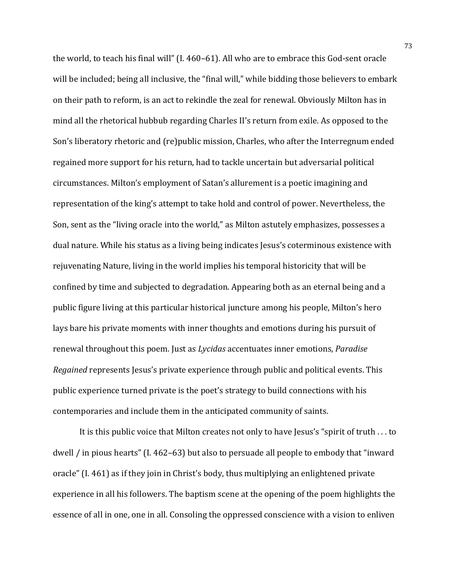the world, to teach his final will"  $(1.460-61)$ . All who are to embrace this God-sent oracle will be included; being all inclusive, the "final will," while bidding those believers to embark on their path to reform, is an act to rekindle the zeal for renewal. Obviously Milton has in mind all the rhetorical hubbub regarding Charles II's return from exile. As opposed to the Son's liberatory rhetoric and (re)public mission, Charles, who after the Interregnum ended regained more support for his return, had to tackle uncertain but adversarial political circumstances. Milton's employment of Satan's allurement is a poetic imagining and representation of the king's attempt to take hold and control of power. Nevertheless, the Son, sent as the "living oracle into the world," as Milton astutely emphasizes, possesses a dual nature. While his status as a living being indicates Jesus's coterminous existence with rejuvenating Nature, living in the world implies his temporal historicity that will be confined by time and subjected to degradation. Appearing both as an eternal being and a public figure living at this particular historical juncture among his people, Milton's hero lays bare his private moments with inner thoughts and emotions during his pursuit of renewal throughout this poem. Just as *Lycidas* accentuates inner emotions, *Paradise Regained* represents *Jesus's* private experience through public and political events. This public experience turned private is the poet's strategy to build connections with his contemporaries and include them in the anticipated community of saints.

It is this public voice that Milton creates not only to have Jesus's "spirit of truth  $\dots$  to dwell  $\prime$  in pious hearts" (I. 462–63) but also to persuade all people to embody that "inward oracle" (I. 461) as if they join in Christ's body, thus multiplying an enlightened private experience in all his followers. The baptism scene at the opening of the poem highlights the essence of all in one, one in all. Consoling the oppressed conscience with a vision to enliven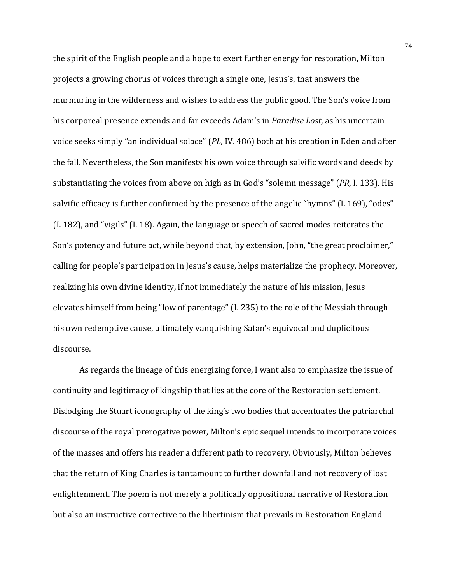the spirit of the English people and a hope to exert further energy for restoration, Milton projects a growing chorus of voices through a single one, Jesus's, that answers the murmuring in the wilderness and wishes to address the public good. The Son's voice from his corporeal presence extends and far exceeds Adam's in *Paradise Lost*, as his uncertain voice seeks simply "an individual solace" (*PL*, IV. 486) both at his creation in Eden and after the fall. Nevertheless, the Son manifests his own voice through salvific words and deeds by substantiating the voices from above on high as in God's "solemn message" (*PR*, I. 133). His salvific efficacy is further confirmed by the presence of the angelic "hymns" (I. 169), "odes"  $(I. 182)$ , and "vigils"  $(I. 18)$ . Again, the language or speech of sacred modes reiterates the Son's potency and future act, while beyond that, by extension, John, "the great proclaimer," calling for people's participation in Jesus's cause, helps materialize the prophecy. Moreover, realizing his own divine identity, if not immediately the nature of his mission, Jesus elevates himself from being "low of parentage" (I. 235) to the role of the Messiah through his own redemptive cause, ultimately vanquishing Satan's equivocal and duplicitous discourse. 

As regards the lineage of this energizing force, I want also to emphasize the issue of continuity and legitimacy of kingship that lies at the core of the Restoration settlement. Dislodging the Stuart iconography of the king's two bodies that accentuates the patriarchal discourse of the royal prerogative power, Milton's epic sequel intends to incorporate voices of the masses and offers his reader a different path to recovery. Obviously, Milton believes that the return of King Charles is tantamount to further downfall and not recovery of lost enlightenment. The poem is not merely a politically oppositional narrative of Restoration but also an instructive corrective to the libertinism that prevails in Restoration England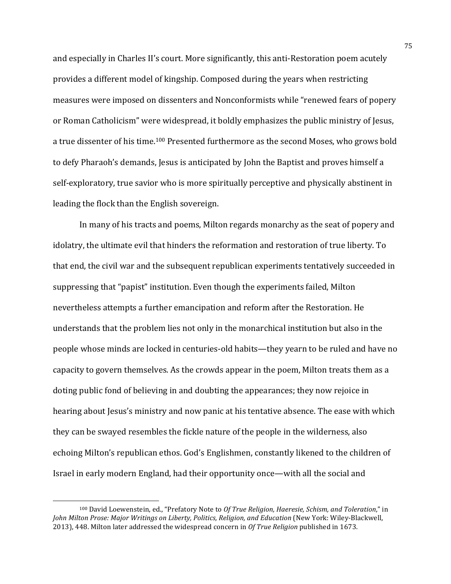and especially in Charles II's court. More significantly, this anti-Restoration poem acutely provides a different model of kingship. Composed during the years when restricting measures were imposed on dissenters and Nonconformists while "renewed fears of popery or Roman Catholicism" were widespread, it boldly emphasizes the public ministry of Jesus, a true dissenter of his time.<sup>100</sup> Presented furthermore as the second Moses, who grows bold to defy Pharaoh's demands, Jesus is anticipated by John the Baptist and proves himself a self-exploratory, true savior who is more spiritually perceptive and physically abstinent in leading the flock than the English sovereign.

In many of his tracts and poems, Milton regards monarchy as the seat of popery and idolatry, the ultimate evil that hinders the reformation and restoration of true liberty. To that end, the civil war and the subsequent republican experiments tentatively succeeded in suppressing that "papist" institution. Even though the experiments failed, Milton nevertheless attempts a further emancipation and reform after the Restoration. He understands that the problem lies not only in the monarchical institution but also in the people whose minds are locked in centuries-old habits—they yearn to be ruled and have no capacity to govern themselves. As the crowds appear in the poem, Milton treats them as a doting public fond of believing in and doubting the appearances; they now rejoice in hearing about Jesus's ministry and now panic at his tentative absence. The ease with which they can be swayed resembles the fickle nature of the people in the wilderness, also echoing Milton's republican ethos. God's Englishmen, constantly likened to the children of Israel in early modern England, had their opportunity once—with all the social and

<sup>100</sup> David Loewenstein, ed., "Prefatory Note to Of True Religion, Haeresie, Schism, and Toleration," in *John Milton Prose: Major Writings on Liberty, Politics, Religion, and Education* (New York: Wiley-Blackwell, 2013), 448. Milton later addressed the widespread concern in Of True Religion published in 1673.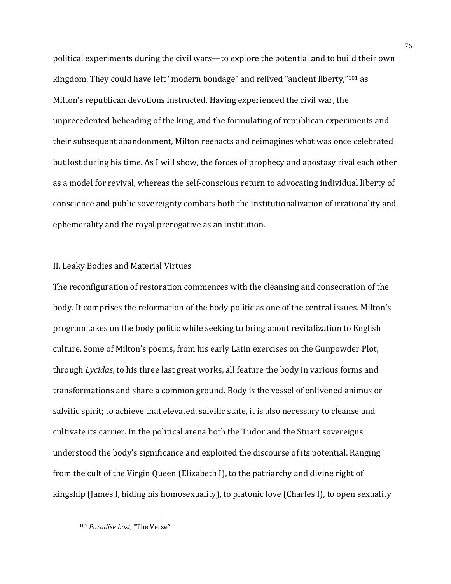political experiments during the civil wars—to explore the potential and to build their own kingdom. They could have left "modern bondage" and relived "ancient liberty,"<sup>101</sup> as Milton's republican devotions instructed. Having experienced the civil war, the unprecedented beheading of the king, and the formulating of republican experiments and their subsequent abandonment, Milton reenacts and reimagines what was once celebrated but lost during his time. As I will show, the forces of prophecy and apostasy rival each other as a model for revival, whereas the self-conscious return to advocating individual liberty of conscience and public sovereignty combats both the institutionalization of irrationality and ephemerality and the royal prerogative as an institution.

## II. Leaky Bodies and Material Virtues

The reconfiguration of restoration commences with the cleansing and consecration of the body. It comprises the reformation of the body politic as one of the central issues. Milton's program takes on the body politic while seeking to bring about revitalization to English culture. Some of Milton's poems, from his early Latin exercises on the Gunpowder Plot, through *Lycidas*, to his three last great works, all feature the body in various forms and transformations and share a common ground. Body is the vessel of enlivened animus or salvific spirit; to achieve that elevated, salvific state, it is also necessary to cleanse and cultivate its carrier. In the political arena both the Tudor and the Stuart sovereigns understood the body's significance and exploited the discourse of its potential. Ranging from the cult of the Virgin Queen (Elizabeth I), to the patriarchy and divine right of kingship (James I, hiding his homosexuality), to platonic love (Charles I), to open sexuality

<sup>&</sup>lt;sup>101</sup> Paradise Lost, "The Verse"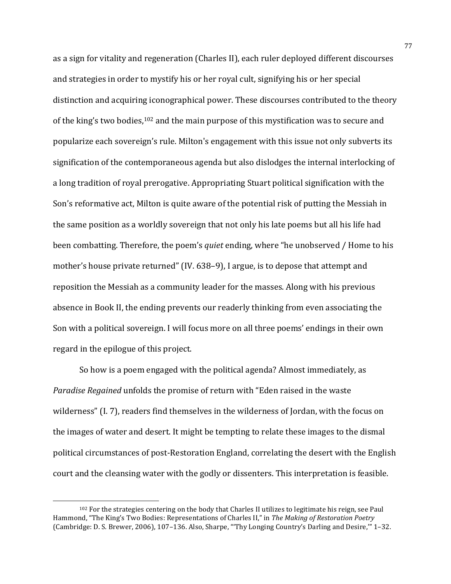as a sign for vitality and regeneration (Charles II), each ruler deployed different discourses and strategies in order to mystify his or her royal cult, signifying his or her special distinction and acquiring iconographical power. These discourses contributed to the theory of the king's two bodies,  $10^2$  and the main purpose of this mystification was to secure and popularize each sovereign's rule. Milton's engagement with this issue not only subverts its signification of the contemporaneous agenda but also dislodges the internal interlocking of a long tradition of royal prerogative. Appropriating Stuart political signification with the Son's reformative act, Milton is quite aware of the potential risk of putting the Messiah in the same position as a worldly sovereign that not only his late poems but all his life had been combatting. Therefore, the poem's *quiet* ending, where "he unobserved / Home to his mother's house private returned" (IV. 638–9), I argue, is to depose that attempt and reposition the Messiah as a community leader for the masses. Along with his previous absence in Book II, the ending prevents our readerly thinking from even associating the Son with a political sovereign. I will focus more on all three poems' endings in their own regard in the epilogue of this project.

So how is a poem engaged with the political agenda? Almost immediately, as *Paradise Regained* unfolds the promise of return with "Eden raised in the waste wilderness" (I. 7), readers find themselves in the wilderness of Jordan, with the focus on the images of water and desert. It might be tempting to relate these images to the dismal political circumstances of post-Restoration England, correlating the desert with the English court and the cleansing water with the godly or dissenters. This interpretation is feasible.

 $102$  For the strategies centering on the body that Charles II utilizes to legitimate his reign, see Paul Hammond, "The King's Two Bodies: Representations of Charles II," in *The Making of Restoration Poetry* (Cambridge: D. S. Brewer, 2006), 107-136. Also, Sharpe, "Thy Longing Country's Darling and Desire," 1-32.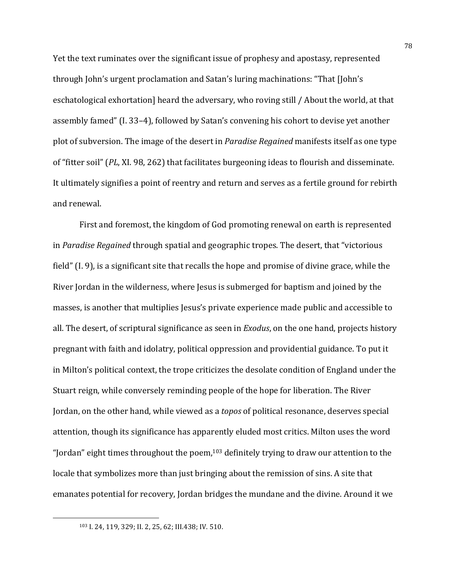Yet the text ruminates over the significant issue of prophesy and apostasy, represented through John's urgent proclamation and Satan's luring machinations: "That [John's eschatological exhortation] heard the adversary, who roving still / About the world, at that assembly famed" (I. 33–4), followed by Satan's convening his cohort to devise yet another plot of subversion. The image of the desert in *Paradise Regained* manifests itself as one type of "fitter soil" (PL, XI. 98, 262) that facilitates burgeoning ideas to flourish and disseminate. It ultimately signifies a point of reentry and return and serves as a fertile ground for rebirth and renewal.

First and foremost, the kingdom of God promoting renewal on earth is represented in *Paradise Regained* through spatial and geographic tropes. The desert, that "victorious field"  $(I. 9)$ , is a significant site that recalls the hope and promise of divine grace, while the River Jordan in the wilderness, where Jesus is submerged for baptism and joined by the masses, is another that multiplies Jesus's private experience made public and accessible to all. The desert, of scriptural significance as seen in *Exodus*, on the one hand, projects history pregnant with faith and idolatry, political oppression and providential guidance. To put it in Milton's political context, the trope criticizes the desolate condition of England under the Stuart reign, while conversely reminding people of the hope for liberation. The River Jordan, on the other hand, while viewed as a *topos* of political resonance, deserves special attention, though its significance has apparently eluded most critics. Milton uses the word "Jordan" eight times throughout the poem, $103$  definitely trying to draw our attention to the locale that symbolizes more than just bringing about the remission of sins. A site that emanates potential for recovery, Jordan bridges the mundane and the divine. Around it we

<sup>103</sup> I. 24, 119, 329; II. 2, 25, 62; III.438; IV. 510.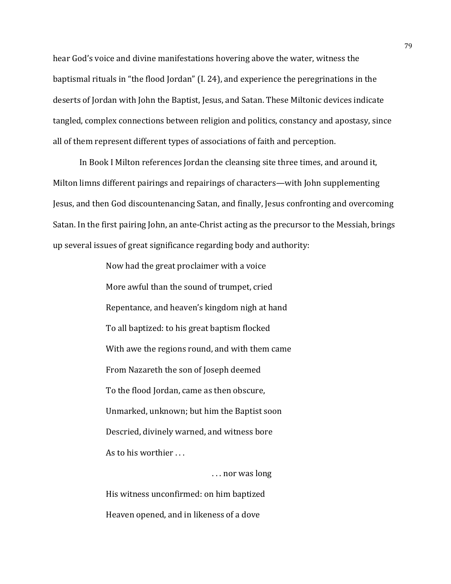hear God's voice and divine manifestations hovering above the water, witness the baptismal rituals in "the flood Jordan" (I. 24), and experience the peregrinations in the deserts of Jordan with John the Baptist, Jesus, and Satan. These Miltonic devices indicate tangled, complex connections between religion and politics, constancy and apostasy, since all of them represent different types of associations of faith and perception.

In Book I Milton references Jordan the cleansing site three times, and around it, Milton limns different pairings and repairings of characters—with John supplementing Jesus, and then God discountenancing Satan, and finally, Jesus confronting and overcoming Satan. In the first pairing John, an ante-Christ acting as the precursor to the Messiah, brings up several issues of great significance regarding body and authority:

> Now had the great proclaimer with a voice More awful than the sound of trumpet, cried Repentance, and heaven's kingdom nigh at hand To all baptized: to his great baptism flocked With awe the regions round, and with them came From Nazareth the son of Joseph deemed To the flood Jordan, came as then obscure, Unmarked, unknown; but him the Baptist soon Descried, divinely warned, and witness bore As to his worthier ...

... nor was long His witness unconfirmed: on him baptized Heaven opened, and in likeness of a dove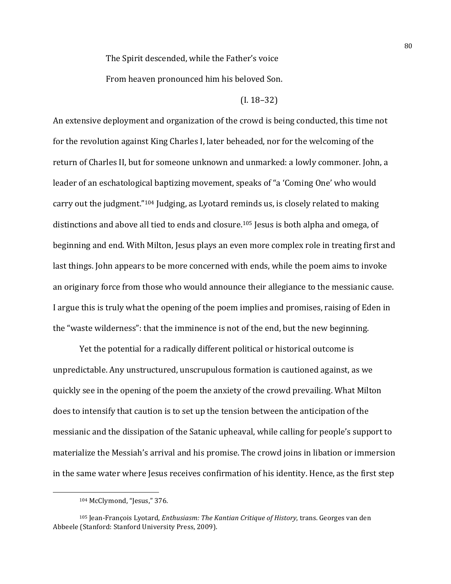The Spirit descended, while the Father's voice

From heaven pronounced him his beloved Son.

## $(I. 18-32)$

An extensive deployment and organization of the crowd is being conducted, this time not for the revolution against King Charles I, later beheaded, nor for the welcoming of the return of Charles II, but for someone unknown and unmarked: a lowly commoner. John, a leader of an eschatological baptizing movement, speaks of "a 'Coming One' who would carry out the judgment." $104$  Judging, as Lyotard reminds us, is closely related to making distinctions and above all tied to ends and closure.<sup>105</sup> Jesus is both alpha and omega, of beginning and end. With Milton, Jesus plays an even more complex role in treating first and last things. John appears to be more concerned with ends, while the poem aims to invoke an originary force from those who would announce their allegiance to the messianic cause. I argue this is truly what the opening of the poem implies and promises, raising of Eden in the "waste wilderness": that the imminence is not of the end, but the new beginning.

Yet the potential for a radically different political or historical outcome is unpredictable. Any unstructured, unscrupulous formation is cautioned against, as we quickly see in the opening of the poem the anxiety of the crowd prevailing. What Milton does to intensify that caution is to set up the tension between the anticipation of the messianic and the dissipation of the Satanic upheaval, while calling for people's support to materialize the Messiah's arrival and his promise. The crowd joins in libation or immersion in the same water where Jesus receives confirmation of his identity. Hence, as the first step

<sup>104</sup> McClymond, "Jesus," 376.

<sup>105</sup> Jean-François Lyotard, *Enthusiasm: The Kantian Critique of History*, trans. Georges van den Abbeele (Stanford: Stanford University Press, 2009).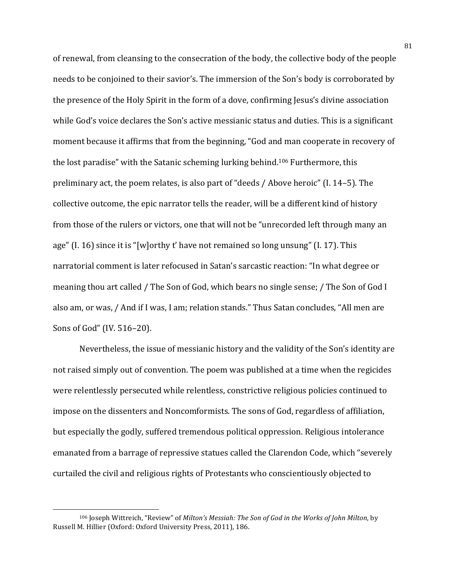of renewal, from cleansing to the consecration of the body, the collective body of the people needs to be conjoined to their savior's. The immersion of the Son's body is corroborated by the presence of the Holy Spirit in the form of a dove, confirming Jesus's divine association while God's voice declares the Son's active messianic status and duties. This is a significant moment because it affirms that from the beginning, "God and man cooperate in recovery of the lost paradise" with the Satanic scheming lurking behind.<sup>106</sup> Furthermore, this preliminary act, the poem relates, is also part of "deeds  $/$  Above heroic" (I. 14–5). The collective outcome, the epic narrator tells the reader, will be a different kind of history from those of the rulers or victors, one that will not be "unrecorded left through many an age"  $(I. 16)$  since it is "[w]orthy t' have not remained so long unsung"  $(I. 17)$ . This narratorial comment is later refocused in Satan's sarcastic reaction: "In what degree or meaning thou art called / The Son of God, which bears no single sense; / The Son of God I also am, or was, / And if I was, I am; relation stands." Thus Satan concludes, "All men are Sons of God" (IV. 516–20).

Nevertheless, the issue of messianic history and the validity of the Son's identity are not raised simply out of convention. The poem was published at a time when the regicides were relentlessly persecuted while relentless, constrictive religious policies continued to impose on the dissenters and Noncomformists. The sons of God, regardless of affiliation, but especially the godly, suffered tremendous political oppression. Religious intolerance emanated from a barrage of repressive statues called the Clarendon Code, which "severely curtailed the civil and religious rights of Protestants who conscientiously objected to

<sup>&</sup>lt;sup>106</sup> Joseph Wittreich, "Review" of *Milton's Messiah: The Son of God in the Works of John Milton*, by Russell M. Hillier (Oxford: Oxford University Press, 2011), 186.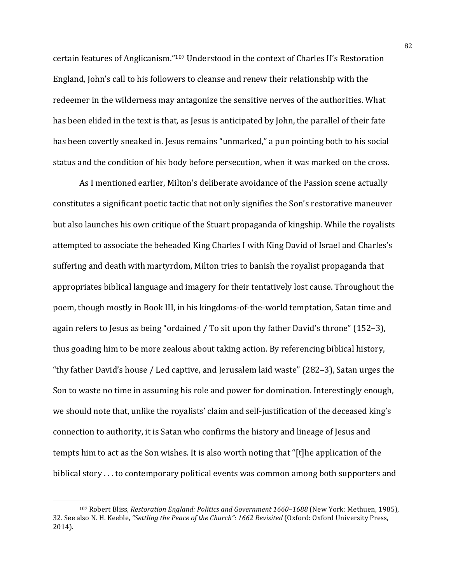certain features of Anglicanism."<sup>107</sup> Understood in the context of Charles II's Restoration England, John's call to his followers to cleanse and renew their relationship with the redeemer in the wilderness may antagonize the sensitive nerves of the authorities. What has been elided in the text is that, as Jesus is anticipated by John, the parallel of their fate has been covertly sneaked in. Jesus remains "unmarked," a pun pointing both to his social status and the condition of his body before persecution, when it was marked on the cross.

As I mentioned earlier, Milton's deliberate avoidance of the Passion scene actually constitutes a significant poetic tactic that not only signifies the Son's restorative maneuver but also launches his own critique of the Stuart propaganda of kingship. While the royalists attempted to associate the beheaded King Charles I with King David of Israel and Charles's suffering and death with martyrdom, Milton tries to banish the royalist propaganda that appropriates biblical language and imagery for their tentatively lost cause. Throughout the poem, though mostly in Book III, in his kingdoms-of-the-world temptation, Satan time and again refers to Jesus as being "ordained / To sit upon thy father David's throne"  $(152-3)$ , thus goading him to be more zealous about taking action. By referencing biblical history, "thy father David's house / Led captive, and Jerusalem laid waste" (282–3), Satan urges the Son to waste no time in assuming his role and power for domination. Interestingly enough, we should note that, unlike the royalists' claim and self-justification of the deceased king's connection to authority, it is Satan who confirms the history and lineage of Jesus and tempts him to act as the Son wishes. It is also worth noting that "[t]he application of the biblical story . . . to contemporary political events was common among both supporters and

<sup>&</sup>lt;sup>107</sup> Robert Bliss, *Restoration England: Politics and Government 1660-1688* (New York: Methuen, 1985), 32. See also N. H. Keeble, "Settling the Peace of the Church": 1662 Revisited (Oxford: Oxford University Press, 2014).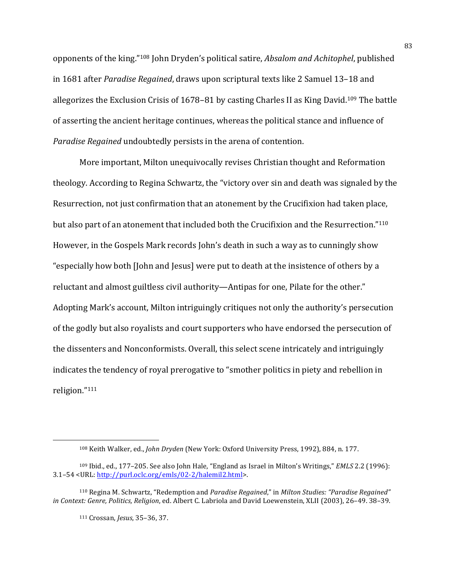opponents of the king."<sup>108</sup> John Dryden's political satire, *Absalom and Achitophel*, published in 1681 after *Paradise Regained*, draws upon scriptural texts like 2 Samuel 13–18 and allegorizes the Exclusion Crisis of  $1678-81$  by casting Charles II as King David.<sup>109</sup> The battle of asserting the ancient heritage continues, whereas the political stance and influence of *Paradise Regained* undoubtedly persists in the arena of contention.

More important, Milton unequivocally revises Christian thought and Reformation theology. According to Regina Schwartz, the "victory over sin and death was signaled by the Resurrection, not just confirmation that an atonement by the Crucifixion had taken place, but also part of an atonement that included both the Crucifixion and the Resurrection."<sup>110</sup> However, in the Gospels Mark records John's death in such a way as to cunningly show "especially how both [John and Jesus] were put to death at the insistence of others by a reluctant and almost guiltless civil authority—Antipas for one, Pilate for the other." Adopting Mark's account, Milton intriguingly critiques not only the authority's persecution of the godly but also royalists and court supporters who have endorsed the persecution of the dissenters and Nonconformists. Overall, this select scene intricately and intriguingly indicates the tendency of royal prerogative to "smother politics in piety and rebellion in religion."111

<sup>&</sup>lt;sup>108</sup> Keith Walker, ed., *John Dryden* (New York: Oxford University Press, 1992), 884, n. 177.

<sup>&</sup>lt;sup>109</sup> Ibid., ed., 177-205. See also John Hale, "England as Israel in Milton's Writings," *EMLS* 2.2 (1996): 3.1–54 <URL: http://purl.oclc.org/emls/02-2/halemil2.html>. 

<sup>&</sup>lt;sup>110</sup> Regina M. Schwartz, "Redemption and *Paradise Regained*," in *Milton Studies: "Paradise Regained" in* Context: Genre, Politics, Religion, ed. Albert C. Labriola and David Loewenstein, XLII (2003), 26-49. 38-39.

<sup>111</sup> Crossan, *Jesus*, 35-36, 37.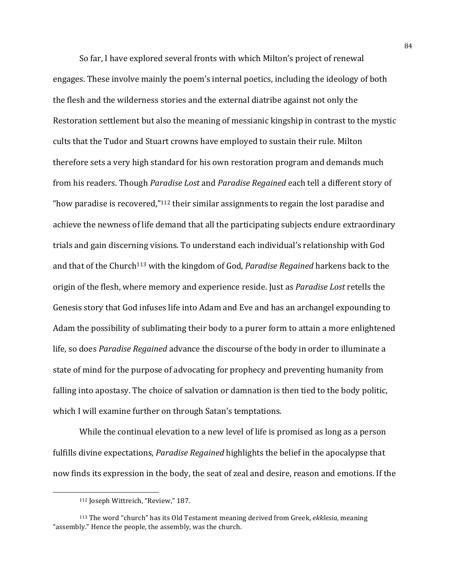So far, I have explored several fronts with which Milton's project of renewal engages. These involve mainly the poem's internal poetics, including the ideology of both the flesh and the wilderness stories and the external diatribe against not only the Restoration settlement but also the meaning of messianic kingship in contrast to the mystic cults that the Tudor and Stuart crowns have employed to sustain their rule. Milton therefore sets a very high standard for his own restoration program and demands much from his readers. Though *Paradise Lost* and *Paradise Regained* each tell a different story of "how paradise is recovered," $112$  their similar assignments to regain the lost paradise and achieve the newness of life demand that all the participating subjects endure extraordinary trials and gain discerning visions. To understand each individual's relationship with God and that of the Church<sup>113</sup> with the kingdom of God, *Paradise Regained* harkens back to the origin of the flesh, where memory and experience reside. Just as *Paradise Lost* retells the Genesis story that God infuses life into Adam and Eve and has an archangel expounding to Adam the possibility of sublimating their body to a purer form to attain a more enlightened life, so does *Paradise Regained* advance the discourse of the body in order to illuminate a state of mind for the purpose of advocating for prophecy and preventing humanity from falling into apostasy. The choice of salvation or damnation is then tied to the body politic, which I will examine further on through Satan's temptations.

While the continual elevation to a new level of life is promised as long as a person fulfills divine expectations, *Paradise Regained* highlights the belief in the apocalypse that now finds its expression in the body, the seat of zeal and desire, reason and emotions. If the

<sup>&</sup>lt;sup>112</sup> Joseph Wittreich, "Review," 187.

<sup>113</sup> The word "church" has its Old Testament meaning derived from Greek, *ekklesia*, meaning "assembly." Hence the people, the assembly, was the church.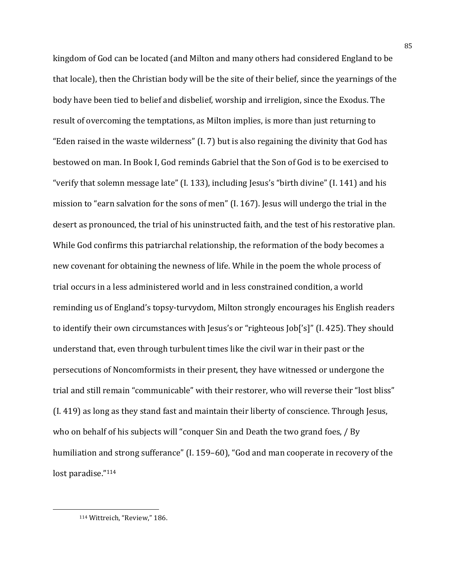kingdom of God can be located (and Milton and many others had considered England to be that locale), then the Christian body will be the site of their belief, since the yearnings of the body have been tied to belief and disbelief, worship and irreligion, since the Exodus. The result of overcoming the temptations, as Milton implies, is more than just returning to "Eden raised in the waste wilderness"  $(I. 7)$  but is also regaining the divinity that God has bestowed on man. In Book I, God reminds Gabriel that the Son of God is to be exercised to "verify that solemn message late" (I. 133), including Jesus's "birth divine" (I. 141) and his mission to "earn salvation for the sons of men"  $(1, 167)$ . Iesus will undergo the trial in the desert as pronounced, the trial of his uninstructed faith, and the test of his restorative plan. While God confirms this patriarchal relationship, the reformation of the body becomes a new covenant for obtaining the newness of life. While in the poem the whole process of trial occurs in a less administered world and in less constrained condition, a world reminding us of England's topsy-turvydom, Milton strongly encourages his English readers to identify their own circumstances with Jesus's or "righteous Job['s]" (I. 425). They should understand that, even through turbulent times like the civil war in their past or the persecutions of Noncomformists in their present, they have witnessed or undergone the trial and still remain "communicable" with their restorer, who will reverse their "lost bliss" (I. 419) as long as they stand fast and maintain their liberty of conscience. Through Jesus, who on behalf of his subjects will "conquer Sin and Death the two grand foes, / By humiliation and strong sufferance" (I. 159-60), "God and man cooperate in recovery of the lost paradise."114

<sup>&</sup>lt;sup>114</sup> Wittreich, "Review," 186.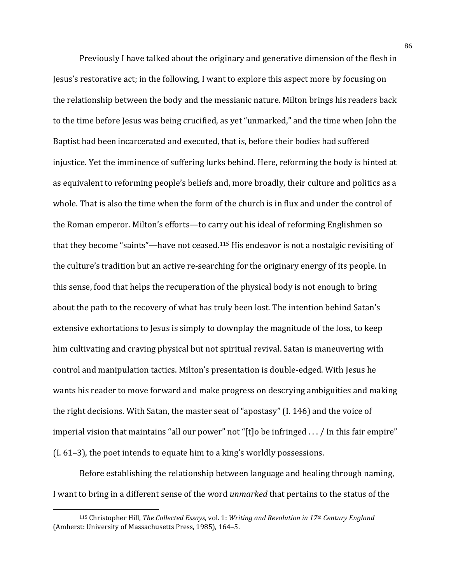Previously I have talked about the originary and generative dimension of the flesh in Jesus's restorative act; in the following, I want to explore this aspect more by focusing on the relationship between the body and the messianic nature. Milton brings his readers back to the time before Jesus was being crucified, as yet "unmarked," and the time when John the Baptist had been incarcerated and executed, that is, before their bodies had suffered injustice. Yet the imminence of suffering lurks behind. Here, reforming the body is hinted at as equivalent to reforming people's beliefs and, more broadly, their culture and politics as a whole. That is also the time when the form of the church is in flux and under the control of the Roman emperor. Milton's efforts—to carry out his ideal of reforming Englishmen so that they become "saints"—have not ceased.<sup>115</sup> His endeavor is not a nostalgic revisiting of the culture's tradition but an active re-searching for the originary energy of its people. In this sense, food that helps the recuperation of the physical body is not enough to bring about the path to the recovery of what has truly been lost. The intention behind Satan's extensive exhortations to Jesus is simply to downplay the magnitude of the loss, to keep him cultivating and craving physical but not spiritual revival. Satan is maneuvering with control and manipulation tactics. Milton's presentation is double-edged. With Jesus he wants his reader to move forward and make progress on descrying ambiguities and making the right decisions. With Satan, the master seat of "apostasy"  $(I. 146)$  and the voice of imperial vision that maintains "all our power" not "[t]o be infringed  $\dots/$  In this fair empire"  $(I. 61-3)$ , the poet intends to equate him to a king's worldly possessions.

Before establishing the relationship between language and healing through naming, I want to bring in a different sense of the word *unmarked* that pertains to the status of the

<sup>115</sup> Christopher Hill, *The Collected Essays*, vol. 1: *Writing and Revolution in 17th Century England* (Amherst: University of Massachusetts Press, 1985), 164-5.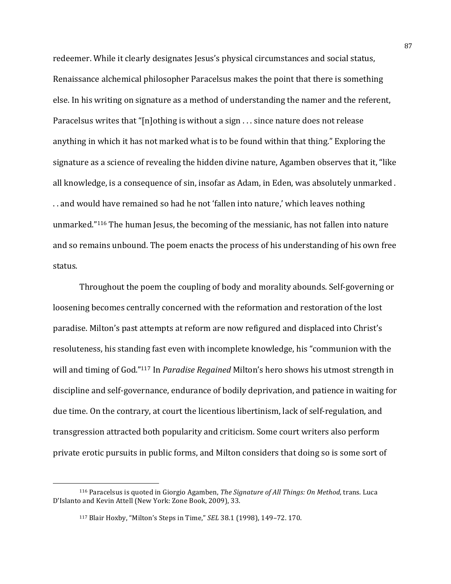redeemer. While it clearly designates Jesus's physical circumstances and social status, Renaissance alchemical philosopher Paracelsus makes the point that there is something else. In his writing on signature as a method of understanding the namer and the referent, Paracelsus writes that "[n]othing is without a sign  $\ldots$  since nature does not release anything in which it has not marked what is to be found within that thing." Exploring the signature as a science of revealing the hidden divine nature, Agamben observes that it, "like all knowledge, is a consequence of sin, insofar as Adam, in Eden, was absolutely unmarked. .. and would have remained so had he not 'fallen into nature,' which leaves nothing unmarked."<sup>116</sup> The human Jesus, the becoming of the messianic, has not fallen into nature and so remains unbound. The poem enacts the process of his understanding of his own free status.

Throughout the poem the coupling of body and morality abounds. Self-governing or loosening becomes centrally concerned with the reformation and restoration of the lost paradise. Milton's past attempts at reform are now refigured and displaced into Christ's resoluteness, his standing fast even with incomplete knowledge, his "communion with the will and timing of God."<sup>117</sup> In *Paradise Regained* Milton's hero shows his utmost strength in discipline and self-governance, endurance of bodily deprivation, and patience in waiting for due time. On the contrary, at court the licentious libertinism, lack of self-regulation, and transgression attracted both popularity and criticism. Some court writers also perform private erotic pursuits in public forms, and Milton considers that doing so is some sort of

<sup>&</sup>lt;sup>116</sup> Paracelsus is quoted in Giorgio Agamben, *The Signature of All Things: On Method*, trans. Luca D'Islanto and Kevin Attell (New York: Zone Book, 2009), 33.

<sup>117</sup> Blair Hoxby, "Milton's Steps in Time," *SEL* 38.1 (1998), 149-72. 170.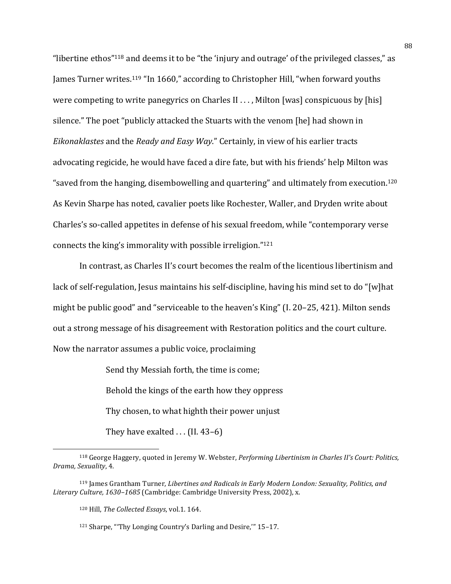"libertine ethos"<sup>118</sup> and deems it to be "the 'injury and outrage' of the privileged classes." as James Turner writes.<sup>119</sup> "In 1660," according to Christopher Hill, "when forward youths were competing to write panegyrics on Charles II . . . , Milton [was] conspicuous by [his] silence." The poet "publicly attacked the Stuarts with the venom [he] had shown in *Eikonaklastes* and the *Ready and Easy Way*." Certainly, in view of his earlier tracts advocating regicide, he would have faced a dire fate, but with his friends' help Milton was "saved from the hanging, disembowelling and quartering" and ultimately from execution.<sup>120</sup> As Kevin Sharpe has noted, cavalier poets like Rochester, Waller, and Dryden write about Charles's so-called appetites in defense of his sexual freedom, while "contemporary verse connects the king's immorality with possible irreligion." $121$ 

In contrast, as Charles II's court becomes the realm of the licentious libertinism and lack of self-regulation, Jesus maintains his self-discipline, having his mind set to do "[w]hat might be public good" and "serviceable to the heaven's King"  $(I. 20-25, 421)$ . Milton sends out a strong message of his disagreement with Restoration politics and the court culture. Now the narrator assumes a public voice, proclaiming

> Send thy Messiah forth, the time is come: Behold the kings of the earth how they oppress Thy chosen, to what highth their power unjust They have exalted  $\ldots$  (II. 43–6)

<sup>&</sup>lt;sup>118</sup> George Haggery, quoted in Jeremy W. Webster, *Performing Libertinism in Charles II's Court: Politics*, *Drama, Sexuality*, 4.

<sup>&</sup>lt;sup>119</sup> James Grantham Turner, *Libertines and Radicals in Early Modern London: Sexuality, Politics, and* Literary Culture, 1630–1685 (Cambridge: Cambridge University Press, 2002), x.

<sup>&</sup>lt;sup>120</sup> Hill, *The Collected Essays*, vol.1. 164.

<sup>121</sup> Sharpe, "'Thy Longing Country's Darling and Desire," 15-17.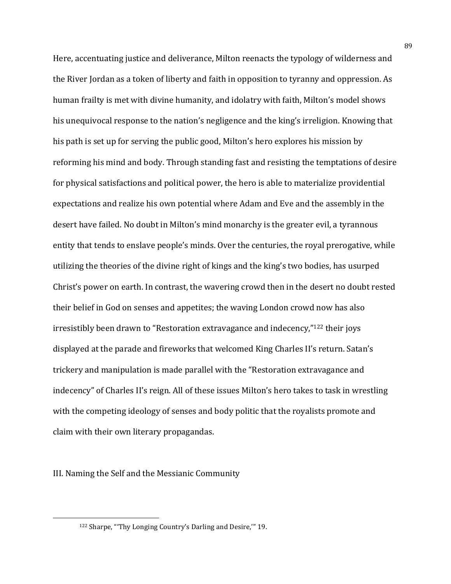Here, accentuating justice and deliverance, Milton reenacts the typology of wilderness and the River Jordan as a token of liberty and faith in opposition to tyranny and oppression. As human frailty is met with divine humanity, and idolatry with faith, Milton's model shows his unequivocal response to the nation's negligence and the king's irreligion. Knowing that his path is set up for serving the public good, Milton's hero explores his mission by reforming his mind and body. Through standing fast and resisting the temptations of desire for physical satisfactions and political power, the hero is able to materialize providential expectations and realize his own potential where Adam and Eve and the assembly in the desert have failed. No doubt in Milton's mind monarchy is the greater evil, a tyrannous entity that tends to enslave people's minds. Over the centuries, the royal prerogative, while utilizing the theories of the divine right of kings and the king's two bodies, has usurped Christ's power on earth. In contrast, the wavering crowd then in the desert no doubt rested their belief in God on senses and appetites; the waving London crowd now has also irresistibly been drawn to "Restoration extravagance and indecency,"<sup>122</sup> their joys displayed at the parade and fireworks that welcomed King Charles II's return. Satan's trickery and manipulation is made parallel with the "Restoration extravagance and indecency" of Charles II's reign. All of these issues Milton's hero takes to task in wrestling with the competing ideology of senses and body politic that the royalists promote and claim with their own literary propagandas.

III. Naming the Self and the Messianic Community

<sup>&</sup>lt;sup>122</sup> Sharpe, "'Thy Longing Country's Darling and Desire," 19.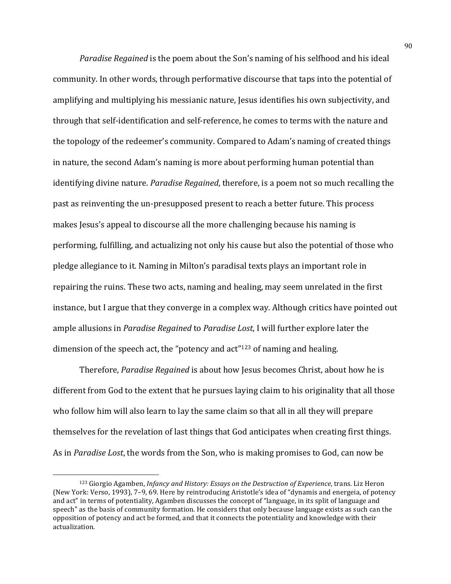*Paradise Regained* is the poem about the Son's naming of his selfhood and his ideal community. In other words, through performative discourse that taps into the potential of amplifying and multiplying his messianic nature, Jesus identifies his own subjectivity, and through that self-identification and self-reference, he comes to terms with the nature and the topology of the redeemer's community. Compared to Adam's naming of created things in nature, the second Adam's naming is more about performing human potential than identifying divine nature. *Paradise Regained*, therefore, is a poem not so much recalling the past as reinventing the un-presupposed present to reach a better future. This process makes Jesus's appeal to discourse all the more challenging because his naming is performing, fulfilling, and actualizing not only his cause but also the potential of those who pledge allegiance to it. Naming in Milton's paradisal texts plays an important role in repairing the ruins. These two acts, naming and healing, may seem unrelated in the first instance, but I argue that they converge in a complex way. Although critics have pointed out ample allusions in *Paradise Regained* to *Paradise Lost*, I will further explore later the dimension of the speech act, the "potency and  $act''^{123}$  of naming and healing.

Therefore, *Paradise Regained* is about how Jesus becomes Christ, about how he is different from God to the extent that he pursues laying claim to his originality that all those who follow him will also learn to lay the same claim so that all in all they will prepare themselves for the revelation of last things that God anticipates when creating first things. As in *Paradise Lost*, the words from the Son, who is making promises to God, can now be

<sup>123</sup> Giorgio Agamben, *Infancy and History: Essays on the Destruction of Experience*, trans. Liz Heron (New York: Verso, 1993), 7-9, 69. Here by reintroducing Aristotle's idea of "dynamis and energeia, of potency and act" in terms of potentiality, Agamben discusses the concept of "language, in its split of language and speech" as the basis of community formation. He considers that only because language exists as such can the opposition of potency and act be formed, and that it connects the potentiality and knowledge with their actualization.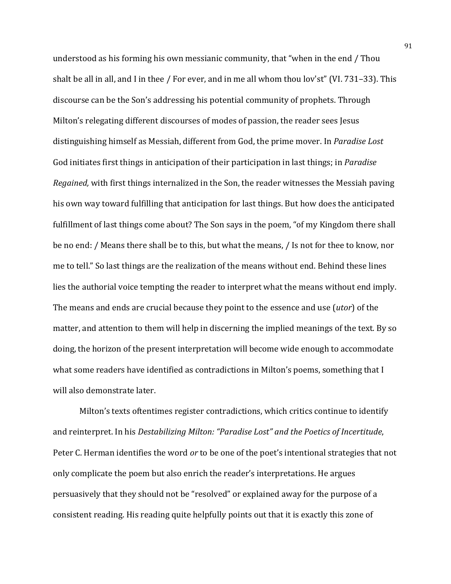understood as his forming his own messianic community, that "when in the end / Thou shalt be all in all, and I in thee / For ever, and in me all whom thou lov'st" (VI. 731–33). This discourse can be the Son's addressing his potential community of prophets. Through Milton's relegating different discourses of modes of passion, the reader sees Jesus distinguishing himself as Messiah, different from God, the prime mover. In *Paradise Lost* God initiates first things in anticipation of their participation in last things; in *Paradise Regained,* with first things internalized in the Son, the reader witnesses the Messiah paving his own way toward fulfilling that anticipation for last things. But how does the anticipated fulfillment of last things come about? The Son says in the poem, "of my Kingdom there shall be no end: / Means there shall be to this, but what the means, / Is not for thee to know, nor me to tell." So last things are the realization of the means without end. Behind these lines lies the authorial voice tempting the reader to interpret what the means without end imply. The means and ends are crucial because they point to the essence and use *(utor)* of the matter, and attention to them will help in discerning the implied meanings of the text. By so doing, the horizon of the present interpretation will become wide enough to accommodate what some readers have identified as contradictions in Milton's poems, something that I will also demonstrate later.

Milton's texts oftentimes register contradictions, which critics continue to identify and reinterpret. In his *Destabilizing Milton:* "Paradise Lost" and the Poetics of Incertitude, Peter C. Herman identifies the word *or* to be one of the poet's intentional strategies that not only complicate the poem but also enrich the reader's interpretations. He argues persuasively that they should not be "resolved" or explained away for the purpose of a consistent reading. His reading quite helpfully points out that it is exactly this zone of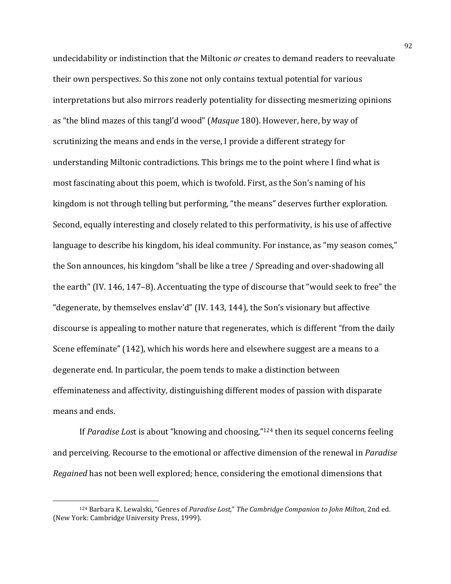undecidability or indistinction that the Miltonic *or* creates to demand readers to reevaluate their own perspectives. So this zone not only contains textual potential for various interpretations but also mirrors readerly potentiality for dissecting mesmerizing opinions as "the blind mazes of this tangl'd wood" (*Masque* 180). However, here, by way of scrutinizing the means and ends in the verse, I provide a different strategy for understanding Miltonic contradictions. This brings me to the point where I find what is most fascinating about this poem, which is twofold. First, as the Son's naming of his kingdom is not through telling but performing, "the means" deserves further exploration. Second, equally interesting and closely related to this performativity, is his use of affective language to describe his kingdom, his ideal community. For instance, as "my season comes," the Son announces, his kingdom "shall be like a tree / Spreading and over-shadowing all the earth" (IV. 146, 147–8). Accentuating the type of discourse that "would seek to free" the "degenerate, by themselves enslav'd" (IV. 143, 144), the Son's visionary but affective discourse is appealing to mother nature that regenerates, which is different "from the daily Scene effeminate" (142), which his words here and elsewhere suggest are a means to a degenerate end. In particular, the poem tends to make a distinction between effeminateness and affectivity, distinguishing different modes of passion with disparate means and ends.

If *Paradise Lost* is about "knowing and choosing,"<sup>124</sup> then its sequel concerns feeling and perceiving. Recourse to the emotional or affective dimension of the renewal in *Paradise Regained* has not been well explored; hence, considering the emotional dimensions that

<sup>124</sup> Barbara K. Lewalski, "Genres of *Paradise Lost*," The Cambridge Companion to John Milton, 2nd ed. (New York: Cambridge University Press, 1999).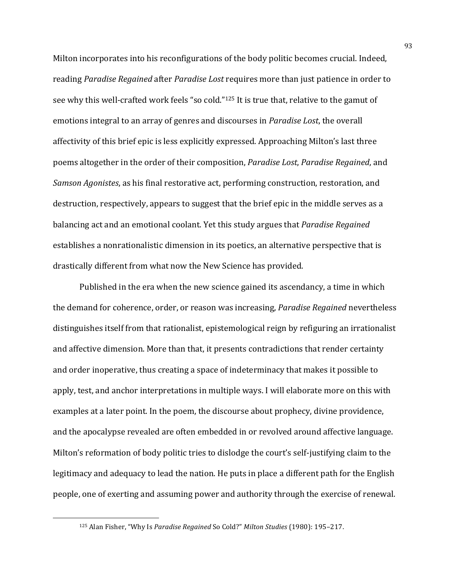Milton incorporates into his reconfigurations of the body politic becomes crucial. Indeed, reading *Paradise Regained* after *Paradise Lost* requires more than just patience in order to see why this well-crafted work feels "so cold."<sup>125</sup> It is true that, relative to the gamut of emotions integral to an array of genres and discourses in *Paradise Lost*, the overall affectivity of this brief epic is less explicitly expressed. Approaching Milton's last three poems altogether in the order of their composition, *Paradise Lost*, *Paradise Regained*, and *Samson Agonistes*, as his final restorative act, performing construction, restoration, and destruction, respectively, appears to suggest that the brief epic in the middle serves as a balancing act and an emotional coolant. Yet this study argues that *Paradise Regained* establishes a nonrationalistic dimension in its poetics, an alternative perspective that is drastically different from what now the New Science has provided.

Published in the era when the new science gained its ascendancy, a time in which the demand for coherence, order, or reason was increasing, *Paradise Regained* nevertheless distinguishes itself from that rationalist, epistemological reign by refiguring an irrationalist and affective dimension. More than that, it presents contradictions that render certainty and order inoperative, thus creating a space of indeterminacy that makes it possible to apply, test, and anchor interpretations in multiple ways. I will elaborate more on this with examples at a later point. In the poem, the discourse about prophecy, divine providence, and the apocalypse revealed are often embedded in or revolved around affective language. Milton's reformation of body politic tries to dislodge the court's self-justifying claim to the legitimacy and adequacy to lead the nation. He puts in place a different path for the English people, one of exerting and assuming power and authority through the exercise of renewal.

<sup>125</sup> Alan Fisher, "Why Is *Paradise Regained* So Cold?" Milton Studies (1980): 195-217.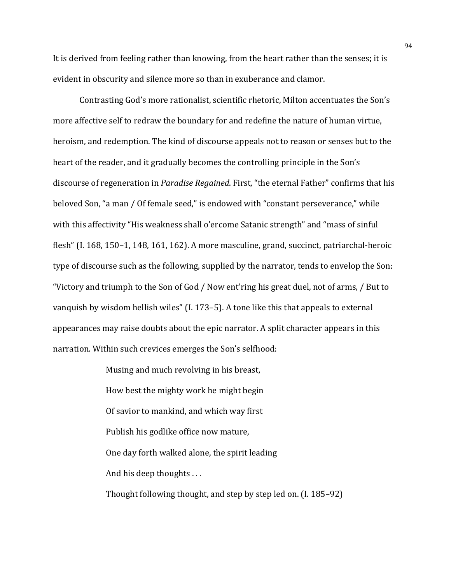It is derived from feeling rather than knowing, from the heart rather than the senses; it is evident in obscurity and silence more so than in exuberance and clamor.

Contrasting God's more rationalist, scientific rhetoric, Milton accentuates the Son's more affective self to redraw the boundary for and redefine the nature of human virtue, heroism, and redemption. The kind of discourse appeals not to reason or senses but to the heart of the reader, and it gradually becomes the controlling principle in the Son's discourse of regeneration in *Paradise Regained*. First, "the eternal Father" confirms that his beloved Son, "a man / Of female seed," is endowed with "constant perseverance," while with this affectivity "His weakness shall o'ercome Satanic strength" and "mass of sinful flesh" (I.  $168$ ,  $150-1$ ,  $148$ ,  $161$ ,  $162$ ). A more masculine, grand, succinct, patriarchal-heroic type of discourse such as the following, supplied by the narrator, tends to envelop the Son: "Victory and triumph to the Son of God / Now ent'ring his great duel, not of arms, / But to vanquish by wisdom hellish wiles"  $(1.173-5)$ . A tone like this that appeals to external appearances may raise doubts about the epic narrator. A split character appears in this narration. Within such crevices emerges the Son's selfhood:

> Musing and much revolving in his breast, How best the mighty work he might begin Of savior to mankind, and which way first Publish his godlike office now mature, One day forth walked alone, the spirit leading And his deep thoughts  $\dots$ Thought following thought, and step by step led on.  $(I. 185-92)$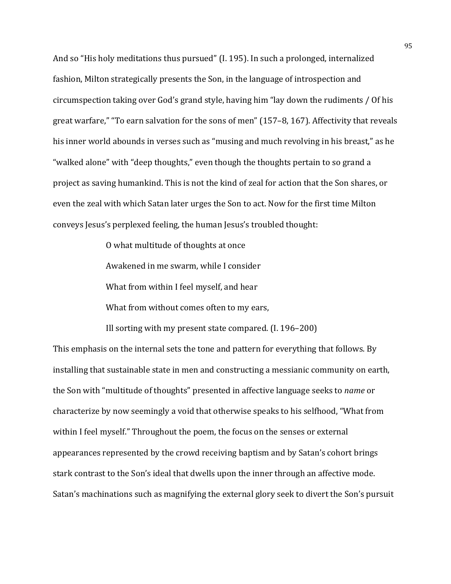And so "His holy meditations thus pursued" (I. 195). In such a prolonged, internalized fashion, Milton strategically presents the Son, in the language of introspection and circumspection taking over God's grand style, having him "lay down the rudiments / Of his great warfare," "To earn salvation for the sons of men" (157-8, 167). Affectivity that reveals his inner world abounds in verses such as "musing and much revolving in his breast," as he "walked alone" with "deep thoughts," even though the thoughts pertain to so grand a project as saving humankind. This is not the kind of zeal for action that the Son shares, or even the zeal with which Satan later urges the Son to act. Now for the first time Milton conveys Jesus's perplexed feeling, the human Jesus's troubled thought:

> O what multitude of thoughts at once Awakened in me swarm, while I consider What from within I feel myself, and hear What from without comes often to my ears,

Ill sorting with my present state compared.  $(1. 196-200)$ 

This emphasis on the internal sets the tone and pattern for everything that follows. By installing that sustainable state in men and constructing a messianic community on earth, the Son with "multitude of thoughts" presented in affective language seeks to *name* or characterize by now seemingly a void that otherwise speaks to his selfhood, "What from within I feel myself." Throughout the poem, the focus on the senses or external appearances represented by the crowd receiving baptism and by Satan's cohort brings stark contrast to the Son's ideal that dwells upon the inner through an affective mode. Satan's machinations such as magnifying the external glory seek to divert the Son's pursuit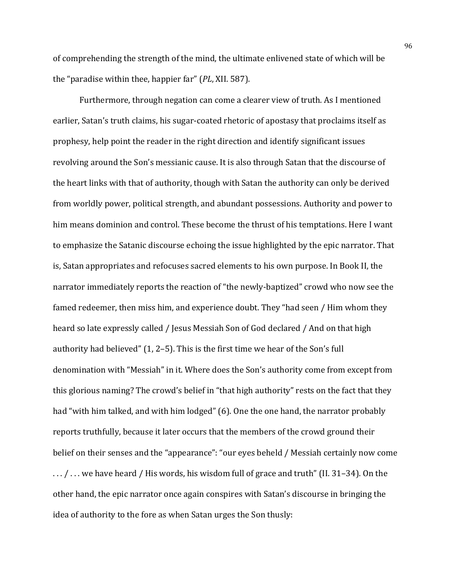of comprehending the strength of the mind, the ultimate enlivened state of which will be the "paradise within thee, happier far" (*PL*, XII. 587).

Furthermore, through negation can come a clearer view of truth. As I mentioned earlier, Satan's truth claims, his sugar-coated rhetoric of apostasy that proclaims itself as prophesy, help point the reader in the right direction and identify significant issues revolving around the Son's messianic cause. It is also through Satan that the discourse of the heart links with that of authority, though with Satan the authority can only be derived from worldly power, political strength, and abundant possessions. Authority and power to him means dominion and control. These become the thrust of his temptations. Here I want to emphasize the Satanic discourse echoing the issue highlighted by the epic narrator. That is, Satan appropriates and refocuses sacred elements to his own purpose. In Book II, the narrator immediately reports the reaction of "the newly-baptized" crowd who now see the famed redeemer, then miss him, and experience doubt. They "had seen / Him whom they heard so late expressly called / Jesus Messiah Son of God declared / And on that high authority had believed"  $(1, 2-5)$ . This is the first time we hear of the Son's full denomination with "Messiah" in it. Where does the Son's authority come from except from this glorious naming? The crowd's belief in "that high authority" rests on the fact that they had "with him talked, and with him lodged" (6). One the one hand, the narrator probably reports truthfully, because it later occurs that the members of the crowd ground their belief on their senses and the "appearance": "our eyes beheld / Messiah certainly now come  $\ldots$  /  $\ldots$  we have heard / His words, his wisdom full of grace and truth" (II. 31–34). On the other hand, the epic narrator once again conspires with Satan's discourse in bringing the idea of authority to the fore as when Satan urges the Son thusly: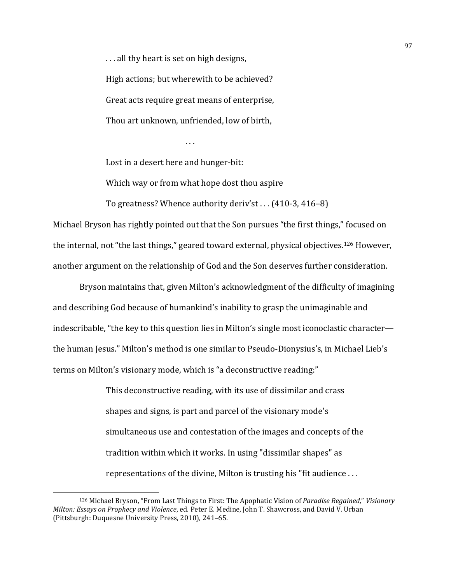... all thy heart is set on high designs, High actions; but wherewith to be achieved? Great acts require great means of enterprise, Thou art unknown, unfriended, low of birth,

. . .

Lost in a desert here and hunger-bit:

Which way or from what hope dost thou aspire

To greatness? Whence authority deriv'st... (410-3, 416-8)

Michael Bryson has rightly pointed out that the Son pursues "the first things," focused on the internal, not "the last things," geared toward external, physical objectives.<sup>126</sup> However, another argument on the relationship of God and the Son deserves further consideration.

Bryson maintains that, given Milton's acknowledgment of the difficulty of imagining and describing God because of humankind's inability to grasp the unimaginable and indescribable, "the key to this question lies in Milton's single most iconoclastic character the human Jesus." Milton's method is one similar to Pseudo-Dionysius's, in Michael Lieb's terms on Milton's visionary mode, which is "a deconstructive reading:"

> This deconstructive reading, with its use of dissimilar and crass shapes and signs, is part and parcel of the visionary mode's simultaneous use and contestation of the images and concepts of the tradition within which it works. In using "dissimilar shapes" as representations of the divine, Milton is trusting his "fit audience  $\dots$

<sup>&</sup>lt;sup>126</sup> Michael Bryson, "From Last Things to First: The Apophatic Vision of *Paradise Regained*," *Visionary Milton: Essays on Prophecy and Violence*, ed. Peter E. Medine, John T. Shawcross, and David V. Urban (Pittsburgh: Duquesne University Press, 2010), 241-65.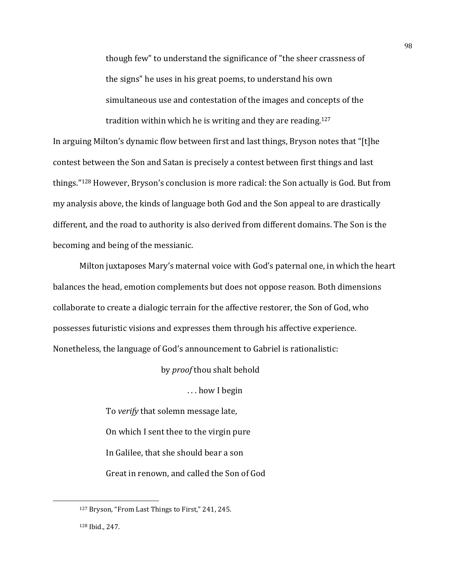though few" to understand the significance of "the sheer crassness of the signs" he uses in his great poems, to understand his own simultaneous use and contestation of the images and concepts of the tradition within which he is writing and they are reading.<sup>127</sup>

In arguing Milton's dynamic flow between first and last things, Bryson notes that "[t]he contest between the Son and Satan is precisely a contest between first things and last things." $128$  However, Bryson's conclusion is more radical: the Son actually is God. But from my analysis above, the kinds of language both God and the Son appeal to are drastically different, and the road to authority is also derived from different domains. The Son is the becoming and being of the messianic.

Milton juxtaposes Mary's maternal voice with God's paternal one, in which the heart balances the head, emotion complements but does not oppose reason. Both dimensions collaborate to create a dialogic terrain for the affective restorer, the Son of God, who possesses futuristic visions and expresses them through his affective experience. Nonetheless, the language of God's announcement to Gabriel is rationalistic:

by *proof* thou shalt behold

... how I begin

To *verify* that solemn message late, On which I sent thee to the virgin pure In Galilee, that she should bear a son Great in renown, and called the Son of God

<sup>&</sup>lt;sup>127</sup> Bryson, "From Last Things to First," 241, 245.

<sup>128</sup> Ibid., 247.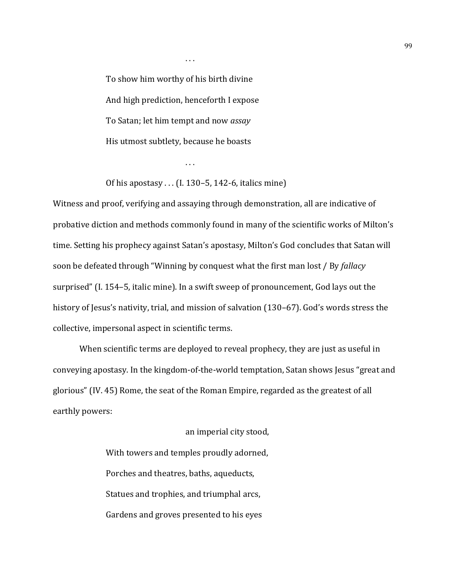To show him worthy of his birth divine And high prediction, henceforth I expose To Satan; let him tempt and now *assay* His utmost subtlety, because he boasts

 $\ldots$ 

Of his apostasy  $\dots$  (I. 130–5, 142-6, italics mine)

. . .

Witness and proof, verifying and assaying through demonstration, all are indicative of probative diction and methods commonly found in many of the scientific works of Milton's time. Setting his prophecy against Satan's apostasy, Milton's God concludes that Satan will soon be defeated through "Winning by conquest what the first man lost / By *fallacy* surprised" (I. 154–5, italic mine). In a swift sweep of pronouncement, God lays out the history of Jesus's nativity, trial, and mission of salvation (130–67). God's words stress the collective, impersonal aspect in scientific terms.

When scientific terms are deployed to reveal prophecy, they are just as useful in conveying apostasy. In the kingdom-of-the-world temptation, Satan shows Jesus "great and glorious" (IV. 45) Rome, the seat of the Roman Empire, regarded as the greatest of all earthly powers:

> an imperial city stood, With towers and temples proudly adorned, Porches and theatres, baths, aqueducts, Statues and trophies, and triumphal arcs, Gardens and groves presented to his eyes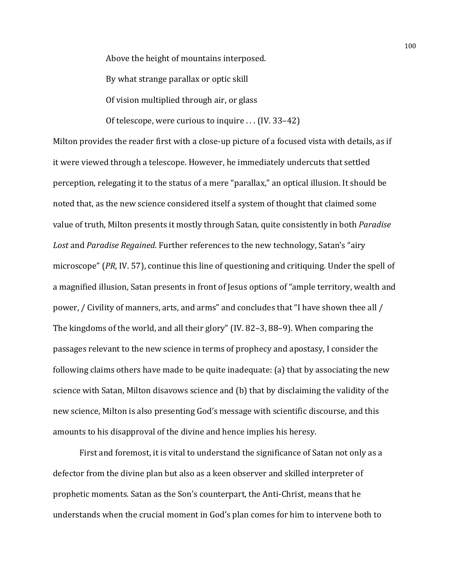Above the height of mountains interposed.

By what strange parallax or optic skill

Of vision multiplied through air, or glass

Of telescope, were curious to inquire  $\dots$  (IV. 33–42)

Milton provides the reader first with a close-up picture of a focused vista with details, as if it were viewed through a telescope. However, he immediately undercuts that settled perception, relegating it to the status of a mere "parallax," an optical illusion. It should be noted that, as the new science considered itself a system of thought that claimed some value of truth, Milton presents it mostly through Satan, quite consistently in both *Paradise* Lost and *Paradise Regained*. Further references to the new technology, Satan's "airy microscope" (*PR*, IV. 57), continue this line of questioning and critiquing. Under the spell of a magnified illusion, Satan presents in front of Jesus options of "ample territory, wealth and power, / Civility of manners, arts, and arms" and concludes that "I have shown thee all / The kingdoms of the world, and all their glory" (IV. 82-3, 88-9). When comparing the passages relevant to the new science in terms of prophecy and apostasy, I consider the following claims others have made to be quite inadequate:  $(a)$  that by associating the new science with Satan, Milton disavows science and (b) that by disclaiming the validity of the new science, Milton is also presenting God's message with scientific discourse, and this amounts to his disapproval of the divine and hence implies his heresy.

First and foremost, it is vital to understand the significance of Satan not only as a defector from the divine plan but also as a keen observer and skilled interpreter of prophetic moments. Satan as the Son's counterpart, the Anti-Christ, means that he understands when the crucial moment in God's plan comes for him to intervene both to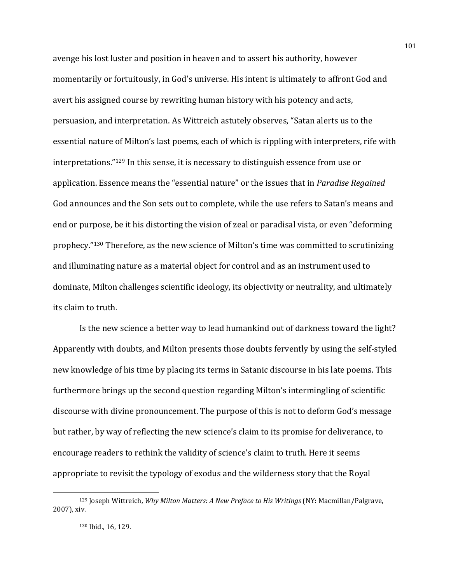avenge his lost luster and position in heaven and to assert his authority, however momentarily or fortuitously, in God's universe. His intent is ultimately to affront God and avert his assigned course by rewriting human history with his potency and acts, persuasion, and interpretation. As Wittreich astutely observes, "Satan alerts us to the essential nature of Milton's last poems, each of which is rippling with interpreters, rife with interpretations."<sup>129</sup> In this sense, it is necessary to distinguish essence from use or application. Essence means the "essential nature" or the issues that in *Paradise Regained* God announces and the Son sets out to complete, while the use refers to Satan's means and end or purpose, be it his distorting the vision of zeal or paradisal vista, or even "deforming prophecy."<sup>130</sup> Therefore, as the new science of Milton's time was committed to scrutinizing and illuminating nature as a material object for control and as an instrument used to dominate, Milton challenges scientific ideology, its objectivity or neutrality, and ultimately its claim to truth.

Is the new science a better way to lead humankind out of darkness toward the light? Apparently with doubts, and Milton presents those doubts fervently by using the self-styled new knowledge of his time by placing its terms in Satanic discourse in his late poems. This furthermore brings up the second question regarding Milton's intermingling of scientific discourse with divine pronouncement. The purpose of this is not to deform God's message but rather, by way of reflecting the new science's claim to its promise for deliverance, to encourage readers to rethink the validity of science's claim to truth. Here it seems appropriate to revisit the typology of exodus and the wilderness story that the Royal

<sup>129</sup> Joseph Wittreich, *Why Milton Matters: A New Preface to His Writings* (NY: Macmillan/Palgrave, 2007), xiv.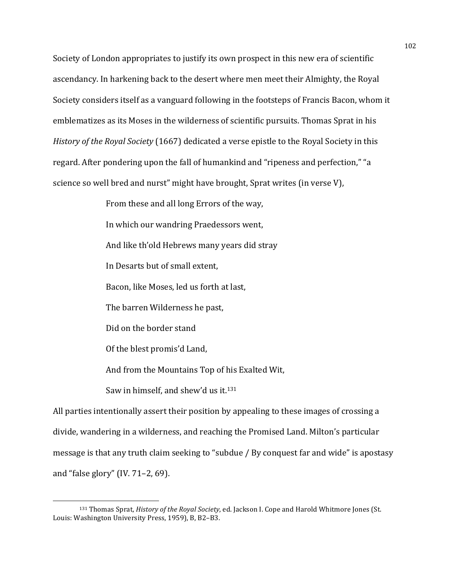Society of London appropriates to justify its own prospect in this new era of scientific ascendancy. In harkening back to the desert where men meet their Almighty, the Royal Society considers itself as a vanguard following in the footsteps of Francis Bacon, whom it emblematizes as its Moses in the wilderness of scientific pursuits. Thomas Sprat in his *History of the Royal Society* (1667) dedicated a verse epistle to the Royal Society in this regard. After pondering upon the fall of humankind and "ripeness and perfection," "a science so well bred and nurst" might have brought, Sprat writes (in verse V),

> From these and all long Errors of the way. In which our wandring Praedessors went, And like th'old Hebrews many years did stray In Desarts but of small extent, Bacon, like Moses, led us forth at last, The barren Wilderness he past, Did on the border stand Of the blest promis'd Land, And from the Mountains Top of his Exalted Wit, Saw in himself, and shew'd us it. $131$

All parties intentionally assert their position by appealing to these images of crossing a divide, wandering in a wilderness, and reaching the Promised Land. Milton's particular message is that any truth claim seeking to "subdue / By conquest far and wide" is apostasy and "false glory" (IV.  $71-2$ , 69).

<sup>&</sup>lt;sup>131</sup> Thomas Sprat, *History of the Royal Society*, ed. Jackson I. Cope and Harold Whitmore Jones (St. Louis: Washington University Press, 1959), B, B2-B3.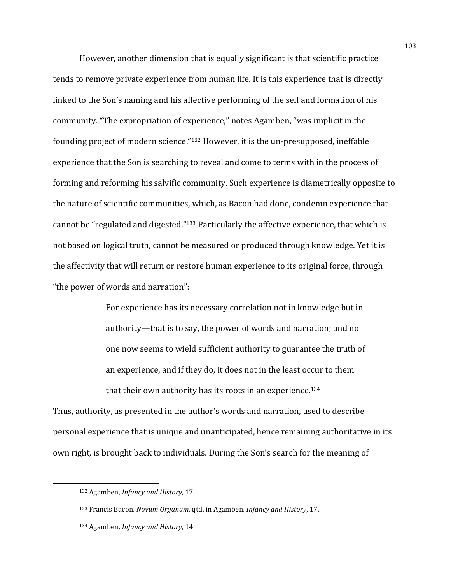However, another dimension that is equally significant is that scientific practice tends to remove private experience from human life. It is this experience that is directly linked to the Son's naming and his affective performing of the self and formation of his community. "The expropriation of experience," notes Agamben, "was implicit in the founding project of modern science."<sup>132</sup> However, it is the un-presupposed, ineffable experience that the Son is searching to reveal and come to terms with in the process of forming and reforming his salvific community. Such experience is diametrically opposite to the nature of scientific communities, which, as Bacon had done, condemn experience that cannot be "regulated and digested."<sup>133</sup> Particularly the affective experience, that which is not based on logical truth, cannot be measured or produced through knowledge. Yet it is the affectivity that will return or restore human experience to its original force, through "the power of words and narration":

> For experience has its necessary correlation not in knowledge but in authority—that is to say, the power of words and narration; and no one now seems to wield sufficient authority to guarantee the truth of an experience, and if they do, it does not in the least occur to them that their own authority has its roots in an experience.<sup>134</sup>

Thus, authority, as presented in the author's words and narration, used to describe personal experience that is unique and unanticipated, hence remaining authoritative in its own right, is brought back to individuals. During the Son's search for the meaning of

 

<sup>132</sup> Agamben, *Infancy and History*, 17.

<sup>133</sup> Francis Bacon, *Novum Organum*, qtd. in Agamben, *Infancy and History*, 17.

<sup>134</sup> Agamben, *Infancy and History*, 14.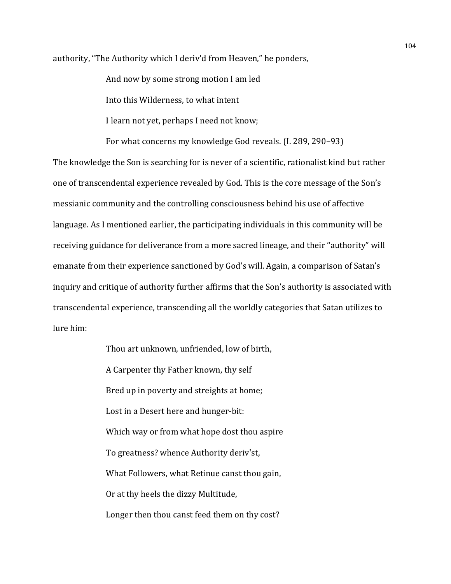authority, "The Authority which I deriv'd from Heaven," he ponders,

And now by some strong motion I am led

Into this Wilderness, to what intent

I learn not yet, perhaps I need not know;

For what concerns my knowledge God reveals. (I. 289, 290-93)

The knowledge the Son is searching for is never of a scientific, rationalist kind but rather one of transcendental experience revealed by God. This is the core message of the Son's messianic community and the controlling consciousness behind his use of affective language. As I mentioned earlier, the participating individuals in this community will be receiving guidance for deliverance from a more sacred lineage, and their "authority" will emanate from their experience sanctioned by God's will. Again, a comparison of Satan's inquiry and critique of authority further affirms that the Son's authority is associated with transcendental experience, transcending all the worldly categories that Satan utilizes to lure him:

> Thou art unknown, unfriended, low of birth, A Carpenter thy Father known, thy self Bred up in poverty and streights at home; Lost in a Desert here and hunger-bit: Which way or from what hope dost thou aspire To greatness? whence Authority deriv'st, What Followers, what Retinue canst thou gain, Or at thy heels the dizzy Multitude, Longer then thou canst feed them on thy cost?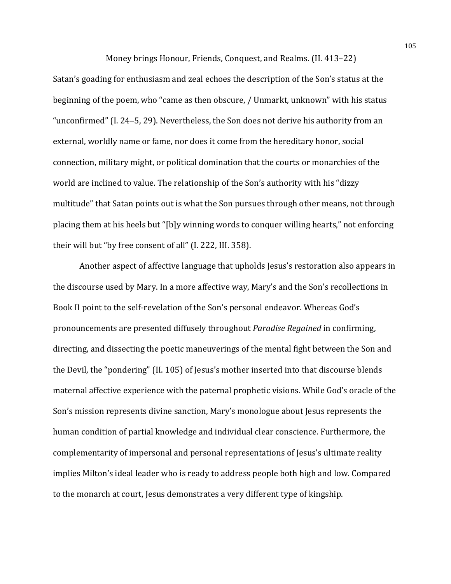Money brings Honour, Friends, Conquest, and Realms. (II. 413–22)

Satan's goading for enthusiasm and zeal echoes the description of the Son's status at the beginning of the poem, who "came as then obscure, / Unmarkt, unknown" with his status "unconfirmed"  $(I. 24-5, 29)$ . Nevertheless, the Son does not derive his authority from an external, worldly name or fame, nor does it come from the hereditary honor, social connection, military might, or political domination that the courts or monarchies of the world are inclined to value. The relationship of the Son's authority with his "dizzy" multitude" that Satan points out is what the Son pursues through other means, not through placing them at his heels but "[b]y winning words to conquer willing hearts," not enforcing their will but "by free consent of all" (I. 222, III. 358).

Another aspect of affective language that upholds Jesus's restoration also appears in the discourse used by Mary. In a more affective way, Mary's and the Son's recollections in Book II point to the self-revelation of the Son's personal endeavor. Whereas God's pronouncements are presented diffusely throughout *Paradise Regained* in confirming, directing, and dissecting the poetic maneuverings of the mental fight between the Son and the Devil, the "pondering" (II. 105) of Jesus's mother inserted into that discourse blends maternal affective experience with the paternal prophetic visions. While God's oracle of the Son's mission represents divine sanction, Mary's monologue about Jesus represents the human condition of partial knowledge and individual clear conscience. Furthermore, the complementarity of impersonal and personal representations of Jesus's ultimate reality implies Milton's ideal leader who is ready to address people both high and low. Compared to the monarch at court, Jesus demonstrates a very different type of kingship.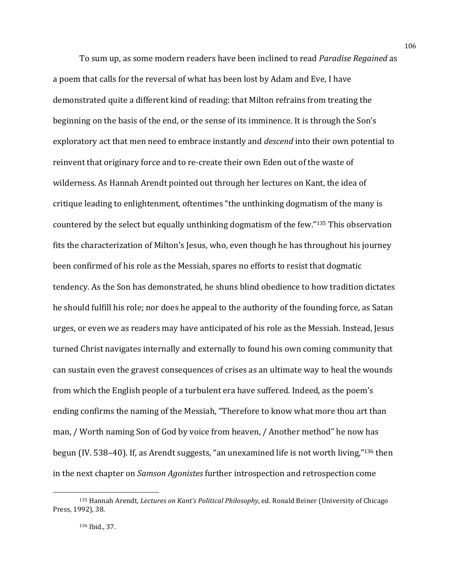To sum up, as some modern readers have been inclined to read *Paradise Regained* as a poem that calls for the reversal of what has been lost by Adam and Eve, I have demonstrated quite a different kind of reading: that Milton refrains from treating the beginning on the basis of the end, or the sense of its imminence. It is through the Son's exploratory act that men need to embrace instantly and *descend* into their own potential to reinvent that originary force and to re-create their own Eden out of the waste of wilderness. As Hannah Arendt pointed out through her lectures on Kant, the idea of critique leading to enlightenment, oftentimes "the unthinking dogmatism of the many is countered by the select but equally unthinking dogmatism of the few."<sup>135</sup> This observation fits the characterization of Milton's Jesus, who, even though he has throughout his journey been confirmed of his role as the Messiah, spares no efforts to resist that dogmatic tendency. As the Son has demonstrated, he shuns blind obedience to how tradition dictates he should fulfill his role; nor does he appeal to the authority of the founding force, as Satan urges, or even we as readers may have anticipated of his role as the Messiah. Instead, Jesus turned Christ navigates internally and externally to found his own coming community that can sustain even the gravest consequences of crises as an ultimate way to heal the wounds from which the English people of a turbulent era have suffered. Indeed, as the poem's ending confirms the naming of the Messiah, "Therefore to know what more thou art than man, / Worth naming Son of God by voice from heaven, / Another method" he now has begun (IV. 538–40). If, as Arendt suggests, "an unexamined life is not worth living,"<sup>136</sup> then in the next chapter on *Samson Agonistes* further introspection and retrospection come

<sup>135</sup> Hannah Arendt, *Lectures on Kant's Political Philosophy*, ed. Ronald Beiner (University of Chicago Press, 1992), 38.

<sup>136</sup> Ibid., 37.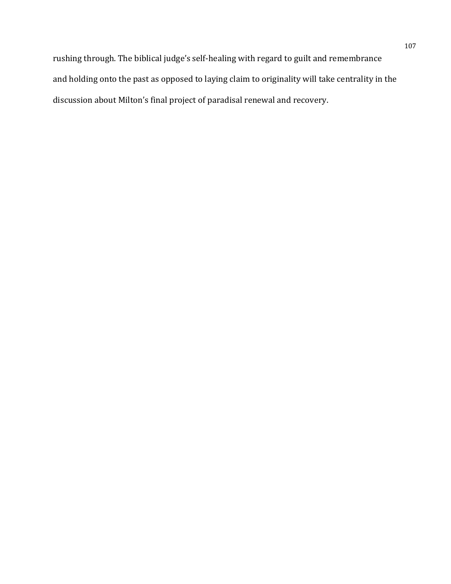rushing through. The biblical judge's self-healing with regard to guilt and remembrance and holding onto the past as opposed to laying claim to originality will take centrality in the discussion about Milton's final project of paradisal renewal and recovery.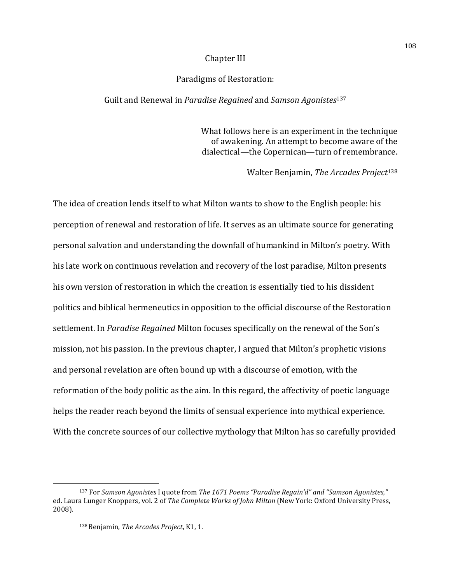# Chapter III

## Paradigms of Restoration:

## Guilt and Renewal in *Paradise Regained* and *Samson Agonistes*<sup>137</sup>

What follows here is an experiment in the technique of awakening. An attempt to become aware of the dialectical—the Copernican—turn of remembrance.

Walter Benjamin, *The Arcades Project*<sup>138</sup>

The idea of creation lends itself to what Milton wants to show to the English people: his perception of renewal and restoration of life. It serves as an ultimate source for generating personal salvation and understanding the downfall of humankind in Milton's poetry. With his late work on continuous revelation and recovery of the lost paradise, Milton presents his own version of restoration in which the creation is essentially tied to his dissident politics and biblical hermeneutics in opposition to the official discourse of the Restoration settlement. In *Paradise Regained* Milton focuses specifically on the renewal of the Son's mission, not his passion. In the previous chapter, I argued that Milton's prophetic visions and personal revelation are often bound up with a discourse of emotion, with the reformation of the body politic as the aim. In this regard, the affectivity of poetic language helps the reader reach beyond the limits of sensual experience into mythical experience. With the concrete sources of our collective mythology that Milton has so carefully provided

 

<sup>137</sup> For *Samson Agonistes* I quote from *The 1671 Poems* "Paradise Regain'd" and "Samson Agonistes," ed. Laura Lunger Knoppers, vol. 2 of *The Complete Works of John Milton* (New York: Oxford University Press, 2008).

<sup>138</sup> Benjamin, The Arcades Project, K1, 1.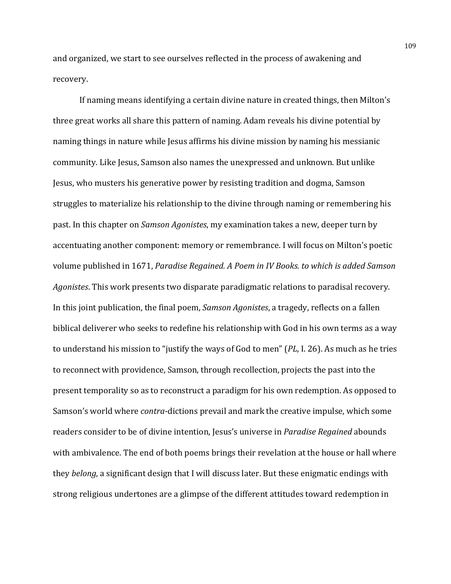and organized, we start to see ourselves reflected in the process of awakening and recovery. 

If naming means identifying a certain divine nature in created things, then Milton's three great works all share this pattern of naming. Adam reveals his divine potential by naming things in nature while Jesus affirms his divine mission by naming his messianic community. Like Jesus, Samson also names the unexpressed and unknown. But unlike Jesus, who musters his generative power by resisting tradition and dogma, Samson struggles to materialize his relationship to the divine through naming or remembering his past. In this chapter on *Samson Agonistes*, my examination takes a new, deeper turn by accentuating another component: memory or remembrance. I will focus on Milton's poetic volume published in 1671, *Paradise Regained. A Poem in IV Books. to which is added Samson* Agonistes. This work presents two disparate paradigmatic relations to paradisal recovery. In this joint publication, the final poem, *Samson Agonistes*, a tragedy, reflects on a fallen biblical deliverer who seeks to redefine his relationship with God in his own terms as a way to understand his mission to "justify the ways of God to men" (*PL*, I. 26). As much as he tries to reconnect with providence, Samson, through recollection, projects the past into the present temporality so as to reconstruct a paradigm for his own redemption. As opposed to Samson's world where *contra*-dictions prevail and mark the creative impulse, which some readers consider to be of divine intention, Jesus's universe in *Paradise Regained* abounds with ambivalence. The end of both poems brings their revelation at the house or hall where they *belong*, a significant design that I will discuss later. But these enigmatic endings with strong religious undertones are a glimpse of the different attitudes toward redemption in

109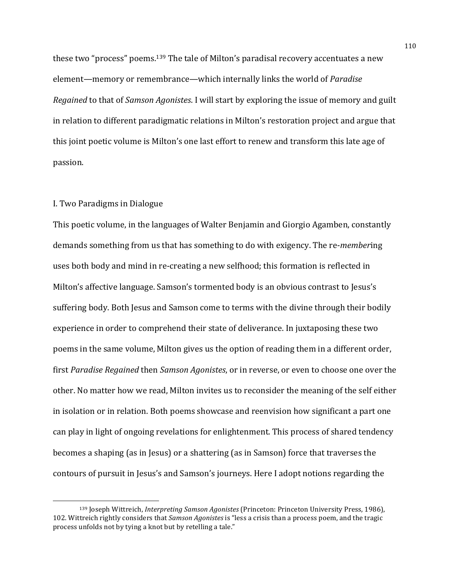these two "process" poems.<sup>139</sup> The tale of Milton's paradisal recovery accentuates a new element—memory or remembrance—which internally links the world of *Paradise Regained* to that of *Samson Agonistes*. I will start by exploring the issue of memory and guilt in relation to different paradigmatic relations in Milton's restoration project and argue that this joint poetic volume is Milton's one last effort to renew and transform this late age of passion. 

### I. Two Paradigms in Dialogue

<u> 1989 - Johann Stein, mars et al. 1989 - Anna ann an t-Anna ann an t-Anna ann an t-Anna ann an t-Anna ann an t-</u>

This poetic volume, in the languages of Walter Benjamin and Giorgio Agamben, constantly demands something from us that has something to do with exigency. The re-*member*ing uses both body and mind in re-creating a new selfhood; this formation is reflected in Milton's affective language. Samson's tormented body is an obvious contrast to Jesus's suffering body. Both Jesus and Samson come to terms with the divine through their bodily experience in order to comprehend their state of deliverance. In juxtaposing these two poems in the same volume, Milton gives us the option of reading them in a different order, first *Paradise Regained* then *Samson Agonistes*, or in reverse, or even to choose one over the other. No matter how we read, Milton invites us to reconsider the meaning of the self either in isolation or in relation. Both poems showcase and reenvision how significant a part one can play in light of ongoing revelations for enlightenment. This process of shared tendency becomes a shaping (as in Jesus) or a shattering (as in Samson) force that traverses the contours of pursuit in Jesus's and Samson's journeys. Here I adopt notions regarding the

<sup>139</sup> Joseph Wittreich, *Interpreting Samson Agonistes* (Princeton: Princeton University Press, 1986), 102. Wittreich rightly considers that *Samson Agonistes* is "less a crisis than a process poem, and the tragic process unfolds not by tying a knot but by retelling a tale."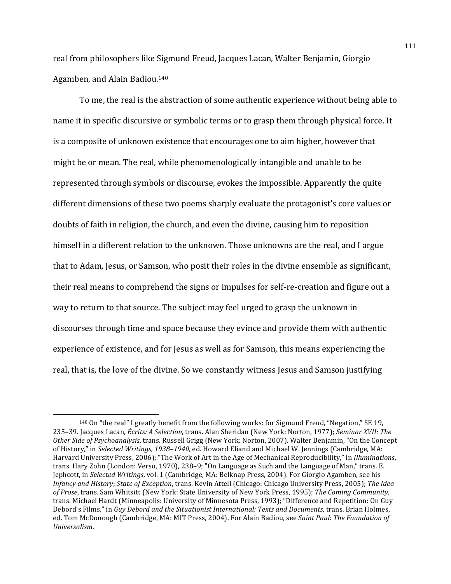real from philosophers like Sigmund Freud, Jacques Lacan, Walter Benjamin, Giorgio Agamben, and Alain Badiou.<sup>140</sup>

To me, the real is the abstraction of some authentic experience without being able to name it in specific discursive or symbolic terms or to grasp them through physical force. It is a composite of unknown existence that encourages one to aim higher, however that might be or mean. The real, while phenomenologically intangible and unable to be represented through symbols or discourse, evokes the impossible. Apparently the quite different dimensions of these two poems sharply evaluate the protagonist's core values or doubts of faith in religion, the church, and even the divine, causing him to reposition himself in a different relation to the unknown. Those unknowns are the real, and I argue that to Adam, Jesus, or Samson, who posit their roles in the divine ensemble as significant, their real means to comprehend the signs or impulses for self-re-creation and figure out a way to return to that source. The subject may feel urged to grasp the unknown in discourses through time and space because they evince and provide them with authentic experience of existence, and for Jesus as well as for Samson, this means experiencing the real, that is, the love of the divine. So we constantly witness Jesus and Samson justifying

 $140$  On "the real" I greatly benefit from the following works: for Sigmund Freud, "Negation," SE 19, 235–39. Jacques Lacan, Écrits: A Selection, trans. Alan Sheridan (New York: Norton, 1977); Seminar XVII: The *Other Side of Psychoanalysis*, trans. Russell Grigg (New York: Norton, 2007). Walter Benjamin, "On the Concept of History," in *Selected Writings, 1938-1940*, ed. Howard Eliand and Michael W. Jennings (Cambridge, MA: Harvard University Press, 2006); "The Work of Art in the Age of Mechanical Reproducibility," in *Illuminations*, trans. Hary Zohn (London: Verso, 1970), 238–9; "On Language as Such and the Language of Man," trans. E. Jephcott, in *Selected Writings*, vol. 1 (Cambridge, MA: Belknap Press, 2004). For Giorgio Agamben, see his *Infancy and History; State of Exception,* trans. Kevin Attell (Chicago: Chicago University Press, 2005); The Idea *of Prose*, trans. Sam Whitsitt (New York: State University of New York Press, 1995); The Coming Community, trans. Michael Hardt (Minneapolis: University of Minnesota Press, 1993); "Difference and Repetition: On Guy Debord's Films," in *Guy Debord and the Situationist International: Texts and Documents*, trans. Brian Holmes, ed. Tom McDonough (Cambridge, MA: MIT Press, 2004). For Alain Badiou, see *Saint Paul: The Foundation of Universalism*.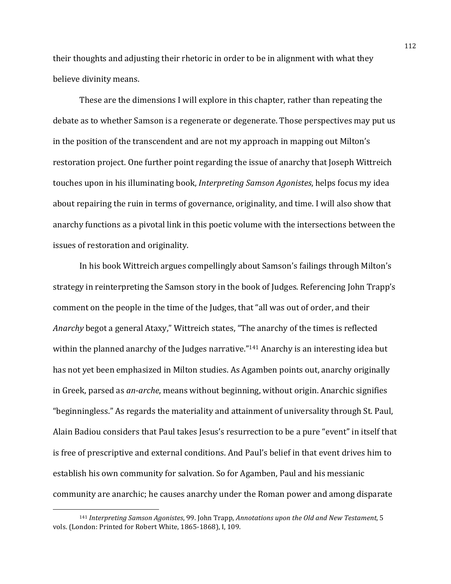their thoughts and adjusting their rhetoric in order to be in alignment with what they believe divinity means.

These are the dimensions I will explore in this chapter, rather than repeating the debate as to whether Samson is a regenerate or degenerate. Those perspectives may put us in the position of the transcendent and are not my approach in mapping out Milton's restoration project. One further point regarding the issue of anarchy that Joseph Wittreich touches upon in his illuminating book, *Interpreting Samson Agonistes*, helps focus my idea about repairing the ruin in terms of governance, originality, and time. I will also show that anarchy functions as a pivotal link in this poetic volume with the intersections between the issues of restoration and originality.

In his book Wittreich argues compellingly about Samson's failings through Milton's strategy in reinterpreting the Samson story in the book of Judges. Referencing John Trapp's comment on the people in the time of the Judges, that "all was out of order, and their Anarchy begot a general Ataxy," Wittreich states, "The anarchy of the times is reflected within the planned anarchy of the Judges narrative."<sup>141</sup> Anarchy is an interesting idea but has not yet been emphasized in Milton studies. As Agamben points out, anarchy originally in Greek, parsed as *an-arche*, means without beginning, without origin. Anarchic signifies "beginningless." As regards the materiality and attainment of universality through St. Paul, Alain Badiou considers that Paul takes Jesus's resurrection to be a pure "event" in itself that is free of prescriptive and external conditions. And Paul's belief in that event drives him to establish his own community for salvation. So for Agamben, Paul and his messianic community are anarchic; he causes anarchy under the Roman power and among disparate

 

<sup>141</sup> *Interpreting Samson Agonistes*, 99. John Trapp, *Annotations upon the Old and New Testament*, 5 vols. (London: Printed for Robert White, 1865-1868), I, 109.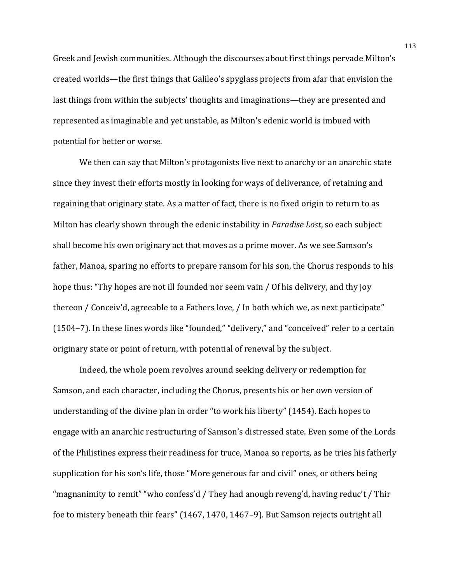Greek and Iewish communities. Although the discourses about first things pervade Milton's created worlds—the first things that Galileo's spyglass projects from afar that envision the last things from within the subjects' thoughts and imaginations—they are presented and represented as imaginable and yet unstable, as Milton's edenic world is imbued with potential for better or worse.

We then can say that Milton's protagonists live next to anarchy or an anarchic state since they invest their efforts mostly in looking for ways of deliverance, of retaining and regaining that originary state. As a matter of fact, there is no fixed origin to return to as Milton has clearly shown through the edenic instability in *Paradise Lost*, so each subject shall become his own originary act that moves as a prime mover. As we see Samson's father, Manoa, sparing no efforts to prepare ransom for his son, the Chorus responds to his hope thus: "Thy hopes are not ill founded nor seem vain / Of his delivery, and thy joy thereon / Conceiv'd, agreeable to a Fathers love, / In both which we, as next participate" (1504–7). In these lines words like "founded," "delivery," and "conceived" refer to a certain originary state or point of return, with potential of renewal by the subject.

Indeed, the whole poem revolves around seeking delivery or redemption for Samson, and each character, including the Chorus, presents his or her own version of understanding of the divine plan in order "to work his liberty" (1454). Each hopes to engage with an anarchic restructuring of Samson's distressed state. Even some of the Lords of the Philistines express their readiness for truce, Manoa so reports, as he tries his fatherly supplication for his son's life, those "More generous far and civil" ones, or others being "magnanimity to remit" "who confess'd / They had anough reveng'd, having reduc't / Thir foe to mistery beneath thir fears" (1467, 1470, 1467–9). But Samson rejects outright all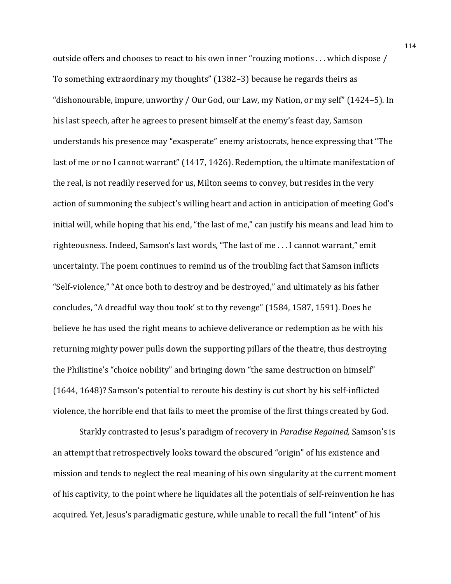outside offers and chooses to react to his own inner "rouzing motions ... which dispose / To something extraordinary my thoughts" (1382–3) because he regards theirs as "dishonourable, impure, unworthy / Our God, our Law, my Nation, or my self" (1424–5). In his last speech, after he agrees to present himself at the enemy's feast day, Samson understands his presence may "exasperate" enemy aristocrats, hence expressing that "The last of me or no I cannot warrant" (1417, 1426). Redemption, the ultimate manifestation of the real, is not readily reserved for us, Milton seems to convey, but resides in the very action of summoning the subject's willing heart and action in anticipation of meeting God's initial will, while hoping that his end, "the last of me," can justify his means and lead him to righteousness. Indeed, Samson's last words, "The last of me . . . I cannot warrant," emit uncertainty. The poem continues to remind us of the troubling fact that Samson inflicts "Self-violence," "At once both to destroy and be destroyed," and ultimately as his father concludes, "A dreadful way thou took' st to thy revenge" (1584, 1587, 1591). Does he believe he has used the right means to achieve deliverance or redemption as he with his returning mighty power pulls down the supporting pillars of the theatre, thus destroying the Philistine's "choice nobility" and bringing down "the same destruction on himself"  $(1644, 1648)$ ? Samson's potential to reroute his destiny is cut short by his self-inflicted violence, the horrible end that fails to meet the promise of the first things created by God.

Starkly contrasted to Jesus's paradigm of recovery in *Paradise Regained*, Samson's is an attempt that retrospectively looks toward the obscured "origin" of his existence and mission and tends to neglect the real meaning of his own singularity at the current moment of his captivity, to the point where he liquidates all the potentials of self-reinvention he has acquired. Yet, Jesus's paradigmatic gesture, while unable to recall the full "intent" of his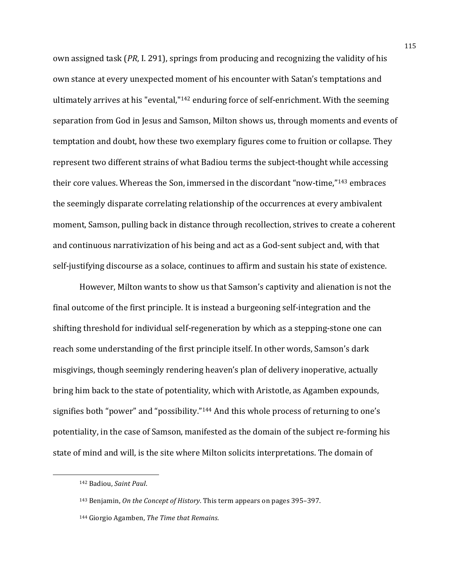own assigned task (*PR*, I. 291), springs from producing and recognizing the validity of his own stance at every unexpected moment of his encounter with Satan's temptations and ultimately arrives at his "evental,"<sup>142</sup> enduring force of self-enrichment. With the seeming separation from God in Jesus and Samson, Milton shows us, through moments and events of temptation and doubt, how these two exemplary figures come to fruition or collapse. They represent two different strains of what Badiou terms the subject-thought while accessing their core values. Whereas the Son, immersed in the discordant "now-time,"<sup>143</sup> embraces the seemingly disparate correlating relationship of the occurrences at every ambivalent moment, Samson, pulling back in distance through recollection, strives to create a coherent and continuous narrativization of his being and act as a God-sent subject and, with that self-justifying discourse as a solace, continues to affirm and sustain his state of existence.

However, Milton wants to show us that Samson's captivity and alienation is not the final outcome of the first principle. It is instead a burgeoning self-integration and the shifting threshold for individual self-regeneration by which as a stepping-stone one can reach some understanding of the first principle itself. In other words, Samson's dark misgivings, though seemingly rendering heaven's plan of delivery inoperative, actually bring him back to the state of potentiality, which with Aristotle, as Agamben expounds, signifies both "power" and "possibility."<sup>144</sup> And this whole process of returning to one's potentiality, in the case of Samson, manifested as the domain of the subject re-forming his state of mind and will, is the site where Milton solicits interpretations. The domain of

<sup>142</sup> Badiou, Saint Paul.

<sup>143</sup> Benjamin, *On the Concept of History*. This term appears on pages 395–397.

<sup>144</sup> Giorgio Agamben, *The Time that Remains*.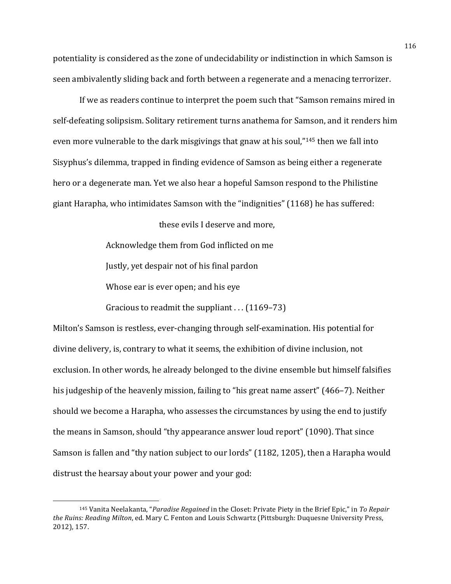potentiality is considered as the zone of undecidability or indistinction in which Samson is seen ambivalently sliding back and forth between a regenerate and a menacing terrorizer.

If we as readers continue to interpret the poem such that "Samson remains mired in self-defeating solipsism. Solitary retirement turns anathema for Samson, and it renders him even more vulnerable to the dark misgivings that gnaw at his soul,"<sup>145</sup> then we fall into Sisyphus's dilemma, trapped in finding evidence of Samson as being either a regenerate hero or a degenerate man. Yet we also hear a hopeful Samson respond to the Philistine giant Harapha, who intimidates Samson with the "indignities" (1168) he has suffered:

these evils I deserve and more,

Acknowledge them from God inflicted on me Justly, yet despair not of his final pardon Whose ear is ever open; and his eye

Gracious to readmit the suppliant  $\ldots$  (1169–73)

Milton's Samson is restless, ever-changing through self-examination. His potential for divine delivery, is, contrary to what it seems, the exhibition of divine inclusion, not exclusion. In other words, he already belonged to the divine ensemble but himself falsifies his judgeship of the heavenly mission, failing to "his great name assert" (466–7). Neither should we become a Harapha, who assesses the circumstances by using the end to justify the means in Samson, should "thy appearance answer loud report" (1090). That since Samson is fallen and "thy nation subject to our lords" (1182, 1205), then a Harapha would distrust the hearsay about your power and your god:

<sup>&</sup>lt;sup>145</sup> Vanita Neelakanta, "*Paradise Regained* in the Closet: Private Piety in the Brief Epic," in *To Repair* the Ruins: Reading Milton, ed. Mary C. Fenton and Louis Schwartz (Pittsburgh: Duquesne University Press, 2012), 157.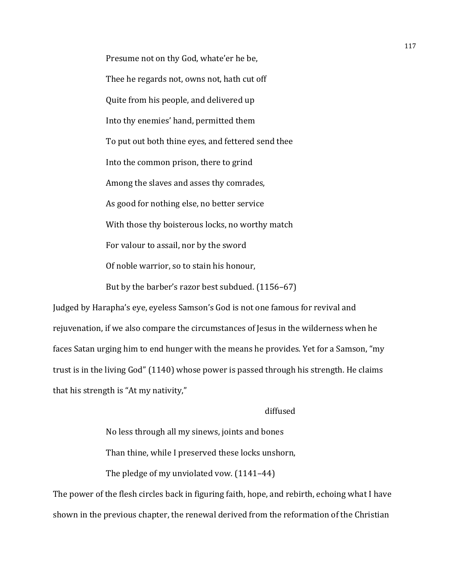Presume not on thy God, whate'er he be, Thee he regards not, owns not, hath cut off Quite from his people, and delivered up Into thy enemies' hand, permitted them To put out both thine eyes, and fettered send thee Into the common prison, there to grind Among the slaves and asses thy comrades, As good for nothing else, no better service With those thy boisterous locks, no worthy match For valour to assail, nor by the sword Of noble warrior, so to stain his honour, But by the barber's razor best subdued.  $(1156-67)$ 

Judged by Harapha's eye, eyeless Samson's God is not one famous for revival and rejuvenation, if we also compare the circumstances of Jesus in the wilderness when he faces Satan urging him to end hunger with the means he provides. Yet for a Samson, "my trust is in the living God" (1140) whose power is passed through his strength. He claims that his strength is "At my nativity,"

#### diffused

No less through all my sinews, joints and bones Than thine, while I preserved these locks unshorn,

The pledge of my unviolated vow.  $(1141-44)$ 

The power of the flesh circles back in figuring faith, hope, and rebirth, echoing what I have shown in the previous chapter, the renewal derived from the reformation of the Christian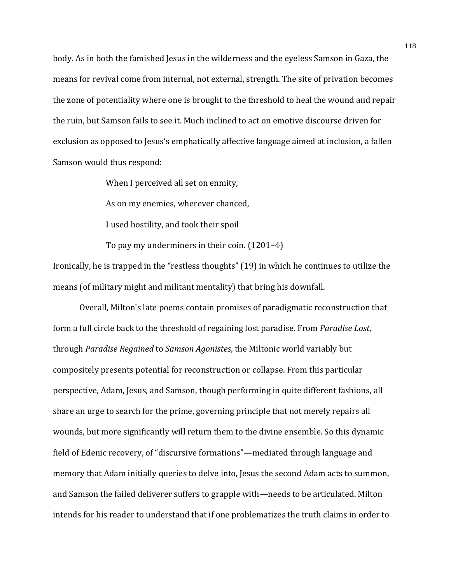body. As in both the famished Jesus in the wilderness and the eyeless Samson in Gaza, the means for revival come from internal, not external, strength. The site of privation becomes the zone of potentiality where one is brought to the threshold to heal the wound and repair the ruin, but Samson fails to see it. Much inclined to act on emotive discourse driven for exclusion as opposed to Jesus's emphatically affective language aimed at inclusion, a fallen Samson would thus respond:

When I perceived all set on enmity,

As on my enemies, wherever chanced.

I used hostility, and took their spoil

To pay my underminers in their coin.  $(1201-4)$ 

Ironically, he is trapped in the "restless thoughts" (19) in which he continues to utilize the means (of military might and militant mentality) that bring his downfall.

Overall, Milton's late poems contain promises of paradigmatic reconstruction that form a full circle back to the threshold of regaining lost paradise. From *Paradise Lost*, through *Paradise Regained* to *Samson Agonistes*, the Miltonic world variably but compositely presents potential for reconstruction or collapse. From this particular perspective, Adam, Jesus, and Samson, though performing in quite different fashions, all share an urge to search for the prime, governing principle that not merely repairs all wounds, but more significantly will return them to the divine ensemble. So this dynamic field of Edenic recovery, of "discursive formations"—mediated through language and memory that Adam initially queries to delve into, Jesus the second Adam acts to summon, and Samson the failed deliverer suffers to grapple with—needs to be articulated. Milton intends for his reader to understand that if one problematizes the truth claims in order to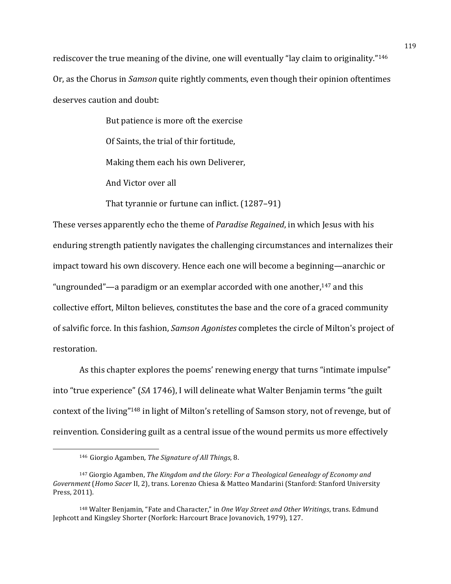rediscover the true meaning of the divine, one will eventually "lay claim to originality."<sup>146</sup> Or, as the Chorus in *Samson* quite rightly comments, even though their opinion oftentimes deserves caution and doubt:

> But patience is more oft the exercise Of Saints, the trial of thir fortitude, Making them each his own Deliverer, And Victor over all

That tyrannie or furtune can inflict. (1287-91)

These verses apparently echo the theme of *Paradise Regained*, in which Jesus with his enduring strength patiently navigates the challenging circumstances and internalizes their impact toward his own discovery. Hence each one will become a beginning—anarchic or "ungrounded"—a paradigm or an exemplar accorded with one another,  $147$  and this collective effort, Milton believes, constitutes the base and the core of a graced community of salvific force. In this fashion, *Samson Agonistes* completes the circle of Milton's project of restoration.

As this chapter explores the poems' renewing energy that turns "intimate impulse" into "true experience" (*SA* 1746), I will delineate what Walter Benjamin terms "the guilt context of the living"<sup>148</sup> in light of Milton's retelling of Samson story, not of revenge, but of reinvention. Considering guilt as a central issue of the wound permits us more effectively

<sup>146</sup> Giorgio Agamben, The Signature of All Things, 8.

<sup>&</sup>lt;sup>147</sup> Giorgio Agamben, *The Kingdom and the Glory: For a Theological Genealogy of Economy and* Government (*Homo Sacer II, 2*), trans. Lorenzo Chiesa & Matteo Mandarini (Stanford: Stanford University Press, 2011).

<sup>&</sup>lt;sup>148</sup> Walter Benjamin, "Fate and Character," in *One Way Street and Other Writings*, trans. Edmund Jephcott and Kingsley Shorter (Norfork: Harcourt Brace Jovanovich, 1979), 127.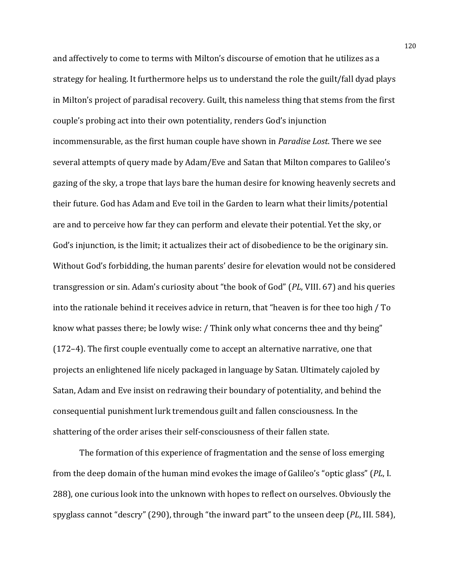and affectively to come to terms with Milton's discourse of emotion that he utilizes as a strategy for healing. It furthermore helps us to understand the role the guilt/fall dyad plays in Milton's project of paradisal recovery. Guilt, this nameless thing that stems from the first couple's probing act into their own potentiality, renders God's injunction incommensurable, as the first human couple have shown in *Paradise Lost*. There we see several attempts of query made by Adam/Eve and Satan that Milton compares to Galileo's gazing of the sky, a trope that lays bare the human desire for knowing heavenly secrets and their future. God has Adam and Eve toil in the Garden to learn what their limits/potential are and to perceive how far they can perform and elevate their potential. Yet the sky, or God's injunction, is the limit; it actualizes their act of disobedience to be the originary sin. Without God's forbidding, the human parents' desire for elevation would not be considered transgression or sin. Adam's curiosity about "the book of God" (*PL*, VIII. 67) and his queries into the rationale behind it receives advice in return, that "heaven is for thee too high / To know what passes there; be lowly wise: / Think only what concerns thee and thy being" ( $172-4$ ). The first couple eventually come to accept an alternative narrative, one that projects an enlightened life nicely packaged in language by Satan. Ultimately cajoled by Satan, Adam and Eve insist on redrawing their boundary of potentiality, and behind the consequential punishment lurk tremendous guilt and fallen consciousness. In the shattering of the order arises their self-consciousness of their fallen state.

The formation of this experience of fragmentation and the sense of loss emerging from the deep domain of the human mind evokes the image of Galileo's "optic glass" (PL, I. 288), one curious look into the unknown with hopes to reflect on ourselves. Obviously the spyglass cannot "descry" (290), through "the inward part" to the unseen deep (*PL*, III. 584),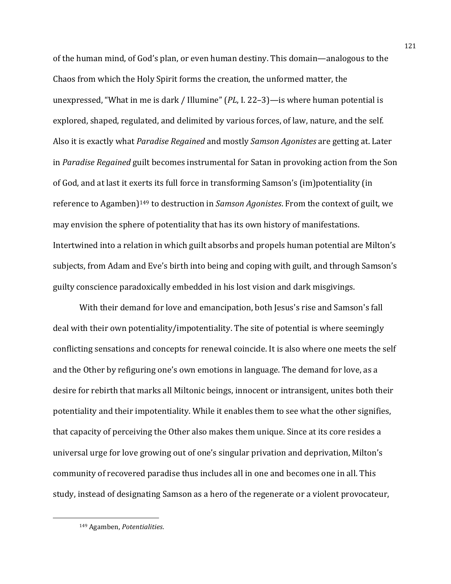of the human mind, of God's plan, or even human destiny. This domain—analogous to the Chaos from which the Holy Spirit forms the creation, the unformed matter, the unexpressed, "What in me is dark / Illumine"  $(PL, I. 22-3)$ —is where human potential is explored, shaped, regulated, and delimited by various forces, of law, nature, and the self. Also it is exactly what *Paradise Regained* and mostly *Samson Agonistes* are getting at. Later in *Paradise Regained* guilt becomes instrumental for Satan in provoking action from the Son of God, and at last it exerts its full force in transforming Samson's (im)potentiality (in reference to Agamben)<sup>149</sup> to destruction in *Samson Agonistes*. From the context of guilt, we may envision the sphere of potentiality that has its own history of manifestations. Intertwined into a relation in which guilt absorbs and propels human potential are Milton's subjects, from Adam and Eve's birth into being and coping with guilt, and through Samson's guilty conscience paradoxically embedded in his lost vision and dark misgivings.

With their demand for love and emancipation, both Jesus's rise and Samson's fall deal with their own potentiality/impotentiality. The site of potential is where seemingly conflicting sensations and concepts for renewal coincide. It is also where one meets the self and the Other by refiguring one's own emotions in language. The demand for love, as a desire for rebirth that marks all Miltonic beings, innocent or intransigent, unites both their potentiality and their impotentiality. While it enables them to see what the other signifies, that capacity of perceiving the Other also makes them unique. Since at its core resides a universal urge for love growing out of one's singular privation and deprivation, Milton's community of recovered paradise thus includes all in one and becomes one in all. This study, instead of designating Samson as a hero of the regenerate or a violent provocateur,

<sup>149</sup> Agamben, Potentialities.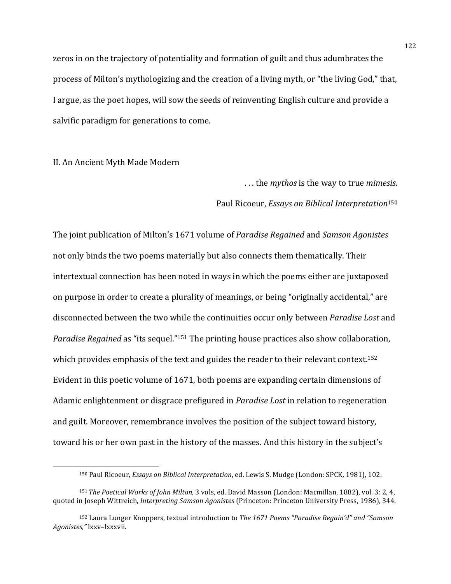zeros in on the trajectory of potentiality and formation of guilt and thus adumbrates the process of Milton's mythologizing and the creation of a living myth, or "the living God," that, I argue, as the poet hopes, will sow the seeds of reinventing English culture and provide a salvific paradigm for generations to come.

# II. An Ancient Myth Made Modern

 

... the *mythos* is the way to true *mimesis*.

## Paul Ricoeur, *Essays on Biblical Interpretation*<sup>150</sup>

The joint publication of Milton's 1671 volume of *Paradise Regained* and *Samson Agonistes* not only binds the two poems materially but also connects them thematically. Their intertextual connection has been noted in ways in which the poems either are juxtaposed on purpose in order to create a plurality of meanings, or being "originally accidental," are disconnected between the two while the continuities occur only between *Paradise Lost* and *Paradise Regained* as "its sequel."<sup>151</sup> The printing house practices also show collaboration, which provides emphasis of the text and guides the reader to their relevant context.<sup>152</sup> Evident in this poetic volume of 1671, both poems are expanding certain dimensions of Adamic enlightenment or disgrace prefigured in *Paradise Lost* in relation to regeneration and guilt. Moreover, remembrance involves the position of the subject toward history, toward his or her own past in the history of the masses. And this history in the subject's

<sup>150</sup> Paul Ricoeur, *Essays on Biblical Interpretation*, ed. Lewis S. Mudge (London: SPCK, 1981), 102.

<sup>151</sup> *The Poetical Works of John Milton*, 3 vols, ed. David Masson (London: Macmillan, 1882), vol. 3: 2, 4, quoted in Joseph Wittreich, *Interpreting Samson Agonistes* (Princeton: Princeton University Press, 1986), 344.

<sup>&</sup>lt;sup>152</sup> Laura Lunger Knoppers, textual introduction to *The* 1671 Poems "Paradise Regain'd" and "Samson *Agonistes,"* lxxv–lxxxvii.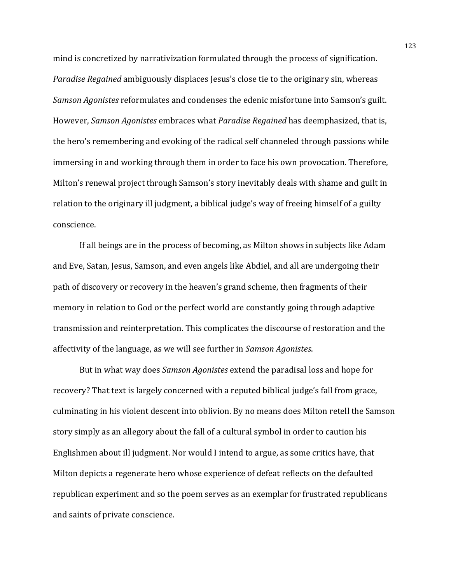mind is concretized by narrativization formulated through the process of signification. *Paradise Regained* ambiguously displaces Jesus's close tie to the originary sin, whereas *Samson Agonistes* reformulates and condenses the edenic misfortune into Samson's guilt. However, *Samson Agonistes* embraces what *Paradise Regained* has deemphasized, that is, the hero's remembering and evoking of the radical self channeled through passions while immersing in and working through them in order to face his own provocation. Therefore, Milton's renewal project through Samson's story inevitably deals with shame and guilt in relation to the originary ill judgment, a biblical judge's way of freeing himself of a guilty conscience.

If all beings are in the process of becoming, as Milton shows in subjects like Adam and Eve, Satan, Jesus, Samson, and even angels like Abdiel, and all are undergoing their path of discovery or recovery in the heaven's grand scheme, then fragments of their memory in relation to God or the perfect world are constantly going through adaptive transmission and reinterpretation. This complicates the discourse of restoration and the affectivity of the language, as we will see further in *Samson Agonistes*.

But in what way does *Samson Agonistes* extend the paradisal loss and hope for recovery? That text is largely concerned with a reputed biblical judge's fall from grace, culminating in his violent descent into oblivion. By no means does Milton retell the Samson story simply as an allegory about the fall of a cultural symbol in order to caution his Englishmen about ill judgment. Nor would I intend to argue, as some critics have, that Milton depicts a regenerate hero whose experience of defeat reflects on the defaulted republican experiment and so the poem serves as an exemplar for frustrated republicans and saints of private conscience.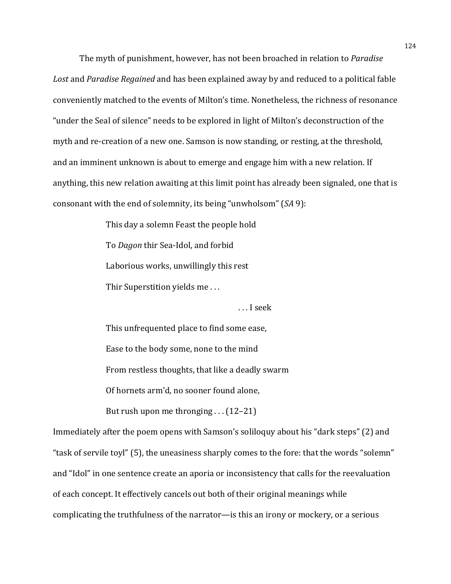The myth of punishment, however, has not been broached in relation to *Paradise* Lost and *Paradise Regained* and has been explained away by and reduced to a political fable conveniently matched to the events of Milton's time. Nonetheless, the richness of resonance "under the Seal of silence" needs to be explored in light of Milton's deconstruction of the myth and re-creation of a new one. Samson is now standing, or resting, at the threshold, and an imminent unknown is about to emerge and engage him with a new relation. If anything, this new relation awaiting at this limit point has already been signaled, one that is consonant with the end of solemnity, its being "unwholsom" (*SA* 9):

> This day a solemn Feast the people hold To *Dagon* thir Sea-Idol, and forbid Laborious works, unwillingly this rest Thir Superstition yields me...

> > ...I seek

This unfrequented place to find some ease, Ease to the body some, none to the mind From restless thoughts, that like a deadly swarm Of hornets arm'd, no sooner found alone,

But rush upon me thronging  $\dots$  (12–21)

Immediately after the poem opens with Samson's soliloquy about his "dark steps" (2) and "task of servile toyl" (5), the uneasiness sharply comes to the fore: that the words "solemn" and "Idol" in one sentence create an aporia or inconsistency that calls for the reevaluation of each concept. It effectively cancels out both of their original meanings while complicating the truthfulness of the narrator—is this an irony or mockery, or a serious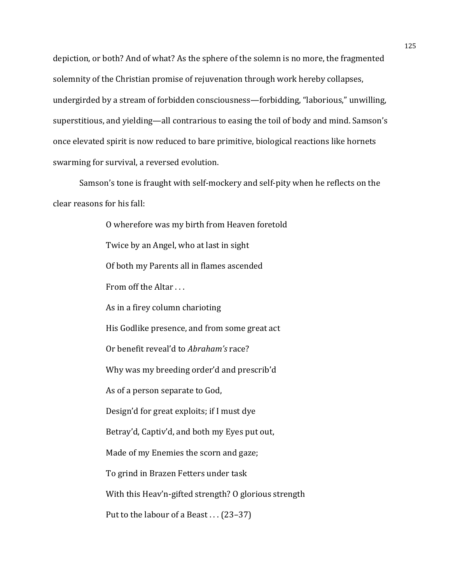depiction, or both? And of what? As the sphere of the solemn is no more, the fragmented solemnity of the Christian promise of rejuvenation through work hereby collapses, undergirded by a stream of forbidden consciousness—forbidding, "laborious," unwilling, superstitious, and yielding—all contrarious to easing the toil of body and mind. Samson's once elevated spirit is now reduced to bare primitive, biological reactions like hornets swarming for survival, a reversed evolution.

Samson's tone is fraught with self-mockery and self-pity when he reflects on the clear reasons for his fall:

> O wherefore was my birth from Heaven foretold Twice by an Angel, who at last in sight Of both my Parents all in flames ascended From off the Altar ... As in a firey column charioting His Godlike presence, and from some great act Or benefit reveal'd to *Abraham's* race? Why was my breeding order'd and prescrib'd As of a person separate to God, Design'd for great exploits; if I must dye Betray'd, Captiv'd, and both my Eyes put out, Made of my Enemies the scorn and gaze; To grind in Brazen Fetters under task With this Heav'n-gifted strength? O glorious strength Put to the labour of a Beast  $\dots$  (23–37)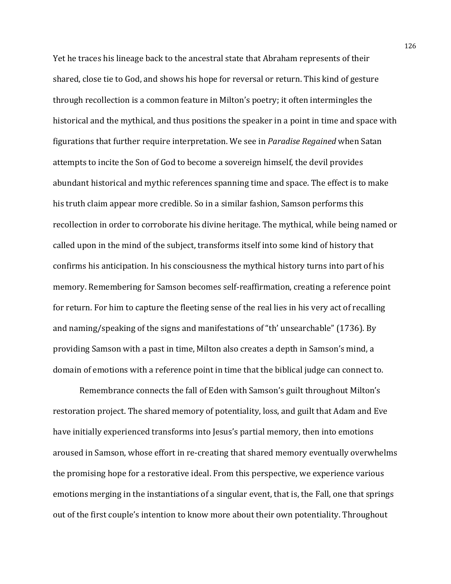Yet he traces his lineage back to the ancestral state that Abraham represents of their shared, close tie to God, and shows his hope for reversal or return. This kind of gesture through recollection is a common feature in Milton's poetry; it often intermingles the historical and the mythical, and thus positions the speaker in a point in time and space with figurations that further require interpretation. We see in *Paradise Regained* when Satan attempts to incite the Son of God to become a sovereign himself, the devil provides abundant historical and mythic references spanning time and space. The effect is to make his truth claim appear more credible. So in a similar fashion, Samson performs this recollection in order to corroborate his divine heritage. The mythical, while being named or called upon in the mind of the subject, transforms itself into some kind of history that confirms his anticipation. In his consciousness the mythical history turns into part of his memory. Remembering for Samson becomes self-reaffirmation, creating a reference point for return. For him to capture the fleeting sense of the real lies in his very act of recalling and naming/speaking of the signs and manifestations of "th' unsearchable" (1736). By providing Samson with a past in time, Milton also creates a depth in Samson's mind, a domain of emotions with a reference point in time that the biblical judge can connect to.

Remembrance connects the fall of Eden with Samson's guilt throughout Milton's restoration project. The shared memory of potentiality, loss, and guilt that Adam and Eve have initially experienced transforms into Jesus's partial memory, then into emotions aroused in Samson, whose effort in re-creating that shared memory eventually overwhelms the promising hope for a restorative ideal. From this perspective, we experience various emotions merging in the instantiations of a singular event, that is, the Fall, one that springs out of the first couple's intention to know more about their own potentiality. Throughout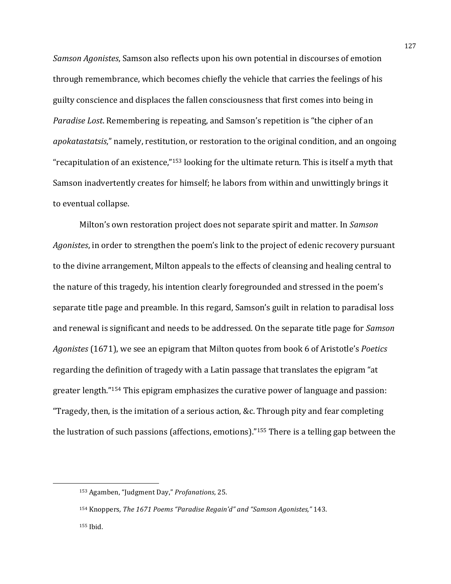*Samson Agonistes*, Samson also reflects upon his own potential in discourses of emotion through remembrance, which becomes chiefly the vehicle that carries the feelings of his guilty conscience and displaces the fallen consciousness that first comes into being in *Paradise Lost*. Remembering is repeating, and Samson's repetition is "the cipher of an *apokatastatsis*," namely, restitution, or restoration to the original condition, and an ongoing "recapitulation of an existence,"<sup>153</sup> looking for the ultimate return. This is itself a myth that Samson inadvertently creates for himself; he labors from within and unwittingly brings it to eventual collapse.

Milton's own restoration project does not separate spirit and matter. In *Samson Agonistes*, in order to strengthen the poem's link to the project of edenic recovery pursuant to the divine arrangement, Milton appeals to the effects of cleansing and healing central to the nature of this tragedy, his intention clearly foregrounded and stressed in the poem's separate title page and preamble. In this regard, Samson's guilt in relation to paradisal loss and renewal is significant and needs to be addressed. On the separate title page for *Samson* Agonistes (1671), we see an epigram that Milton quotes from book 6 of Aristotle's *Poetics* regarding the definition of tragedy with a Latin passage that translates the epigram "at greater length."<sup>154</sup> This epigram emphasizes the curative power of language and passion: "Tragedy, then, is the imitation of a serious action, &c. Through pity and fear completing the lustration of such passions (affections, emotions)."<sup>155</sup> There is a telling gap between the

 

<sup>153</sup> Agamben, "Judgment Day," *Profanations*, 25.

<sup>&</sup>lt;sup>154</sup> Knoppers, *The* 1671 Poems "Paradise Regain'd" and "Samson Agonistes," 143.

<sup>155</sup> Ibid.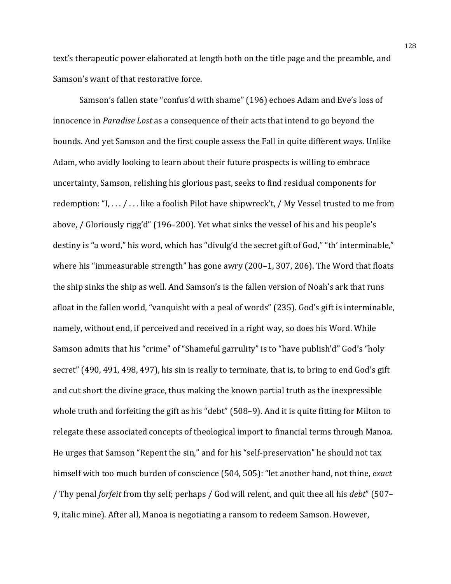text's therapeutic power elaborated at length both on the title page and the preamble, and Samson's want of that restorative force.

Samson's fallen state "confus'd with shame" (196) echoes Adam and Eve's loss of innocence in *Paradise Lost* as a consequence of their acts that intend to go beyond the bounds. And yet Samson and the first couple assess the Fall in quite different ways. Unlike Adam, who avidly looking to learn about their future prospects is willing to embrace uncertainty, Samson, relishing his glorious past, seeks to find residual components for redemption: "I,  $\dots$  /  $\dots$  like a foolish Pilot have shipwreck't, / My Vessel trusted to me from above, / Gloriously rigg'd" (196–200). Yet what sinks the vessel of his and his people's destiny is "a word," his word, which has "divulg'd the secret gift of God," "th' interminable," where his "immeasurable strength" has gone awry  $(200-1, 307, 206)$ . The Word that floats the ship sinks the ship as well. And Samson's is the fallen version of Noah's ark that runs afloat in the fallen world, "vanquisht with a peal of words" (235). God's gift is interminable, namely, without end, if perceived and received in a right way, so does his Word. While Samson admits that his "crime" of "Shameful garrulity" is to "have publish'd" God's "holy secret"  $(490, 491, 498, 497)$ , his sin is really to terminate, that is, to bring to end God's gift and cut short the divine grace, thus making the known partial truth as the inexpressible whole truth and forfeiting the gift as his "debt"  $(508-9)$ . And it is quite fitting for Milton to relegate these associated concepts of theological import to financial terms through Manoa. He urges that Samson "Repent the sin," and for his "self-preservation" he should not tax himself with too much burden of conscience (504, 505): "let another hand, not thine, *exact* / Thy penal *forfeit* from thy self; perhaps / God will relent, and quit thee all his *debt*" (507– 9, italic mine). After all, Manoa is negotiating a ransom to redeem Samson. However,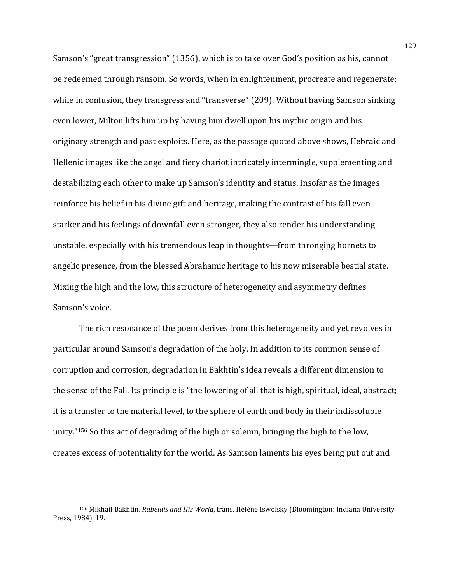Samson's "great transgression" (1356), which is to take over God's position as his, cannot be redeemed through ransom. So words, when in enlightenment, procreate and regenerate; while in confusion, they transgress and "transverse" (209). Without having Samson sinking even lower, Milton lifts him up by having him dwell upon his mythic origin and his originary strength and past exploits. Here, as the passage quoted above shows, Hebraic and Hellenic images like the angel and fiery chariot intricately intermingle, supplementing and destabilizing each other to make up Samson's identity and status. Insofar as the images reinforce his belief in his divine gift and heritage, making the contrast of his fall even starker and his feelings of downfall even stronger, they also render his understanding unstable, especially with his tremendous leap in thoughts—from thronging hornets to angelic presence, from the blessed Abrahamic heritage to his now miserable bestial state. Mixing the high and the low, this structure of heterogeneity and asymmetry defines Samson's voice.

The rich resonance of the poem derives from this heterogeneity and yet revolves in particular around Samson's degradation of the holy. In addition to its common sense of corruption and corrosion, degradation in Bakhtin's idea reveals a different dimension to the sense of the Fall. Its principle is "the lowering of all that is high, spiritual, ideal, abstract; it is a transfer to the material level, to the sphere of earth and body in their indissoluble unity."<sup>156</sup> So this act of degrading of the high or solemn, bringing the high to the low, creates excess of potentiality for the world. As Samson laments his eyes being put out and

<sup>&</sup>lt;sup>156</sup> Mikhail Bakhtin, *Rabelais and His World*, trans. Hélène Iswolsky (Bloomington: Indiana University Press, 1984), 19.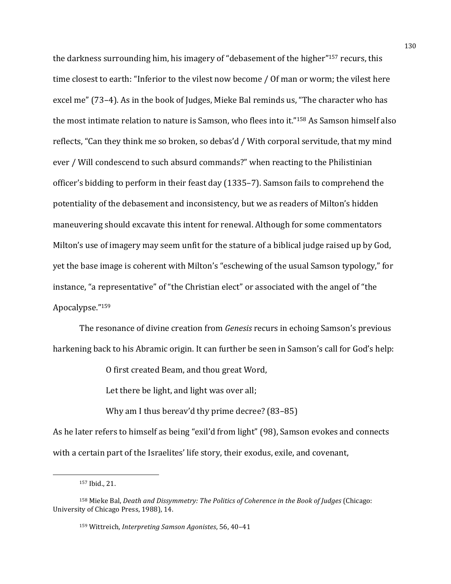the darkness surrounding him, his imagery of "debasement of the higher"<sup>157</sup> recurs, this time closest to earth: "Inferior to the vilest now become / Of man or worm; the vilest here excel me"  $(73-4)$ . As in the book of Judges, Mieke Bal reminds us, "The character who has the most intimate relation to nature is Samson, who flees into it."<sup>158</sup> As Samson himself also reflects, "Can they think me so broken, so debas'd / With corporal servitude, that my mind ever / Will condescend to such absurd commands?" when reacting to the Philistinian officer's bidding to perform in their feast day (1335–7). Samson fails to comprehend the potentiality of the debasement and inconsistency, but we as readers of Milton's hidden maneuvering should excavate this intent for renewal. Although for some commentators Milton's use of imagery may seem unfit for the stature of a biblical judge raised up by God, yet the base image is coherent with Milton's "eschewing of the usual Samson typology," for instance, "a representative" of "the Christian elect" or associated with the angel of "the Apocalypse."159

The resonance of divine creation from *Genesis* recurs in echoing Samson's previous harkening back to his Abramic origin. It can further be seen in Samson's call for God's help:

O first created Beam, and thou great Word,

Let there be light, and light was over all;

Why am I thus bereav'd thy prime decree?  $(83-85)$ 

As he later refers to himself as being "exil'd from light" (98), Samson evokes and connects with a certain part of the Israelites' life story, their exodus, exile, and covenant,

<sup>157</sup> Ibid., 21.

<sup>158</sup> Mieke Bal, *Death and Dissymmetry: The Politics of Coherence in the Book of Judges* (Chicago: University of Chicago Press, 1988), 14.

<sup>159</sup> Wittreich, *Interpreting Samson Agonistes*, 56, 40-41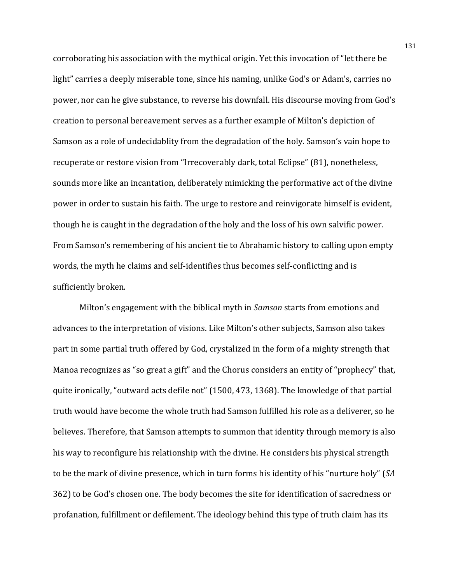corroborating his association with the mythical origin. Yet this invocation of "let there be light" carries a deeply miserable tone, since his naming, unlike God's or Adam's, carries no power, nor can he give substance, to reverse his downfall. His discourse moving from God's creation to personal bereavement serves as a further example of Milton's depiction of Samson as a role of undecidablity from the degradation of the holy. Samson's vain hope to recuperate or restore vision from "Irrecoverably dark, total Eclipse" (81), nonetheless, sounds more like an incantation, deliberately mimicking the performative act of the divine power in order to sustain his faith. The urge to restore and reinvigorate himself is evident, though he is caught in the degradation of the holy and the loss of his own salvific power. From Samson's remembering of his ancient tie to Abrahamic history to calling upon empty words, the myth he claims and self-identifies thus becomes self-conflicting and is sufficiently broken.

Milton's engagement with the biblical myth in *Samson* starts from emotions and advances to the interpretation of visions. Like Milton's other subjects, Samson also takes part in some partial truth offered by God, crystalized in the form of a mighty strength that Manoa recognizes as "so great a gift" and the Chorus considers an entity of "prophecy" that, quite ironically, "outward acts defile not" (1500, 473, 1368). The knowledge of that partial truth would have become the whole truth had Samson fulfilled his role as a deliverer, so he believes. Therefore, that Samson attempts to summon that identity through memory is also his way to reconfigure his relationship with the divine. He considers his physical strength to be the mark of divine presence, which in turn forms his identity of his "nurture holy" (*SA* 362) to be God's chosen one. The body becomes the site for identification of sacredness or profanation, fulfillment or defilement. The ideology behind this type of truth claim has its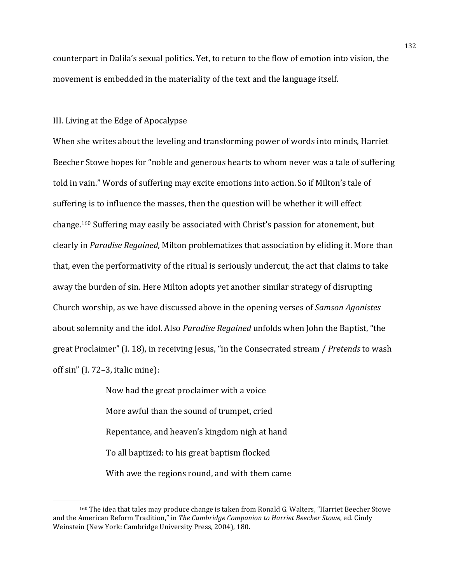counterpart in Dalila's sexual politics. Yet, to return to the flow of emotion into vision, the movement is embedded in the materiality of the text and the language itself.

# III. Living at the Edge of Apocalypse

<u> 1989 - Johann Stein, mars et al. 1989 - Anna ann an t-Anna ann an t-Anna ann an t-Anna ann an t-Anna ann an t-</u>

When she writes about the leveling and transforming power of words into minds, Harriet Beecher Stowe hopes for "noble and generous hearts to whom never was a tale of suffering told in vain." Words of suffering may excite emotions into action. So if Milton's tale of suffering is to influence the masses, then the question will be whether it will effect change.<sup>160</sup> Suffering may easily be associated with Christ's passion for atonement, but clearly in *Paradise Regained*, Milton problematizes that association by eliding it. More than that, even the performativity of the ritual is seriously undercut, the act that claims to take away the burden of sin. Here Milton adopts yet another similar strategy of disrupting Church worship, as we have discussed above in the opening verses of *Samson Agonistes* about solemnity and the idol. Also *Paradise Regained* unfolds when John the Baptist, "the great Proclaimer" (I. 18), in receiving Jesus, "in the Consecrated stream / *Pretends* to wash off  $sin''$  (I. 72–3, italic mine):

> Now had the great proclaimer with a voice More awful than the sound of trumpet, cried Repentance, and heaven's kingdom nigh at hand To all baptized: to his great baptism flocked With awe the regions round, and with them came

<sup>&</sup>lt;sup>160</sup> The idea that tales may produce change is taken from Ronald G. Walters, "Harriet Beecher Stowe and the American Reform Tradition," in *The Cambridge Companion to Harriet Beecher Stowe*, ed. Cindy Weinstein (New York: Cambridge University Press, 2004), 180.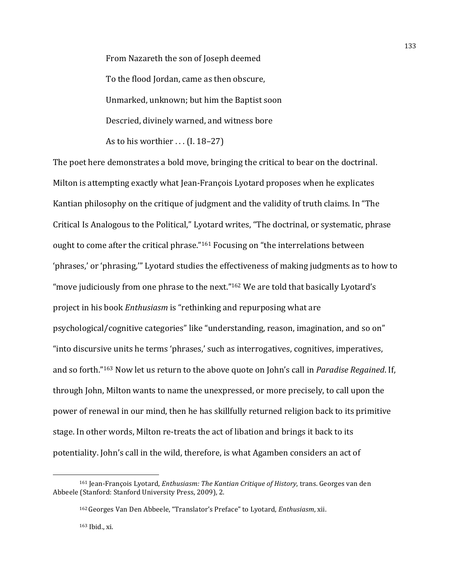From Nazareth the son of Joseph deemed To the flood Jordan, came as then obscure, Unmarked, unknown; but him the Baptist soon Descried, divinely warned, and witness bore As to his worthier  $\dots$  (I. 18–27)

The poet here demonstrates a bold move, bringing the critical to bear on the doctrinal. Milton is attempting exactly what Jean-François Lyotard proposes when he explicates Kantian philosophy on the critique of judgment and the validity of truth claims. In "The Critical Is Analogous to the Political," Lyotard writes, "The doctrinal, or systematic, phrase ought to come after the critical phrase."<sup>161</sup> Focusing on "the interrelations between 'phrases,' or 'phrasing,'" Lyotard studies the effectiveness of making judgments as to how to "move judiciously from one phrase to the next." $162$  We are told that basically Lyotard's project in his book *Enthusiasm* is "rethinking and repurposing what are psychological/cognitive categories" like "understanding, reason, imagination, and so on" "into discursive units he terms 'phrases,' such as interrogatives, cognitives, imperatives, and so forth."<sup>163</sup> Now let us return to the above quote on John's call in *Paradise Regained*. If, through John, Milton wants to name the unexpressed, or more precisely, to call upon the power of renewal in our mind, then he has skillfully returned religion back to its primitive stage. In other words, Milton re-treats the act of libation and brings it back to its potentiality. John's call in the wild, therefore, is what Agamben considers an act of

<sup>161</sup> Jean-François Lyotard, *Enthusiasm: The Kantian Critique of History*, trans. Georges van den Abbeele (Stanford: Stanford University Press, 2009), 2.

<sup>162</sup>Georges Van Den Abbeele, "Translator's Preface" to Lyotard, *Enthusiasm*, xii.

 $163$  Ibid., xi.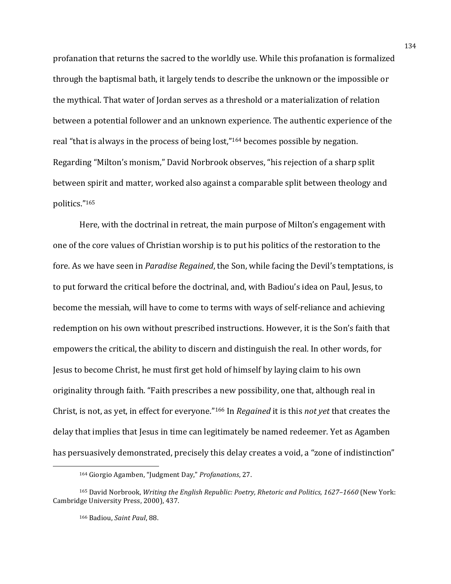profanation that returns the sacred to the worldly use. While this profanation is formalized through the baptismal bath, it largely tends to describe the unknown or the impossible or the mythical. That water of Jordan serves as a threshold or a materialization of relation between a potential follower and an unknown experience. The authentic experience of the real "that is always in the process of being lost,"<sup>164</sup> becomes possible by negation. Regarding "Milton's monism," David Norbrook observes, "his rejection of a sharp split between spirit and matter, worked also against a comparable split between theology and politics."165

Here, with the doctrinal in retreat, the main purpose of Milton's engagement with one of the core values of Christian worship is to put his politics of the restoration to the fore. As we have seen in *Paradise Regained*, the Son, while facing the Devil's temptations, is to put forward the critical before the doctrinal, and, with Badiou's idea on Paul, Jesus, to become the messiah, will have to come to terms with ways of self-reliance and achieving redemption on his own without prescribed instructions. However, it is the Son's faith that empowers the critical, the ability to discern and distinguish the real. In other words, for Jesus to become Christ, he must first get hold of himself by laying claim to his own originality through faith. "Faith prescribes a new possibility, one that, although real in Christ, is not, as yet, in effect for everyone."<sup>166</sup> In *Regained* it is this *not yet* that creates the delay that implies that Jesus in time can legitimately be named redeemer. Yet as Agamben has persuasively demonstrated, precisely this delay creates a void, a "zone of indistinction"

 

<sup>164</sup> Giorgio Agamben, "Judgment Day," Profanations, 27.

<sup>&</sup>lt;sup>165</sup> David Norbrook, *Writing the English Republic: Poetry, Rhetoric and Politics, 1627–1660* (New York: Cambridge University Press, 2000), 437.

<sup>166</sup> Badiou, Saint Paul, 88.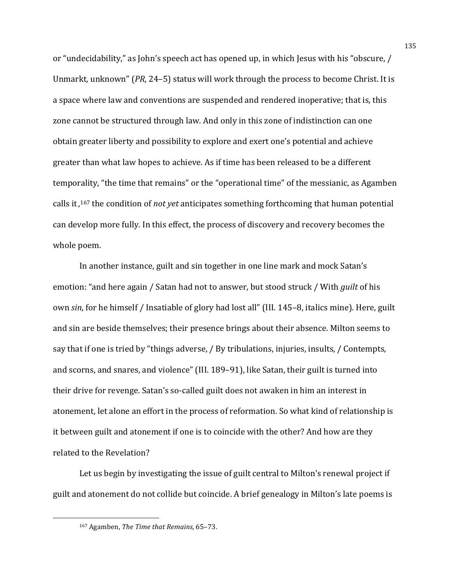or "undecidability," as John's speech act has opened up, in which Jesus with his "obscure, / Unmarkt, unknown" (*PR*, 24–5) status will work through the process to become Christ. It is a space where law and conventions are suspended and rendered inoperative; that is, this zone cannot be structured through law. And only in this zone of indistinction can one obtain greater liberty and possibility to explore and exert one's potential and achieve greater than what law hopes to achieve. As if time has been released to be a different temporality, "the time that remains" or the "operational time" of the messianic, as Agamben calls it,<sup>167</sup> the condition of *not yet* anticipates something forthcoming that human potential can develop more fully. In this effect, the process of discovery and recovery becomes the whole poem.

In another instance, guilt and sin together in one line mark and mock Satan's emotion: "and here again / Satan had not to answer, but stood struck / With *guilt* of his own *sin*, for he himself / Insatiable of glory had lost all" (III. 145–8, italics mine). Here, guilt and sin are beside themselves; their presence brings about their absence. Milton seems to say that if one is tried by "things adverse, / By tribulations, injuries, insults, / Contempts, and scorns, and snares, and violence" (III. 189–91), like Satan, their guilt is turned into their drive for revenge. Satan's so-called guilt does not awaken in him an interest in atonement, let alone an effort in the process of reformation. So what kind of relationship is it between guilt and atonement if one is to coincide with the other? And how are they related to the Revelation?

Let us begin by investigating the issue of guilt central to Milton's renewal project if guilt and atonement do not collide but coincide. A brief genealogy in Milton's late poems is

<sup>167</sup> Agamben, *The Time that Remains*, 65-73.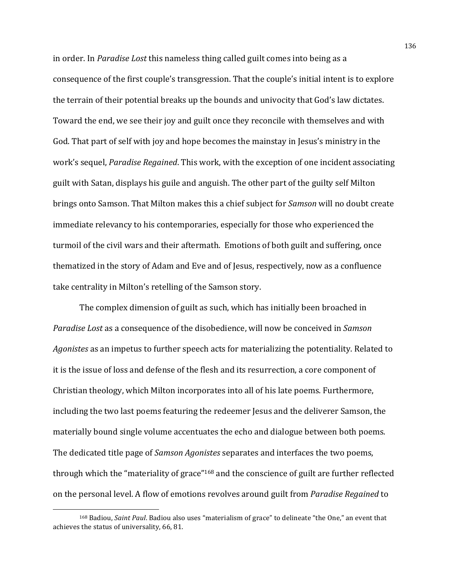in order. In *Paradise Lost* this nameless thing called guilt comes into being as a consequence of the first couple's transgression. That the couple's initial intent is to explore the terrain of their potential breaks up the bounds and univocity that God's law dictates. Toward the end, we see their joy and guilt once they reconcile with themselves and with God. That part of self with joy and hope becomes the mainstay in Jesus's ministry in the work's sequel, *Paradise Regained*. This work, with the exception of one incident associating guilt with Satan, displays his guile and anguish. The other part of the guilty self Milton brings onto Samson. That Milton makes this a chief subject for *Samson* will no doubt create immediate relevancy to his contemporaries, especially for those who experienced the turmoil of the civil wars and their aftermath. Emotions of both guilt and suffering, once thematized in the story of Adam and Eve and of Jesus, respectively, now as a confluence take centrality in Milton's retelling of the Samson story.

The complex dimension of guilt as such, which has initially been broached in *Paradise Lost* as a consequence of the disobedience, will now be conceived in *Samson* Agonistes as an impetus to further speech acts for materializing the potentiality. Related to it is the issue of loss and defense of the flesh and its resurrection, a core component of Christian theology, which Milton incorporates into all of his late poems. Furthermore, including the two last poems featuring the redeemer Jesus and the deliverer Samson, the materially bound single volume accentuates the echo and dialogue between both poems. The dedicated title page of *Samson Agonistes* separates and interfaces the two poems, through which the "materiality of grace"<sup>168</sup> and the conscience of guilt are further reflected on the personal level. A flow of emotions revolves around guilt from *Paradise Regained* to

 

<sup>&</sup>lt;sup>168</sup> Badiou, *Saint Paul*. Badiou also uses "materialism of grace" to delineate "the One," an event that achieves the status of universality, 66, 81.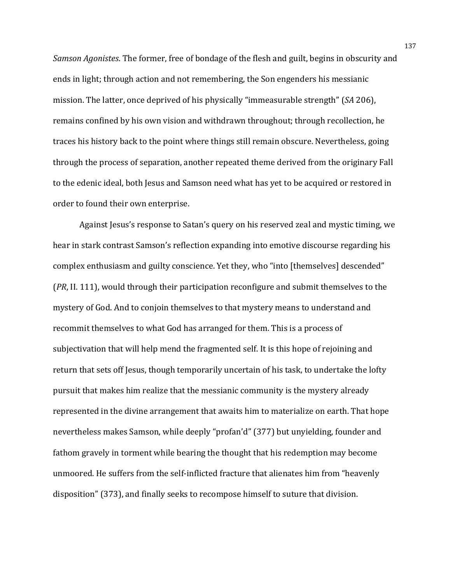*Samson Agonistes*. The former, free of bondage of the flesh and guilt, begins in obscurity and ends in light; through action and not remembering, the Son engenders his messianic mission. The latter, once deprived of his physically "immeasurable strength" (*SA* 206), remains confined by his own vision and withdrawn throughout; through recollection, he traces his history back to the point where things still remain obscure. Nevertheless, going through the process of separation, another repeated theme derived from the originary Fall to the edenic ideal, both Jesus and Samson need what has yet to be acquired or restored in order to found their own enterprise.

Against Jesus's response to Satan's query on his reserved zeal and mystic timing, we hear in stark contrast Samson's reflection expanding into emotive discourse regarding his complex enthusiasm and guilty conscience. Yet they, who "into [themselves] descended" (*PR*, II. 111), would through their participation reconfigure and submit themselves to the mystery of God. And to conjoin themselves to that mystery means to understand and recommit themselves to what God has arranged for them. This is a process of subjectivation that will help mend the fragmented self. It is this hope of rejoining and return that sets off Jesus, though temporarily uncertain of his task, to undertake the lofty pursuit that makes him realize that the messianic community is the mystery already represented in the divine arrangement that awaits him to materialize on earth. That hope nevertheless makes Samson, while deeply "profan'd" (377) but unyielding, founder and fathom gravely in torment while bearing the thought that his redemption may become unmoored. He suffers from the self-inflicted fracture that alienates him from "heavenly disposition" (373), and finally seeks to recompose himself to suture that division.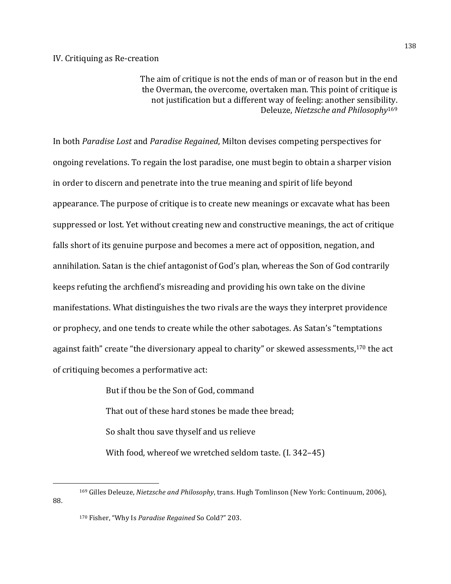The aim of critique is not the ends of man or of reason but in the end the Overman, the overcome, overtaken man. This point of critique is not justification but a different way of feeling: another sensibility. Deleuze, *Nietzsche and Philosophy*<sup>169</sup>

In both *Paradise Lost* and *Paradise Regained*, Milton devises competing perspectives for ongoing revelations. To regain the lost paradise, one must begin to obtain a sharper vision in order to discern and penetrate into the true meaning and spirit of life beyond appearance. The purpose of critique is to create new meanings or excavate what has been suppressed or lost. Yet without creating new and constructive meanings, the act of critique falls short of its genuine purpose and becomes a mere act of opposition, negation, and annihilation. Satan is the chief antagonist of God's plan, whereas the Son of God contrarily keeps refuting the archfiend's misreading and providing his own take on the divine manifestations. What distinguishes the two rivals are the ways they interpret providence or prophecy, and one tends to create while the other sabotages. As Satan's "temptations against faith" create "the diversionary appeal to charity" or skewed assessments,<sup>170</sup> the act of critiquing becomes a performative act:

> But if thou be the Son of God, command That out of these hard stones be made thee bread: So shalt thou save thyself and us relieve With food, whereof we wretched seldom taste.  $(I. 342-45)$

 

<sup>&</sup>lt;sup>169</sup> Gilles Deleuze, *Nietzsche and Philosophy*, trans. Hugh Tomlinson (New York: Continuum, 2006), 88.

<sup>170</sup> Fisher, "Why Is Paradise Regained So Cold?" 203.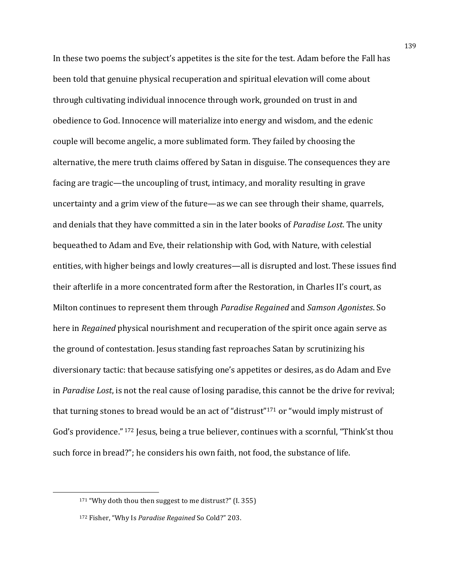In these two poems the subject's appetites is the site for the test. Adam before the Fall has been told that genuine physical recuperation and spiritual elevation will come about through cultivating individual innocence through work, grounded on trust in and obedience to God. Innocence will materialize into energy and wisdom, and the edenic couple will become angelic, a more sublimated form. They failed by choosing the alternative, the mere truth claims offered by Satan in disguise. The consequences they are facing are tragic—the uncoupling of trust, intimacy, and morality resulting in grave uncertainty and a grim view of the future—as we can see through their shame, quarrels, and denials that they have committed a sin in the later books of *Paradise Lost*. The unity bequeathed to Adam and Eve, their relationship with God, with Nature, with celestial entities, with higher beings and lowly creatures—all is disrupted and lost. These issues find their afterlife in a more concentrated form after the Restoration, in Charles II's court, as Milton continues to represent them through *Paradise Regained* and *Samson Agonistes*. So here in *Regained* physical nourishment and recuperation of the spirit once again serve as the ground of contestation. Jesus standing fast reproaches Satan by scrutinizing his diversionary tactic: that because satisfying one's appetites or desires, as do Adam and Eve in *Paradise Lost*, is not the real cause of losing paradise, this cannot be the drive for revival; that turning stones to bread would be an act of "distrust"<sup>171</sup> or "would imply mistrust of God's providence." <sup>172</sup> Jesus, being a true believer, continues with a scornful, "Think'st thou such force in bread?"; he considers his own faith, not food, the substance of life.

 $171$  "Why doth thou then suggest to me distrust?" (I. 355)

<sup>172</sup> Fisher, "Why Is Paradise Regained So Cold?" 203.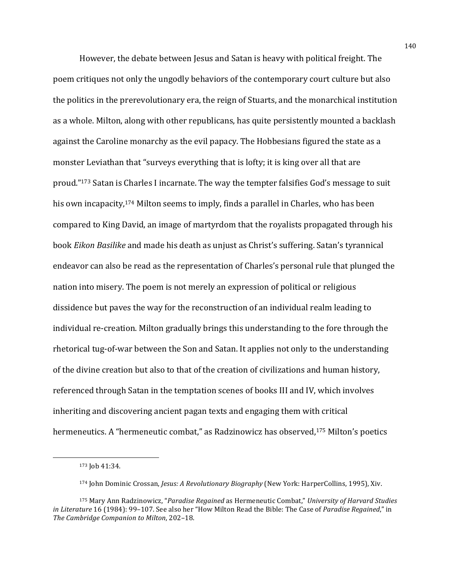However, the debate between Jesus and Satan is heavy with political freight. The poem critiques not only the ungodly behaviors of the contemporary court culture but also the politics in the prerevolutionary era, the reign of Stuarts, and the monarchical institution as a whole. Milton, along with other republicans, has quite persistently mounted a backlash against the Caroline monarchy as the evil papacy. The Hobbesians figured the state as a monster Leviathan that "surveys everything that is lofty; it is king over all that are proud."<sup>173</sup> Satan is Charles I incarnate. The way the tempter falsifies God's message to suit his own incapacity,  $174$  Milton seems to imply, finds a parallel in Charles, who has been compared to King David, an image of martyrdom that the royalists propagated through his book *Eikon Basilike* and made his death as unjust as Christ's suffering. Satan's tyrannical endeavor can also be read as the representation of Charles's personal rule that plunged the nation into misery. The poem is not merely an expression of political or religious dissidence but paves the way for the reconstruction of an individual realm leading to individual re-creation. Milton gradually brings this understanding to the fore through the rhetorical tug-of-war between the Son and Satan. It applies not only to the understanding of the divine creation but also to that of the creation of civilizations and human history, referenced through Satan in the temptation scenes of books III and IV, which involves inheriting and discovering ancient pagan texts and engaging them with critical hermeneutics. A "hermeneutic combat," as Radzinowicz has observed,<sup>175</sup> Milton's poetics

<sup>173</sup> Job 41:34.

<sup>174</sup> John Dominic Crossan, *Jesus: A Revolutionary Biography* (New York: HarperCollins, 1995), Xiv.

<sup>175</sup> Mary Ann Radzinowicz, "*Paradise Regained* as Hermeneutic Combat," *University of Harvard Studies in Literature* 16 (1984): 99-107. See also her "How Milton Read the Bible: The Case of *Paradise Regained*," in The Cambridge Companion to Milton, 202-18.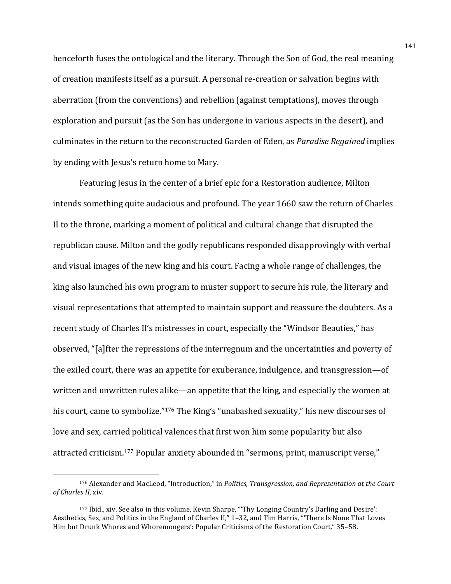henceforth fuses the ontological and the literary. Through the Son of God, the real meaning of creation manifests itself as a pursuit. A personal re-creation or salvation begins with aberration (from the conventions) and rebellion (against temptations), moves through exploration and pursuit (as the Son has undergone in various aspects in the desert), and culminates in the return to the reconstructed Garden of Eden, as *Paradise Regained* implies by ending with Jesus's return home to Mary.

Featuring Jesus in the center of a brief epic for a Restoration audience, Milton intends something quite audacious and profound. The year 1660 saw the return of Charles II to the throne, marking a moment of political and cultural change that disrupted the republican cause. Milton and the godly republicans responded disapprovingly with verbal and visual images of the new king and his court. Facing a whole range of challenges, the king also launched his own program to muster support to secure his rule, the literary and visual representations that attempted to maintain support and reassure the doubters. As a recent study of Charles II's mistresses in court, especially the "Windsor Beauties," has observed, "[a]fter the repressions of the interregnum and the uncertainties and poverty of the exiled court, there was an appetite for exuberance, indulgence, and transgression—of written and unwritten rules alike—an appetite that the king, and especially the women at his court, came to symbolize."<sup>176</sup> The King's "unabashed sexuality," his new discourses of love and sex, carried political valences that first won him some popularity but also attracted criticism.<sup>177</sup> Popular anxiety abounded in "sermons, print, manuscript verse,"

<sup>176</sup> Alexander and MacLeod, "Introduction," in *Politics, Transgression, and Representation at the Court of Charles II*, xiv.

<sup>&</sup>lt;sup>177</sup> Ibid., xiv. See also in this volume, Kevin Sharpe, "Thy Longing Country's Darling and Desire': Aesthetics, Sex, and Politics in the England of Charles II," 1-32, and Tim Harris, "There Is None That Loves Him but Drunk Whores and Whoremongers': Popular Criticisms of the Restoration Court," 35-58.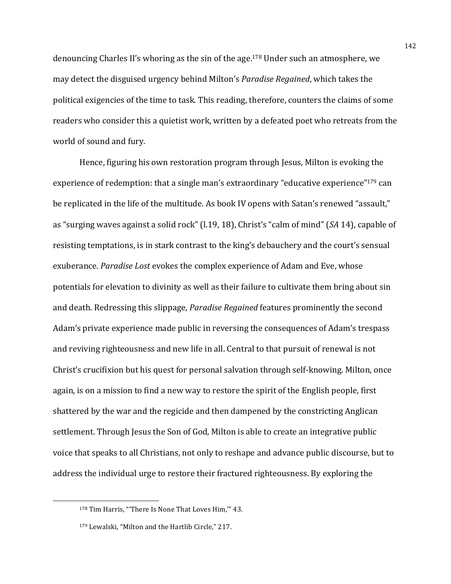denouncing Charles II's whoring as the sin of the age.<sup>178</sup> Under such an atmosphere, we may detect the disguised urgency behind Milton's *Paradise Regained*, which takes the political exigencies of the time to task. This reading, therefore, counters the claims of some readers who consider this a quietist work, written by a defeated poet who retreats from the world of sound and fury.

Hence, figuring his own restoration program through Jesus, Milton is evoking the experience of redemption: that a single man's extraordinary "educative experience"<sup>179</sup> can be replicated in the life of the multitude. As book IV opens with Satan's renewed "assault," as "surging waves against a solid rock" (1.19, 18), Christ's "calm of mind" (*SA* 14), capable of resisting temptations, is in stark contrast to the king's debauchery and the court's sensual exuberance. *Paradise Lost* evokes the complex experience of Adam and Eve, whose potentials for elevation to divinity as well as their failure to cultivate them bring about sin and death. Redressing this slippage, *Paradise Regained* features prominently the second Adam's private experience made public in reversing the consequences of Adam's trespass and reviving righteousness and new life in all. Central to that pursuit of renewal is not Christ's crucifixion but his quest for personal salvation through self-knowing. Milton, once again, is on a mission to find a new way to restore the spirit of the English people, first shattered by the war and the regicide and then dampened by the constricting Anglican settlement. Through Jesus the Son of God, Milton is able to create an integrative public voice that speaks to all Christians, not only to reshape and advance public discourse, but to address the individual urge to restore their fractured righteousness. By exploring the

<sup>&</sup>lt;sup>178</sup> Tim Harris, "There Is None That Loves Him," 43.

<sup>179</sup> Lewalski, "Milton and the Hartlib Circle," 217.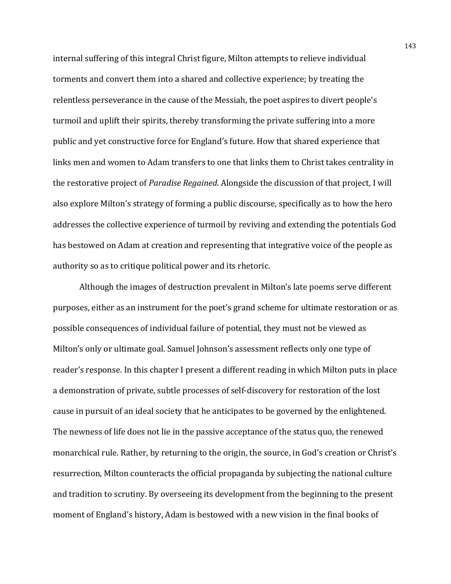internal suffering of this integral Christ figure, Milton attempts to relieve individual torments and convert them into a shared and collective experience; by treating the relentless perseverance in the cause of the Messiah, the poet aspires to divert people's turmoil and uplift their spirits, thereby transforming the private suffering into a more public and yet constructive force for England's future. How that shared experience that links men and women to Adam transfers to one that links them to Christ takes centrality in the restorative project of *Paradise Regained*. Alongside the discussion of that project, I will also explore Milton's strategy of forming a public discourse, specifically as to how the hero addresses the collective experience of turmoil by reviving and extending the potentials God has bestowed on Adam at creation and representing that integrative voice of the people as authority so as to critique political power and its rhetoric.

Although the images of destruction prevalent in Milton's late poems serve different purposes, either as an instrument for the poet's grand scheme for ultimate restoration or as possible consequences of individual failure of potential, they must not be viewed as Milton's only or ultimate goal. Samuel Johnson's assessment reflects only one type of reader's response. In this chapter I present a different reading in which Milton puts in place a demonstration of private, subtle processes of self-discovery for restoration of the lost cause in pursuit of an ideal society that he anticipates to be governed by the enlightened. The newness of life does not lie in the passive acceptance of the status quo, the renewed monarchical rule. Rather, by returning to the origin, the source, in God's creation or Christ's resurrection, Milton counteracts the official propaganda by subjecting the national culture and tradition to scrutiny. By overseeing its development from the beginning to the present moment of England's history, Adam is bestowed with a new vision in the final books of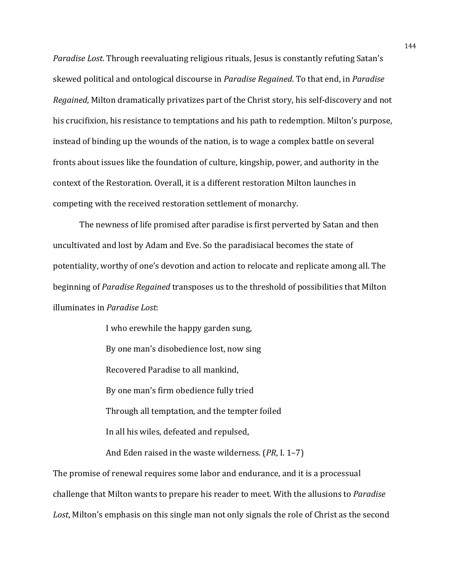*Paradise Lost*. Through reevaluating religious rituals, Jesus is constantly refuting Satan's skewed political and ontological discourse in *Paradise Regained*. To that end, in *Paradise Regained*, Milton dramatically privatizes part of the Christ story, his self-discovery and not his crucifixion, his resistance to temptations and his path to redemption. Milton's purpose, instead of binding up the wounds of the nation, is to wage a complex battle on several fronts about issues like the foundation of culture, kingship, power, and authority in the context of the Restoration. Overall, it is a different restoration Milton launches in competing with the received restoration settlement of monarchy.

The newness of life promised after paradise is first perverted by Satan and then uncultivated and lost by Adam and Eve. So the paradisiacal becomes the state of potentiality, worthy of one's devotion and action to relocate and replicate among all. The beginning of *Paradise Regained* transposes us to the threshold of possibilities that Milton illuminates in *Paradise Lost*:

> I who erewhile the happy garden sung, By one man's disobedience lost, now sing Recovered Paradise to all mankind. By one man's firm obedience fully tried Through all temptation, and the tempter foiled In all his wiles, defeated and repulsed, And Eden raised in the waste wilderness. (*PR*, I. 1–7)

The promise of renewal requires some labor and endurance, and it is a processual challenge that Milton wants to prepare his reader to meet. With the allusions to *Paradise* Lost, Milton's emphasis on this single man not only signals the role of Christ as the second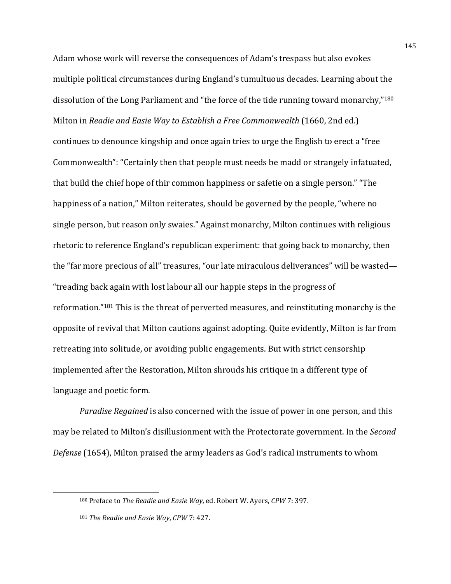Adam whose work will reverse the consequences of Adam's trespass but also evokes multiple political circumstances during England's tumultuous decades. Learning about the dissolution of the Long Parliament and "the force of the tide running toward monarchy,"<sup>180</sup> Milton in *Readie and Easie Way to Establish a Free Commonwealth* (1660, 2nd ed.) continues to denounce kingship and once again tries to urge the English to erect a "free Commonwealth": "Certainly then that people must needs be madd or strangely infatuated, that build the chief hope of thir common happiness or safetie on a single person." "The happiness of a nation," Milton reiterates, should be governed by the people, "where no single person, but reason only swaies." Against monarchy, Milton continues with religious rhetoric to reference England's republican experiment: that going back to monarchy, then the "far more precious of all" treasures, "our late miraculous deliverances" will be wasted— "treading back again with lost labour all our happie steps in the progress of reformation." $181$  This is the threat of perverted measures, and reinstituting monarchy is the opposite of revival that Milton cautions against adopting. Quite evidently, Milton is far from retreating into solitude, or avoiding public engagements. But with strict censorship implemented after the Restoration, Milton shrouds his critique in a different type of language and poetic form.

*Paradise Regained* is also concerned with the issue of power in one person, and this may be related to Milton's disillusionment with the Protectorate government. In the *Second Defense* (1654), Milton praised the army leaders as God's radical instruments to whom

<u> 1989 - Johann Stein, mars et al. 1989 - Anna ann an t-Anna ann an t-Anna ann an t-Anna ann an t-Anna ann an t-</u>

145

<sup>180</sup> Preface to *The Readie and Easie Way*, ed. Robert W. Ayers, *CPW* 7: 397.

<sup>181</sup> *The Readie and Easie Way, CPW* 7: 427.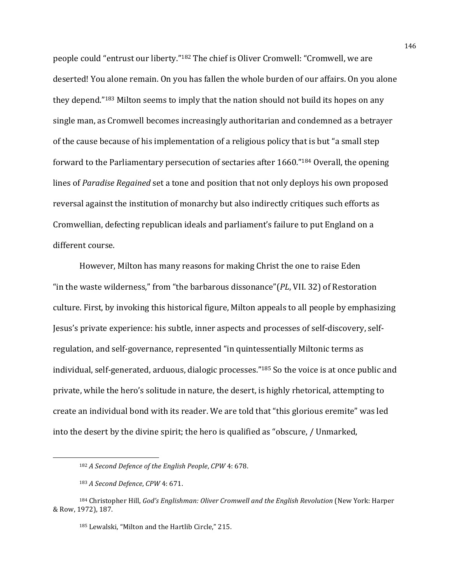people could "entrust our liberty."<sup>182</sup> The chief is Oliver Cromwell: "Cromwell, we are deserted! You alone remain. On you has fallen the whole burden of our affairs. On you alone they depend."<sup>183</sup> Milton seems to imply that the nation should not build its hopes on any single man, as Cromwell becomes increasingly authoritarian and condemned as a betrayer of the cause because of his implementation of a religious policy that is but "a small step forward to the Parliamentary persecution of sectaries after 1660."<sup>184</sup> Overall, the opening lines of *Paradise Regained* set a tone and position that not only deploys his own proposed reversal against the institution of monarchy but also indirectly critiques such efforts as Cromwellian, defecting republican ideals and parliament's failure to put England on a different course.

However, Milton has many reasons for making Christ the one to raise Eden "in the waste wilderness," from "the barbarous dissonance"(*PL*, VII. 32) of Restoration culture. First, by invoking this historical figure, Milton appeals to all people by emphasizing Jesus's private experience: his subtle, inner aspects and processes of self-discovery, selfregulation, and self-governance, represented "in quintessentially Miltonic terms as individual, self-generated, arduous, dialogic processes."<sup>185</sup> So the voice is at once public and private, while the hero's solitude in nature, the desert, is highly rhetorical, attempting to create an individual bond with its reader. We are told that "this glorious eremite" was led into the desert by the divine spirit; the hero is qualified as "obscure, / Unmarked,

<sup>182</sup> *A Second Defence of the English People, CPW* 4: 678.

<sup>183</sup> *A Second Defence*, *CPW* 4: 671.

<sup>184</sup> Christopher Hill, *God's Englishman: Oliver Cromwell and the English Revolution* (New York: Harper & Row, 1972), 187.

<sup>185</sup> Lewalski, "Milton and the Hartlib Circle," 215.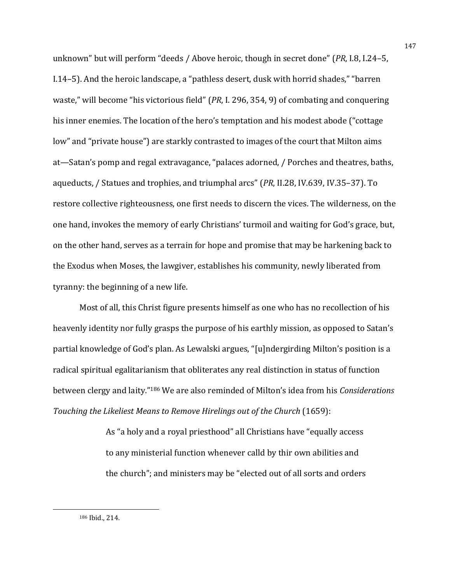unknown" but will perform "deeds / Above heroic, though in secret done" (*PR*, I.8, I.24–5, I.14–5). And the heroic landscape, a "pathless desert, dusk with horrid shades," "barren waste," will become "his victorious field" (PR, I. 296, 354, 9) of combating and conquering his inner enemies. The location of the hero's temptation and his modest abode ("cottage low" and "private house") are starkly contrasted to images of the court that Milton aims at—Satan's pomp and regal extravagance, "palaces adorned, / Porches and theatres, baths, aqueducts, / Statues and trophies, and triumphal arcs" (*PR*, II.28, IV.639, IV.35–37). To restore collective righteousness, one first needs to discern the vices. The wilderness, on the one hand, invokes the memory of early Christians' turmoil and waiting for God's grace, but, on the other hand, serves as a terrain for hope and promise that may be harkening back to the Exodus when Moses, the lawgiver, establishes his community, newly liberated from tyranny: the beginning of a new life.

Most of all, this Christ figure presents himself as one who has no recollection of his heavenly identity nor fully grasps the purpose of his earthly mission, as opposed to Satan's partial knowledge of God's plan. As Lewalski argues, "[u]ndergirding Milton's position is a radical spiritual egalitarianism that obliterates any real distinction in status of function between clergy and laity."<sup>186</sup> We are also reminded of Milton's idea from his *Considerations Touching the Likeliest Means to Remove Hirelings out of the Church* (1659):

> As "a holy and a royal priesthood" all Christians have "equally access to any ministerial function whenever calld by thir own abilities and the church"; and ministers may be "elected out of all sorts and orders

 

<sup>186</sup> Ibid., 214.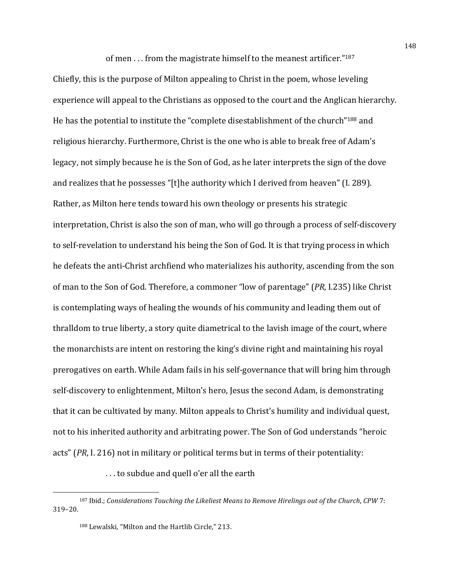of men  $\ldots$  from the magistrate himself to the meanest artificer."<sup>187</sup>

Chiefly, this is the purpose of Milton appealing to Christ in the poem, whose leveling experience will appeal to the Christians as opposed to the court and the Anglican hierarchy. He has the potential to institute the "complete disestablishment of the church"<sup>188</sup> and religious hierarchy. Furthermore, Christ is the one who is able to break free of Adam's legacy, not simply because he is the Son of God, as he later interprets the sign of the dove and realizes that he possesses "[t]he authority which I derived from heaven" (I. 289). Rather, as Milton here tends toward his own theology or presents his strategic interpretation, Christ is also the son of man, who will go through a process of self-discovery to self-revelation to understand his being the Son of God. It is that trying process in which he defeats the anti-Christ archfiend who materializes his authority, ascending from the son of man to the Son of God. Therefore, a commoner "low of parentage" (*PR*, I.235) like Christ is contemplating ways of healing the wounds of his community and leading them out of thralldom to true liberty, a story quite diametrical to the lavish image of the court, where the monarchists are intent on restoring the king's divine right and maintaining his royal prerogatives on earth. While Adam fails in his self-governance that will bring him through self-discovery to enlightenment, Milton's hero, Jesus the second Adam, is demonstrating that it can be cultivated by many. Milton appeals to Christ's humility and individual quest, not to his inherited authority and arbitrating power. The Son of God understands "heroic acts"  $(PR, I. 216)$  not in military or political terms but in terms of their potentiality:

... to subdue and quell o'er all the earth

<sup>187</sup> Ibid.; *Considerations Touching the Likeliest Means to Remove Hirelings out of the Church, CPW 7:* 319–20.

<sup>&</sup>lt;sup>188</sup> Lewalski, "Milton and the Hartlib Circle," 213.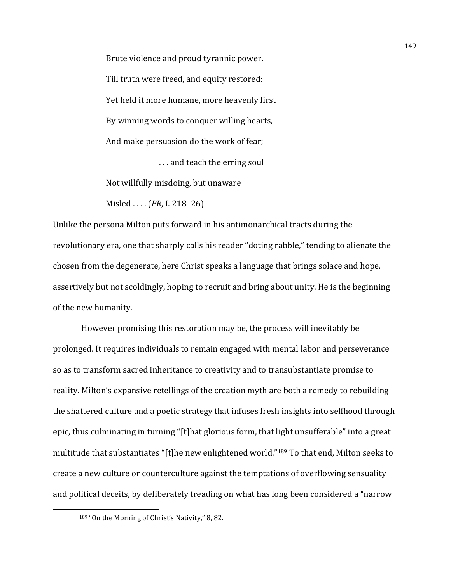Brute violence and proud tyrannic power. Till truth were freed, and equity restored: Yet held it more humane, more heavenly first By winning words to conquer willing hearts, And make persuasion do the work of fear; ... and teach the erring soul

Not willfully misdoing, but unaware

Misled .... (*PR*, I. 218–26)

Unlike the persona Milton puts forward in his antimonarchical tracts during the revolutionary era, one that sharply calls his reader "doting rabble," tending to alienate the chosen from the degenerate, here Christ speaks a language that brings solace and hope, assertively but not scoldingly, hoping to recruit and bring about unity. He is the beginning of the new humanity.

However promising this restoration may be, the process will inevitably be prolonged. It requires individuals to remain engaged with mental labor and perseverance so as to transform sacred inheritance to creativity and to transubstantiate promise to reality. Milton's expansive retellings of the creation myth are both a remedy to rebuilding the shattered culture and a poetic strategy that infuses fresh insights into selfhood through epic, thus culminating in turning "[t]hat glorious form, that light unsufferable" into a great multitude that substantiates "[t]he new enlightened world."<sup>189</sup> To that end, Milton seeks to create a new culture or counterculture against the temptations of overflowing sensuality and political deceits, by deliberately treading on what has long been considered a "narrow

 

<sup>189 &</sup>quot;On the Morning of Christ's Nativity," 8, 82.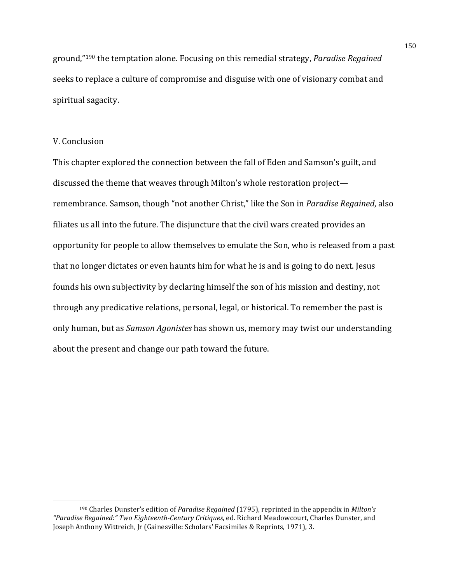ground,"<sup>190</sup> the temptation alone. Focusing on this remedial strategy, *Paradise Regained* seeks to replace a culture of compromise and disguise with one of visionary combat and spiritual sagacity.

## V. Conclusion

<u> 1989 - Johann Stein, mars et al. 1989 - Anna ann an t-Anna ann an t-Anna ann an t-Anna ann an t-Anna ann an t-</u>

This chapter explored the connection between the fall of Eden and Samson's guilt, and discussed the theme that weaves through Milton's whole restoration project remembrance. Samson, though "not another Christ," like the Son in *Paradise Regained*, also filiates us all into the future. The disjuncture that the civil wars created provides an opportunity for people to allow themselves to emulate the Son, who is released from a past that no longer dictates or even haunts him for what he is and is going to do next. Jesus founds his own subjectivity by declaring himself the son of his mission and destiny, not through any predicative relations, personal, legal, or historical. To remember the past is only human, but as *Samson Agonistes* has shown us, memory may twist our understanding about the present and change our path toward the future.

<sup>&</sup>lt;sup>190</sup> Charles Dunster's edition of *Paradise Regained* (1795), reprinted in the appendix in *Milton's* "Paradise Regained:" Two Eighteenth-Century Critiques, ed. Richard Meadowcourt, Charles Dunster, and Joseph Anthony Wittreich, Jr (Gainesville: Scholars' Facsimiles & Reprints, 1971), 3.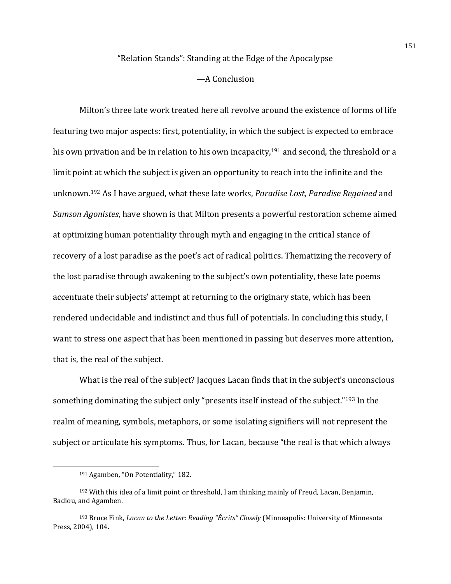## "Relation Stands": Standing at the Edge of the Apocalypse

## —A Conclusion

Milton's three late work treated here all revolve around the existence of forms of life featuring two major aspects: first, potentiality, in which the subject is expected to embrace his own privation and be in relation to his own incapacity,<sup>191</sup> and second, the threshold or a limit point at which the subject is given an opportunity to reach into the infinite and the unknown.<sup>192</sup> As I have argued, what these late works, *Paradise Lost*, *Paradise Regained* and *Samson Agonistes*, have shown is that Milton presents a powerful restoration scheme aimed at optimizing human potentiality through myth and engaging in the critical stance of recovery of a lost paradise as the poet's act of radical politics. Thematizing the recovery of the lost paradise through awakening to the subject's own potentiality, these late poems accentuate their subjects' attempt at returning to the originary state, which has been rendered undecidable and indistinct and thus full of potentials. In concluding this study, I want to stress one aspect that has been mentioned in passing but deserves more attention, that is, the real of the subject.

What is the real of the subject? Jacques Lacan finds that in the subject's unconscious something dominating the subject only "presents itself instead of the subject."<sup>193</sup> In the realm of meaning, symbols, metaphors, or some isolating signifiers will not represent the subject or articulate his symptoms. Thus, for Lacan, because "the real is that which always

 

<sup>&</sup>lt;sup>191</sup> Agamben, "On Potentiality," 182.

 $192$  With this idea of a limit point or threshold, I am thinking mainly of Freud, Lacan, Benjamin, Badiou, and Agamben.

<sup>&</sup>lt;sup>193</sup> Bruce Fink, *Lacan to the Letter: Reading "Écrits" Closely* (Minneapolis: University of Minnesota Press, 2004), 104.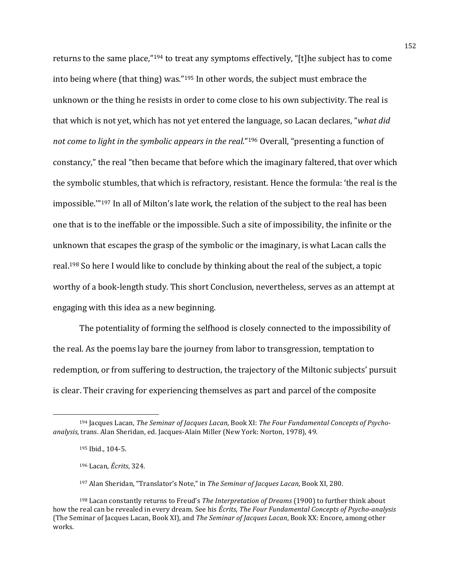returns to the same place,"194 to treat any symptoms effectively, "[t]he subject has to come into being where (that thing) was." $195$  In other words, the subject must embrace the unknown or the thing he resists in order to come close to his own subjectivity. The real is that which is not yet, which has not yet entered the language, so Lacan declares, "*what did not come to light in the symbolic appears in the real."<sup>196</sup> Overall, "presenting a function of* constancy," the real "then became that before which the imaginary faltered, that over which the symbolic stumbles, that which is refractory, resistant. Hence the formula: 'the real is the impossible.""<sup>197</sup> In all of Milton's late work, the relation of the subject to the real has been one that is to the ineffable or the impossible. Such a site of impossibility, the infinite or the unknown that escapes the grasp of the symbolic or the imaginary, is what Lacan calls the real.<sup>198</sup> So here I would like to conclude by thinking about the real of the subject, a topic worthy of a book-length study. This short Conclusion, nevertheless, serves as an attempt at engaging with this idea as a new beginning.

The potentiality of forming the selfhood is closely connected to the impossibility of the real. As the poems lay bare the journey from labor to transgression, temptation to redemption, or from suffering to destruction, the trajectory of the Miltonic subjects' pursuit is clear. Their craving for experiencing themselves as part and parcel of the composite

<u> 1989 - Johann Stein, mars et al. 1989 - Anna ann an t-Anna ann an t-Anna ann an t-Anna ann an t-Anna ann an t-</u>

197 Alan Sheridan, "Translator's Note," in *The Seminar of Jacques Lacan*, Book XI, 280.

<sup>&</sup>lt;sup>194</sup> Jacques Lacan, *The Seminar of Jacques Lacan*, Book XI: *The Four Fundamental Concepts of Psycho*analysis, trans. Alan Sheridan, ed. Jacques-Alain Miller (New York: Norton, 1978), 49.

<sup>195</sup> Ibid., 104-5.

<sup>196</sup> Lacan, *Écrits*, 324. 

<sup>&</sup>lt;sup>198</sup> Lacan constantly returns to Freud's *The Interpretation of Dreams* (1900) to further think about how the real can be revealed in every dream. See his *Écrits, The Four Fundamental Concepts of Psycho-analysis* (The Seminar of Jacques Lacan, Book XI), and *The Seminar of Jacques Lacan*, Book XX: Encore, among other works.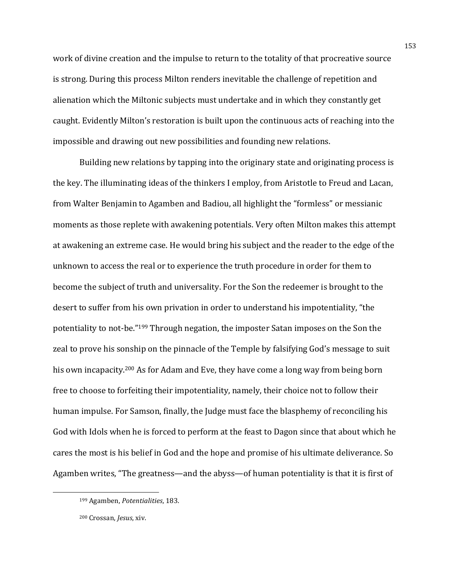work of divine creation and the impulse to return to the totality of that procreative source is strong. During this process Milton renders inevitable the challenge of repetition and alienation which the Miltonic subjects must undertake and in which they constantly get caught. Evidently Milton's restoration is built upon the continuous acts of reaching into the impossible and drawing out new possibilities and founding new relations.

Building new relations by tapping into the originary state and originating process is the key. The illuminating ideas of the thinkers I employ, from Aristotle to Freud and Lacan, from Walter Benjamin to Agamben and Badiou, all highlight the "formless" or messianic moments as those replete with awakening potentials. Very often Milton makes this attempt at awakening an extreme case. He would bring his subject and the reader to the edge of the unknown to access the real or to experience the truth procedure in order for them to become the subject of truth and universality. For the Son the redeemer is brought to the desert to suffer from his own privation in order to understand his impotentiality, "the potentiality to not-be."<sup>199</sup> Through negation, the imposter Satan imposes on the Son the zeal to prove his sonship on the pinnacle of the Temple by falsifying God's message to suit his own incapacity.<sup>200</sup> As for Adam and Eve, they have come a long way from being born free to choose to forfeiting their impotentiality, namely, their choice not to follow their human impulse. For Samson, finally, the Judge must face the blasphemy of reconciling his God with Idols when he is forced to perform at the feast to Dagon since that about which he cares the most is his belief in God and the hope and promise of his ultimate deliverance. So Agamben writes, "The greatness—and the abyss—of human potentiality is that it is first of

<sup>199</sup> Agamben, *Potentialities*, 183.

<sup>200</sup> Crossan, *Jesus*, xiv.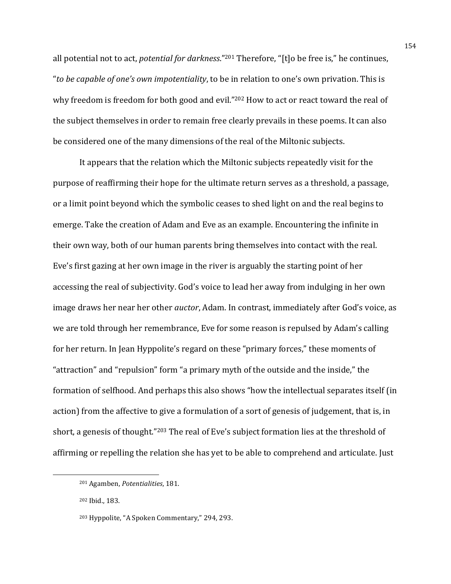all potential not to act, *potential for darkness*."<sup>201</sup> Therefore, "[t]o be free is," he continues, "*to be capable of one's own impotentiality*, to be in relation to one's own privation. This is why freedom is freedom for both good and evil."<sup>202</sup> How to act or react toward the real of the subject themselves in order to remain free clearly prevails in these poems. It can also be considered one of the many dimensions of the real of the Miltonic subjects.

It appears that the relation which the Miltonic subjects repeatedly visit for the purpose of reaffirming their hope for the ultimate return serves as a threshold, a passage, or a limit point beyond which the symbolic ceases to shed light on and the real begins to emerge. Take the creation of Adam and Eve as an example. Encountering the infinite in their own way, both of our human parents bring themselves into contact with the real. Eve's first gazing at her own image in the river is arguably the starting point of her accessing the real of subjectivity. God's voice to lead her away from indulging in her own image draws her near her other *auctor*, Adam. In contrast, immediately after God's voice, as we are told through her remembrance, Eve for some reason is repulsed by Adam's calling for her return. In Jean Hyppolite's regard on these "primary forces," these moments of "attraction" and "repulsion" form "a primary myth of the outside and the inside," the formation of selfhood. And perhaps this also shows "how the intellectual separates itself (in action) from the affective to give a formulation of a sort of genesis of judgement, that is, in short, a genesis of thought."<sup>203</sup> The real of Eve's subject formation lies at the threshold of affirming or repelling the relation she has yet to be able to comprehend and articulate. Just

<sup>&</sup>lt;sup>201</sup> Agamben, *Potentialities*, 181.

<sup>202</sup> Ibid., 183.

<sup>&</sup>lt;sup>203</sup> Hyppolite, "A Spoken Commentary," 294, 293.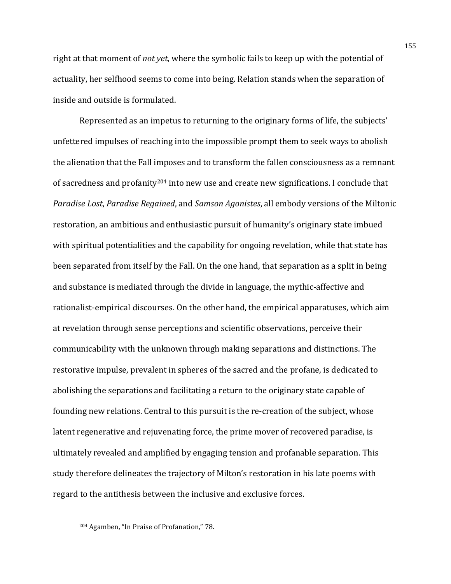right at that moment of *not yet*, where the symbolic fails to keep up with the potential of actuality, her selfhood seems to come into being. Relation stands when the separation of inside and outside is formulated.

Represented as an impetus to returning to the originary forms of life, the subjects' unfettered impulses of reaching into the impossible prompt them to seek ways to abolish the alienation that the Fall imposes and to transform the fallen consciousness as a remnant of sacredness and profanity<sup>204</sup> into new use and create new significations. I conclude that *Paradise Lost, Paradise Regained, and Samson Agonistes, all embody versions of the Miltonic* restoration, an ambitious and enthusiastic pursuit of humanity's originary state imbued with spiritual potentialities and the capability for ongoing revelation, while that state has been separated from itself by the Fall. On the one hand, that separation as a split in being and substance is mediated through the divide in language, the mythic-affective and rationalist-empirical discourses. On the other hand, the empirical apparatuses, which aim at revelation through sense perceptions and scientific observations, perceive their communicability with the unknown through making separations and distinctions. The restorative impulse, prevalent in spheres of the sacred and the profane, is dedicated to abolishing the separations and facilitating a return to the originary state capable of founding new relations. Central to this pursuit is the re-creation of the subject, whose latent regenerative and rejuvenating force, the prime mover of recovered paradise, is ultimately revealed and amplified by engaging tension and profanable separation. This study therefore delineates the trajectory of Milton's restoration in his late poems with regard to the antithesis between the inclusive and exclusive forces.

<sup>&</sup>lt;sup>204</sup> Agamben, "In Praise of Profanation," 78.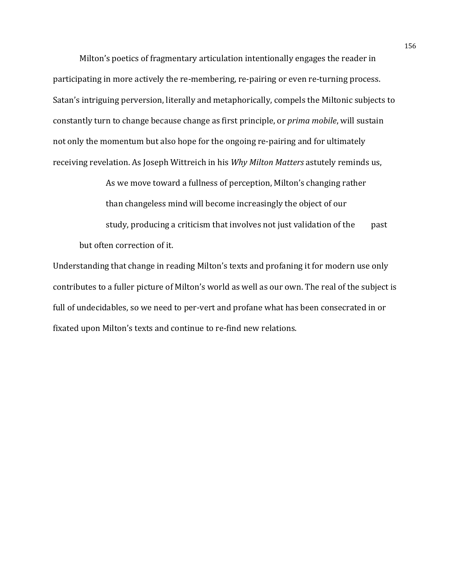Milton's poetics of fragmentary articulation intentionally engages the reader in participating in more actively the re-membering, re-pairing or even re-turning process. Satan's intriguing perversion, literally and metaphorically, compels the Miltonic subjects to constantly turn to change because change as first principle, or *prima mobile*, will sustain not only the momentum but also hope for the ongoing re-pairing and for ultimately receiving revelation. As Joseph Wittreich in his *Why Milton Matters* astutely reminds us,

As we move toward a fullness of perception, Milton's changing rather than changeless mind will become increasingly the object of our study, producing a criticism that involves not just validation of the past but often correction of it.

Understanding that change in reading Milton's texts and profaning it for modern use only contributes to a fuller picture of Milton's world as well as our own. The real of the subject is full of undecidables, so we need to per-vert and profane what has been consecrated in or fixated upon Milton's texts and continue to re-find new relations.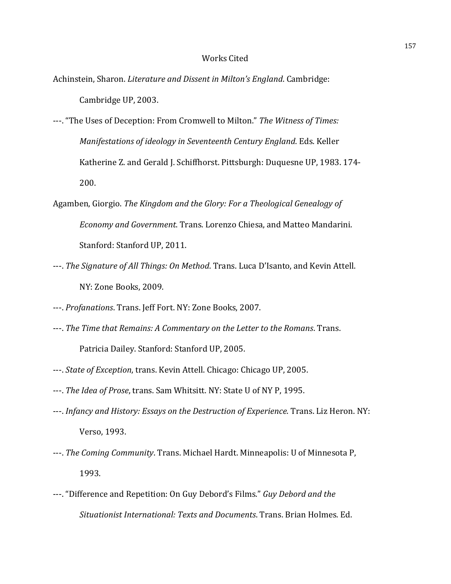## Works Cited

Achinstein, Sharon. *Literature and Dissent in Milton's England*. Cambridge: Cambridge UP, 2003.

---. "The Uses of Deception: From Cromwell to Milton." The Witness of Times: *Manifestations of ideology in Seventeenth Century England. Eds. Keller* Katherine Z. and Gerald J. Schiffhorst. Pittsburgh: Duquesne UP, 1983. 174-200.

- Agamben, Giorgio. The Kingdom and the Glory: For a Theological Genealogy of *Economy and Government*. Trans. Lorenzo Chiesa, and Matteo Mandarini. Stanford: Stanford UP, 2011.
- ---. *The Signature of All Things: On Method*. Trans. Luca D'Isanto, and Kevin Attell. NY: Zone Books, 2009.
- ---. *Profanations*. Trans. Jeff Fort. NY: Zone Books, 2007.
- ---. The Time that Remains: A Commentary on the Letter to the Romans. Trans. Patricia Dailey. Stanford: Stanford UP, 2005.
- ---. *State of Exception*, trans. Kevin Attell. Chicago: Chicago UP, 2005.
- ---. *The Idea of Prose*, trans. Sam Whitsitt. NY: State U of NY P, 1995.
- ---. *Infancy and History: Essays on the Destruction of Experience*. Trans. Liz Heron. NY: Verso, 1993.
- ---. The Coming Community. Trans. Michael Hardt. Minneapolis: U of Minnesota P, 1993.
- ---. "Difference and Repetition: On Guy Debord's Films." *Guy Debord and the Situationist International: Texts and Documents*. Trans. Brian Holmes. Ed.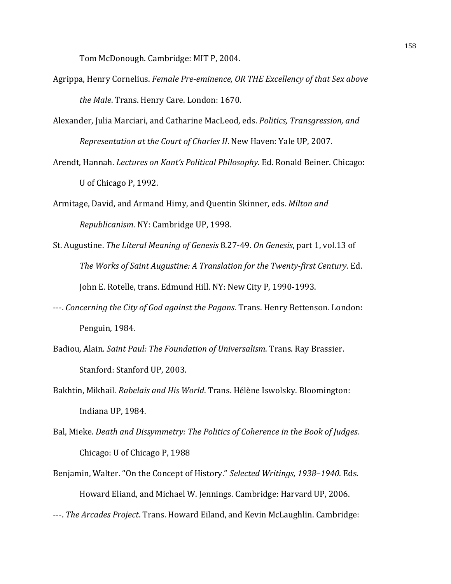Tom McDonough. Cambridge: MIT P, 2004.

- Agrippa, Henry Cornelius. Female Pre-eminence, OR THE Excellency of that Sex above *the Male*. Trans. Henry Care. London: 1670.
- Alexander, Julia Marciari, and Catharine MacLeod, eds. *Politics, Transgression, and Representation at the Court of Charles II. New Haven: Yale UP, 2007.*
- Arendt, Hannah. *Lectures on Kant's Political Philosophy*. Ed. Ronald Beiner. Chicago: U of Chicago P, 1992.
- Armitage, David, and Armand Himy, and Quentin Skinner, eds. *Milton and Republicanism*. NY: Cambridge UP, 1998.
- St. Augustine. *The Literal Meaning of Genesis* 8.27-49. On Genesis, part 1, vol.13 of *The Works of Saint Augustine: A Translation for the Twenty-first Century.* Ed. John E. Rotelle, trans. Edmund Hill. NY: New City P, 1990-1993.
- ---. *Concerning the City of God against the Pagans*. Trans. Henry Bettenson. London: Penguin, 1984.
- Badiou, Alain. *Saint Paul: The Foundation of Universalism*. Trans. Ray Brassier. Stanford: Stanford UP, 2003.
- Bakhtin, Mikhail. *Rabelais and His World*. Trans. Hélène Iswolsky. Bloomington: Indiana UP, 1984.
- Bal, Mieke. Death and Dissymmetry: The Politics of Coherence in the Book of Judges. Chicago: U of Chicago P, 1988
- Benjamin, Walter. "On the Concept of History." *Selected Writings, 1938–1940*. Eds. Howard Eliand, and Michael W. Jennings. Cambridge: Harvard UP, 2006.
- ---. *The Arcades Project*. Trans. Howard Eiland, and Kevin McLaughlin. Cambridge: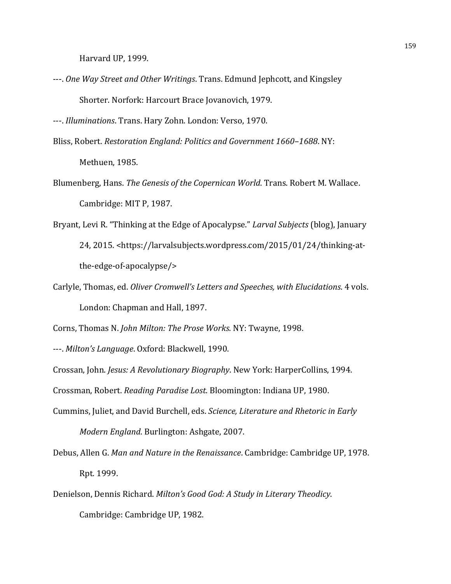Harvard UP, 1999.

---. *One Way Street and Other Writings*. Trans. Edmund Jephcott, and Kingsley Shorter. Norfork: Harcourt Brace Jovanovich, 1979.

---. *Illuminations*. Trans. Hary Zohn. London: Verso, 1970.

- Bliss, Robert. *Restoration England: Politics and Government 1660-1688*. NY: Methuen, 1985.
- Blumenberg, Hans. *The Genesis of the Copernican World*. Trans. Robert M. Wallace. Cambridge: MIT P, 1987.
- Bryant, Levi R. "Thinking at the Edge of Apocalypse." *Larval Subjects* (blog), January 24, 2015. <https://larvalsubjects.wordpress.com/2015/01/24/thinking-atthe-edge-of-apocalypse/>
- Carlyle, Thomas, ed. *Oliver Cromwell's Letters and Speeches, with Elucidations*. 4 vols. London: Chapman and Hall, 1897.

Corns, Thomas N. *John Milton: The Prose Works*. NY: Twayne, 1998.

---. *Milton's Language*. Oxford: Blackwell, 1990.

Crossan, John. *Jesus: A Revolutionary Biography*. New York: HarperCollins, 1994.

Crossman, Robert. *Reading Paradise Lost*. Bloomington: Indiana UP, 1980.

- Cummins, Juliet, and David Burchell, eds. *Science, Literature and Rhetoric in Early Modern England.* Burlington: Ashgate, 2007.
- Debus, Allen G. Man and Nature in the Renaissance. Cambridge: Cambridge UP, 1978. Rpt. 1999.
- Denielson, Dennis Richard. *Milton's Good God: A Study in Literary Theodicy*. Cambridge: Cambridge UP, 1982.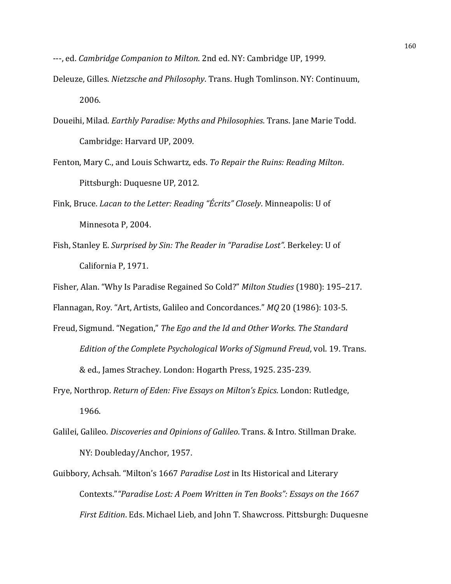- ---, ed. *Cambridge Companion to Milton*. 2nd ed. NY: Cambridge UP, 1999.
- Deleuze, Gilles. *Nietzsche and Philosophy*. Trans. Hugh Tomlinson. NY: Continuum, 2006.
- Doueihi, Milad. *Earthly Paradise: Myths and Philosophies*. Trans. Jane Marie Todd. Cambridge: Harvard UP, 2009.
- Fenton, Mary C., and Louis Schwartz, eds. To Repair the Ruins: Reading Milton. Pittsburgh: Duquesne UP, 2012.
- Fink, Bruce. *Lacan to the Letter: Reading "Écrits" Closely*. Minneapolis: U of Minnesota P, 2004.
- Fish, Stanley E. Surprised by Sin: The Reader in "Paradise Lost". Berkeley: U of California P, 1971.
- Fisher, Alan. "Why Is Paradise Regained So Cold?" *Milton Studies* (1980): 195-217.

Flannagan, Roy. "Art, Artists, Galileo and Concordances." *MQ* 20 (1986): 103-5.

- Freud, Sigmund. "Negation," The Ego and the Id and Other Works. The Standard *Edition of the Complete Psychological Works of Sigmund Freud, vol.* 19. Trans. & ed., James Strachey. London: Hogarth Press, 1925. 235-239.
- Frye, Northrop. *Return of Eden: Five Essays on Milton's Epics*. London: Rutledge, 1966.
- Galilei, Galileo. *Discoveries and Opinions of Galileo*. Trans. & Intro. Stillman Drake. NY: Doubleday/Anchor, 1957.
- Guibbory, Achsah. "Milton's 1667 Paradise Lost in Its Historical and Literary Contexts." "Paradise Lost: A Poem Written in Ten Books": Essays on the 1667 *First Edition*. Eds. Michael Lieb, and John T. Shawcross. Pittsburgh: Duquesne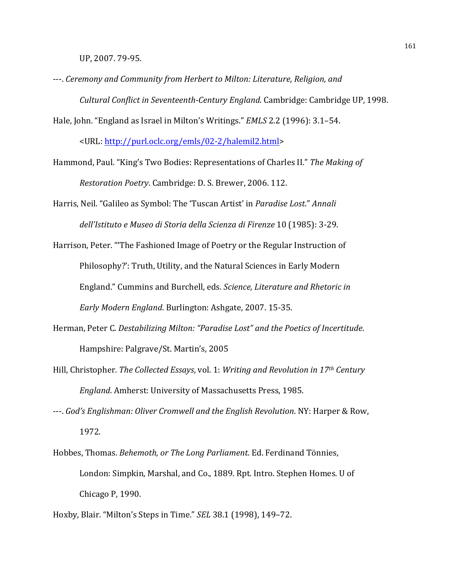UP, 2007. 79-95.

- ---. Ceremony and Community from Herbert to Milton: Literature, Religion, and *Cultural Conflict in Seventeenth-Century England.* Cambridge: Cambridge UP, 1998.
- Hale, John. "England as Israel in Milton's Writings." *EMLS* 2.2 (1996): 3.1–54.

<URL: http://purl.oclc.org/emls/02-2/halemil2.html> 

Hammond, Paul. "King's Two Bodies: Representations of Charles II." The Making of *Restoration Poetry.* Cambridge: D. S. Brewer, 2006. 112.

Harris, Neil. "Galileo as Symbol: The 'Tuscan Artist' in *Paradise Lost." Annali dell'Istituto e Museo di Storia della Scienza di Firenze* 10 (1985): 3-29.

Harrison, Peter. "The Fashioned Image of Poetry or the Regular Instruction of Philosophy?': Truth, Utility, and the Natural Sciences in Early Modern England." Cummins and Burchell, eds. *Science, Literature and Rhetoric in Early Modern England.* Burlington: Ashgate, 2007. 15-35.

- Herman, Peter C. *Destabilizing Milton: "Paradise Lost"* and the Poetics of Incertitude. Hampshire: Palgrave/St. Martin's, 2005
- Hill, Christopher. *The Collected Essays*, vol. 1: *Writing and Revolution in 17<sup>th</sup> Century England.* Amherst: University of Massachusetts Press, 1985.
- ---. *God's Englishman: Oliver Cromwell and the English Revolution*. NY: Harper & Row, 1972.
- Hobbes, Thomas. *Behemoth, or The Long Parliament*. Ed. Ferdinand Tönnies, London: Simpkin, Marshal, and Co., 1889. Rpt. Intro. Stephen Homes. U of Chicago P, 1990.
- Hoxby, Blair. "Milton's Steps in Time." *SEL* 38.1 (1998), 149-72.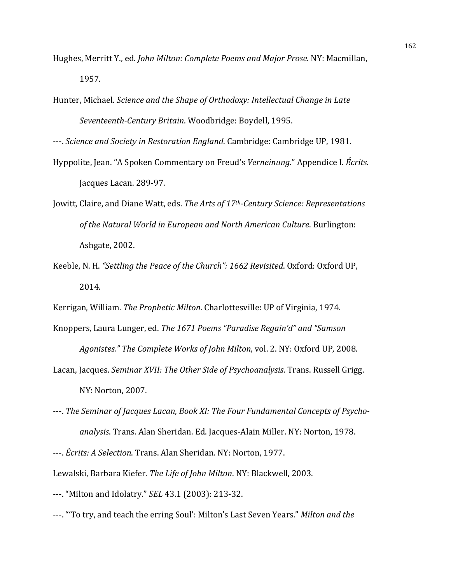- Hughes, Merritt Y., ed. *John Milton: Complete Poems and Major Prose*. NY: Macmillan, 1957.
- Hunter, Michael. *Science and the Shape of Orthodoxy: Intellectual Change in Late Seventeenth-Century Britain*. Woodbridge: Boydell, 1995.

---. *Science and Society in Restoration England*. Cambridge: Cambridge UP, 1981.

- Hyppolite, Jean. "A Spoken Commentary on Freud's *Verneinung*." Appendice I. *Écrits.* Jacques Lacan. 289-97.
- Jowitt, Claire, and Diane Watt, eds. The Arts of 17<sup>th</sup>-Century Science: Representations of the Natural World in European and North American Culture. Burlington: Ashgate, 2002.
- Keeble, N. H. "Settling the Peace of the Church": 1662 Revisited. Oxford: Oxford UP, 2014.
- Kerrigan, William. The Prophetic Milton. Charlottesville: UP of Virginia, 1974.
- Knoppers, Laura Lunger, ed. The 1671 Poems "Paradise Regain'd" and "Samson Agonistes." The Complete Works of John Milton, vol. 2. NY: Oxford UP, 2008.
- Lacan, Jacques. *Seminar XVII: The Other Side of Psychoanalysis*. Trans. Russell Grigg. NY: Norton, 2007.
- ---. The Seminar of Jacques Lacan, Book XI: The Four Fundamental Concepts of Psychoanalysis. Trans. Alan Sheridan. Ed. Jacques-Alain Miller. NY: Norton, 1978.

Lewalski, Barbara Kiefer. *The Life of John Milton*. NY: Blackwell, 2003.

- ---. "Milton and Idolatry." *SEL* 43.1 (2003): 213-32.
- ---. "To try, and teach the erring Soul': Milton's Last Seven Years." *Milton and the*

<sup>---.</sup> *Écrits: A Selection*. Trans. Alan Sheridan. NY: Norton, 1977.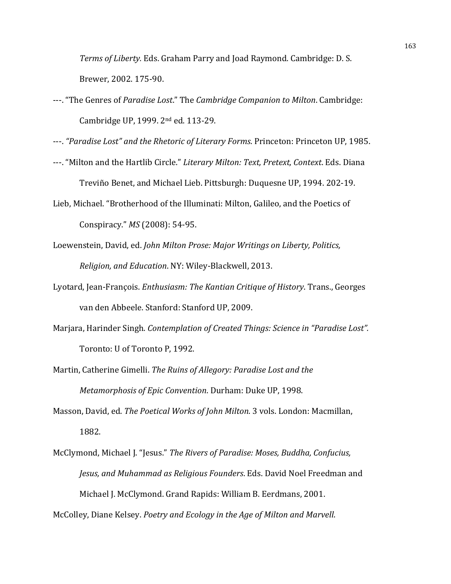*Terms of Liberty.* Eds. Graham Parry and Joad Raymond. Cambridge: D. S. Brewer, 2002. 175-90.

---. "The Genres of *Paradise Lost."* The *Cambridge Companion to Milton*. Cambridge: Cambridge UP, 1999.  $2<sup>nd</sup>$  ed. 113-29.

---. "Paradise Lost" and the Rhetoric of Literary Forms. Princeton: Princeton UP, 1985.

- ---. "Milton and the Hartlib Circle." *Literary Milton: Text, Pretext, Context*. Eds. Diana Treviño Benet, and Michael Lieb. Pittsburgh: Duquesne UP, 1994. 202-19.
- Lieb, Michael. "Brotherhood of the Illuminati: Milton, Galileo, and the Poetics of Conspiracy." *MS* (2008): 54-95.
- Loewenstein, David, ed. *John Milton Prose: Major Writings on Liberty, Politics, Religion, and Education*. NY: Wiley-Blackwell, 2013.
- Lyotard, Jean-François. *Enthusiasm: The Kantian Critique of History*. Trans., Georges van den Abbeele. Stanford: Stanford UP, 2009.
- Marjara, Harinder Singh. Contemplation of Created Things: Science in "Paradise Lost". Toronto: U of Toronto P, 1992.
- Martin, Catherine Gimelli. The Ruins of Allegory: Paradise Lost and the *Metamorphosis of Epic Convention*. Durham: Duke UP, 1998.
- Masson, David, ed. *The Poetical Works of John Milton*. 3 vols. London: Macmillan, 1882.
- McClymond, Michael J. "Jesus." The Rivers of Paradise: Moses, Buddha, Confucius, *Jesus, and Muhammad as Religious Founders*. Eds. David Noel Freedman and Michael J. McClymond. Grand Rapids: William B. Eerdmans, 2001.

McColley, Diane Kelsey. *Poetry and Ecology in the Age of Milton and Marvell*.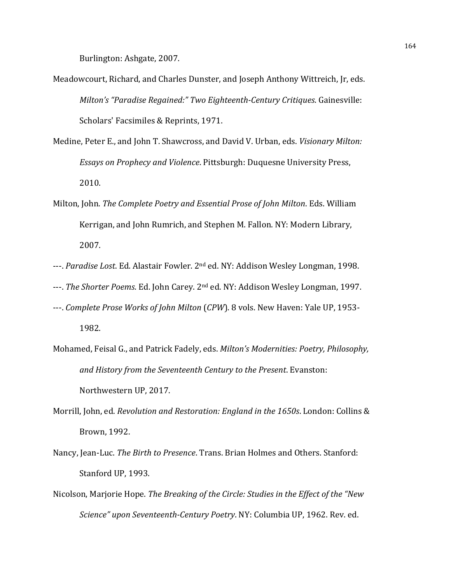Burlington: Ashgate, 2007.

- Meadowcourt, Richard, and Charles Dunster, and Joseph Anthony Wittreich, Jr, eds. *Milton's* "Paradise Regained:" Two Eighteenth-Century Critiques. Gainesville: Scholars' Facsimiles & Reprints, 1971.
- Medine, Peter E., and John T. Shawcross, and David V. Urban, eds. *Visionary Milton: Essays on Prophecy and Violence*. Pittsburgh: Duquesne University Press, 2010.
- Milton, John. *The Complete Poetry and Essential Prose of John Milton*. Eds. William Kerrigan, and John Rumrich, and Stephen M. Fallon. NY: Modern Library, 2007.
- ---. *Paradise Lost*. Ed. Alastair Fowler. 2<sup>nd</sup> ed. NY: Addison Wesley Longman, 1998.
- ---. *The Shorter Poems*. Ed. John Carey. 2<sup>nd</sup> ed. NY: Addison Wesley Longman, 1997.
- ---. *Complete Prose Works of John Milton* (*CPW*). 8 vols. New Haven: Yale UP, 1953-1982.
- Mohamed, Feisal G., and Patrick Fadely, eds. *Milton's Modernities: Poetry, Philosophy, and History from the Seventeenth Century to the Present*. Evanston: Northwestern UP, 2017.
- Morrill, John, ed. *Revolution and Restoration: England in the 1650s*. London: Collins & Brown, 1992.
- Nancy, Jean-Luc. *The Birth to Presence*. Trans. Brian Holmes and Others. Stanford: Stanford UP, 1993.
- Nicolson, Marjorie Hope. *The Breaking of the Circle: Studies in the Effect of the "New Science"* upon *Seventeenth-Century Poetry*. NY: Columbia UP, 1962. Rev. ed.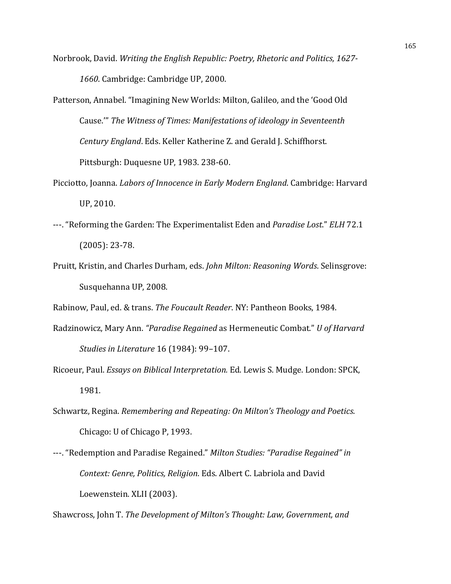- Norbrook, David. *Writing the English Republic: Poetry, Rhetoric and Politics, 1627-*1660. Cambridge: Cambridge UP, 2000.
- Patterson, Annabel. "Imagining New Worlds: Milton, Galileo, and the 'Good Old Cause.<sup>"</sup> The Witness of Times: Manifestations of ideology in Seventeenth *Century England*. Eds. Keller Katherine Z. and Gerald J. Schiffhorst. Pittsburgh: Duquesne UP, 1983. 238-60.
- Picciotto, Joanna. *Labors of Innocence in Early Modern England*. Cambridge: Harvard UP, 2010.
- ---. "Reforming the Garden: The Experimentalist Eden and *Paradise Lost." ELH* 72.1  $(2005): 23-78.$
- Pruitt, Kristin, and Charles Durham, eds. *John Milton: Reasoning Words*. Selinsgrove: Susquehanna UP, 2008.

Rabinow, Paul, ed. & trans. The Foucault Reader. NY: Pantheon Books, 1984.

- Radzinowicz, Mary Ann. "Paradise Regained as Hermeneutic Combat." *U* of Harvard *Studies in Literature* 16 (1984): 99-107.
- Ricoeur, Paul. *Essays on Biblical Interpretation.* Ed. Lewis S. Mudge. London: SPCK, 1981.
- Schwartz, Regina. *Remembering and Repeating: On Milton's Theology and Poetics.* Chicago: U of Chicago P, 1993.
- ---. "Redemption and Paradise Regained." Milton Studies: "Paradise Regained" in Context: Genre, Politics, Religion. Eds. Albert C. Labriola and David Loewenstein. XLII (2003).

Shawcross, John T. *The Development of Milton's Thought: Law, Government, and*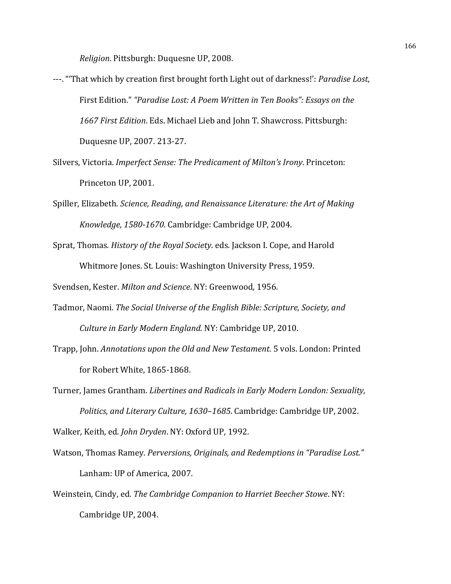*Religion*. Pittsburgh: Duquesne UP, 2008.

- ---. "That which by creation first brought forth Light out of darkness!': *Paradise Lost*, First Edition." "Paradise Lost: A Poem Written in Ten Books": Essays on the 1667 First Edition. Eds. Michael Lieb and John T. Shawcross. Pittsburgh: Duquesne UP, 2007. 213-27.
- Silvers, Victoria. *Imperfect Sense: The Predicament of Milton's Irony*. Princeton: Princeton UP, 2001.
- Spiller, Elizabeth. *Science, Reading, and Renaissance Literature: the Art of Making* Knowledge, 1580-1670. Cambridge: Cambridge UP, 2004.
- Sprat, Thomas. *History of the Royal Society*. eds. Jackson I. Cope, and Harold Whitmore Jones. St. Louis: Washington University Press, 1959.

Svendsen, Kester. *Milton and Science*. NY: Greenwood, 1956.

- Tadmor, Naomi. *The Social Universe of the English Bible: Scripture, Society, and Culture in Early Modern England.* NY: Cambridge UP, 2010.
- Trapp, John. *Annotations upon the Old and New Testament*. 5 vols. London: Printed for Robert White, 1865-1868.
- Turner, James Grantham. *Libertines and Radicals in Early Modern London: Sexuality*, Politics, and Literary Culture, 1630–1685. Cambridge: Cambridge UP, 2002. Walker, Keith, ed. *John Dryden*. NY: Oxford UP, 1992.
- Watson, Thomas Ramey. *Perversions, Originals, and Redemptions in "Paradise Lost."* Lanham: UP of America, 2007.
- Weinstein, Cindy, ed. The Cambridge Companion to Harriet Beecher Stowe. NY: Cambridge UP, 2004.